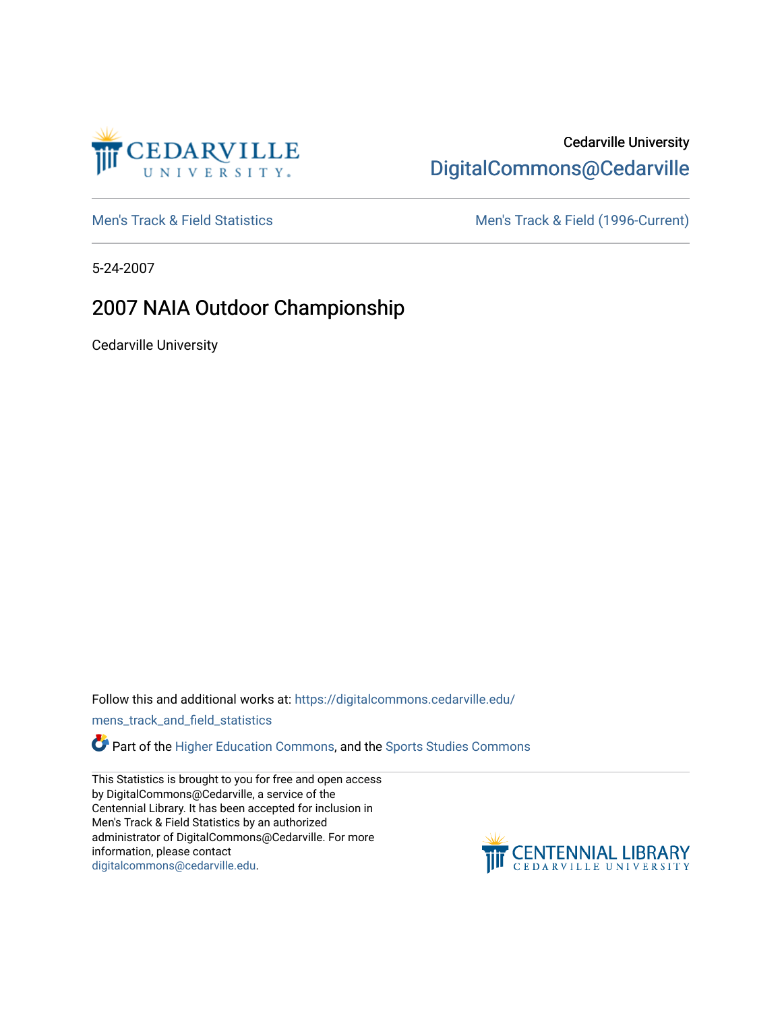

## Cedarville University [DigitalCommons@Cedarville](https://digitalcommons.cedarville.edu/)

[Men's Track & Field Statistics](https://digitalcommons.cedarville.edu/mens_track_and_field_statistics) [Men's Track & Field \(1996-Current\)](https://digitalcommons.cedarville.edu/mens_track_and_field) 

5-24-2007

## 2007 NAIA Outdoor Championship

Cedarville University

Follow this and additional works at: [https://digitalcommons.cedarville.edu/](https://digitalcommons.cedarville.edu/mens_track_and_field_statistics?utm_source=digitalcommons.cedarville.edu%2Fmens_track_and_field_statistics%2F171&utm_medium=PDF&utm_campaign=PDFCoverPages)

[mens\\_track\\_and\\_field\\_statistics](https://digitalcommons.cedarville.edu/mens_track_and_field_statistics?utm_source=digitalcommons.cedarville.edu%2Fmens_track_and_field_statistics%2F171&utm_medium=PDF&utm_campaign=PDFCoverPages)

Part of the [Higher Education Commons,](http://network.bepress.com/hgg/discipline/1245?utm_source=digitalcommons.cedarville.edu%2Fmens_track_and_field_statistics%2F171&utm_medium=PDF&utm_campaign=PDFCoverPages) and the Sports Studies Commons

This Statistics is brought to you for free and open access by DigitalCommons@Cedarville, a service of the Centennial Library. It has been accepted for inclusion in Men's Track & Field Statistics by an authorized administrator of DigitalCommons@Cedarville. For more information, please contact [digitalcommons@cedarville.edu](mailto:digitalcommons@cedarville.edu).

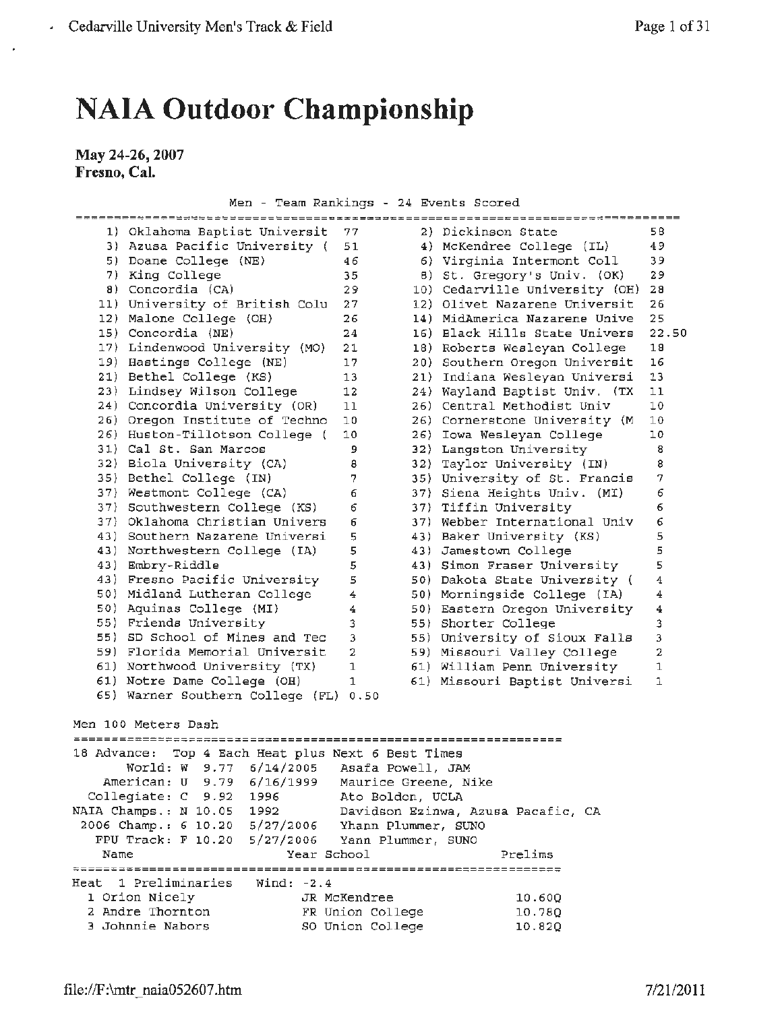## **NAIA Outdoor Championship**

**May 24-26, 2007 Fresno, Cal.** 

 $\epsilon$ 

Men - Team Rankings - 24 Events Scored

|      | 1) Oklahoma Baptist Universit                                                       | 77               | 2) Dickinson State                 | 58             |
|------|-------------------------------------------------------------------------------------|------------------|------------------------------------|----------------|
|      | 3) Azusa Pacific University (                                                       | 51               | 4) McKendree College (IL)          | 49             |
|      | 5) Doane College (NE)                                                               | 46               | 6) Virginia Intermont Coll         | 39             |
|      | 7) King College                                                                     | 35               | 8) St. Gregory's Univ. (OK)        | 29             |
|      | 8) Concordia (CA)                                                                   | 29               | 10) Cedarville University (OH)     | 28             |
|      | 11) University of British Colu                                                      | 27               | 12) Olivet Nazarene Universit      | 26             |
|      | 12) Malone College (OH)                                                             | 26               | 14) MidAmerica Nazarene Unive      | 25             |
|      | 15) Concordia (NE)                                                                  | 24               | 16) Black Hills State Univers      | 22.50          |
|      | 17) Lindenwood University (MO)                                                      | 21               | 18) Roberts Wesleyan College       | 18             |
|      | 19) Hastings College (NE)                                                           | 17               | 20) Southern Oregon Universit      | 16             |
|      | 21) Bethel College (KS)                                                             | 13               | 21) Indiana Wesleyan Universi      | 13             |
|      | 23) Lindsey Wilson College                                                          | 12               | 24) Wayland Baptist Univ. (TX      | 11             |
|      | 24) Concordia University (OR)                                                       | 11               | 26) Central Methodist Univ         | 10             |
|      | 26) Oregon Institute of Techno                                                      | 10               | 26) Cornerstone University (M      | 10             |
|      | 26) Huston-Tillotson College (                                                      | 10               | 26) Iowa Wesleyan College          | 10             |
|      | 31) Cal St. San Marcos                                                              | 9                | 32) Langston University            | 8              |
|      | 32) Biola University (CA)                                                           | 8                | 32) Taylor University (IN)         | 8              |
|      | 35) Bethel College (IN)                                                             | 7                | 35) University of St. Francis      | 7              |
|      | 37) Westmont College (CA)                                                           | 6                | 37) Siena Heights Univ. (MI)       | 6              |
|      | 37) Southwestern College (KS)                                                       | 6                | 37) Tiffin University              | 6              |
|      | 37) Oklahoma Christian Univers                                                      | 6                | 37) Webber International Univ      | 6              |
|      | 43) Southern Nazarene Universi                                                      | 5                | 43) Baker University (KS)          | 5              |
|      | 43) Northwestern College (IA)                                                       | 5                | 43) Jamestown College              | 5              |
|      | 43) Embry-Riddle                                                                    | 5                | 43) Simon Fraser University        | 5              |
|      | 43) Fresno Pacific University                                                       | 5                | 50) Dakota State University (      | 4              |
|      | 50) Midland Lutheran College                                                        | 4                | 50) Morningside College (IA)       | 4              |
|      | 50) Aquinas College (MI)                                                            | 4                | 50) Eastern Oregon University      | 4              |
|      | 55) Friends University                                                              | 3                | 55) Shorter College                |                |
|      | 55) SD School of Mines and Tec                                                      | 3                | 55) University of Sioux Falls      | 3<br>3         |
|      | 59) Florida Memorial Universit                                                      | 2                | 59) Missouri Valley College        | $\overline{a}$ |
|      | 61) Northwood University (TX)                                                       | $\mathbf{1}$     | 61) William Penn University        | $\mathbf{1}$   |
|      | 61) Notre Dame College (OH)                                                         | 1                |                                    | 1              |
|      |                                                                                     |                  | 61) Missouri Baptist Universi      |                |
|      | 65) Warner Southern College (FL)                                                    | 0.50             |                                    |                |
|      |                                                                                     |                  |                                    |                |
|      | Men 100 Meters Dash                                                                 |                  |                                    |                |
|      |                                                                                     |                  |                                    |                |
|      | 18 Advance: Top 4 Each Heat plus Next 6 Best Times<br>$6/14/2005$ Asafa Powell, JAM |                  |                                    |                |
|      | World: W 9.77                                                                       |                  |                                    |                |
|      | American: U 9.79 6/16/1999 Maurice Greene, Nike                                     |                  |                                    |                |
|      | Collegiate: C 9.92 1996                                                             | Ato Boldon, UCLA |                                    |                |
|      | NAIA Champs.: N 10.05 1992                                                          |                  | Davidson Ezinwa, Azusa Pacafic, CA |                |
|      | 2006 Champ.: 6 10.20 5/27/2006 Yhann Plummer, SUNO                                  |                  |                                    |                |
|      | FPU Track: F 10.20 5/27/2006 Yann Plummer, SUNO                                     |                  |                                    |                |
| Name | Year School                                                                         |                  | Prelims                            |                |
|      | Heat 1 Preliminaries<br>Wind: $-2.4$                                                |                  |                                    |                |
|      | 1 Orion Nicely                                                                      | JR McKendree     | 10.60Q                             |                |
|      | 2 Andre Thornton                                                                    | FR Union College | 10.780                             |                |
|      | 3 Johnnie Nabors                                                                    | SO Union College | 10.82Q                             |                |
|      |                                                                                     |                  |                                    |                |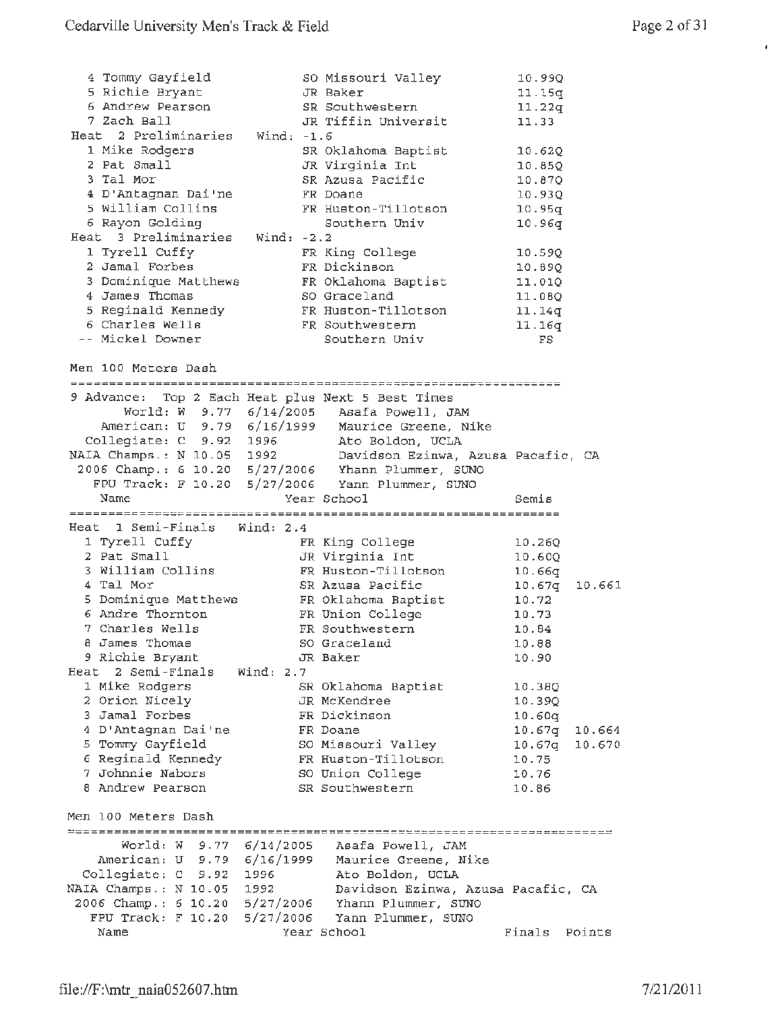$\mathbf{r}$  .

| 4 Tommy Gayfield<br>5 Richie Bryant<br>6 Andrew Pearson<br>7 Zach Ball<br>Heat 2 Preliminaries | Wind: -1.6 | SO Missouri Valley<br>JR Baker<br>SR Southwestern<br>JR Tiffin Universit                                                                                                          | 10.99Q<br>11.15q<br>11.22q<br>11.33  |
|------------------------------------------------------------------------------------------------|------------|-----------------------------------------------------------------------------------------------------------------------------------------------------------------------------------|--------------------------------------|
| 1 Mike Rodgers<br>2 Pat Small<br>3 Tal Mor<br>4 D'Antagnan Dai'ne                              |            | SR Oklahoma Baptist<br>JR Virginia Int<br>SR Azusa Pacific<br>FR Doane                                                                                                            | 10.62Q<br>10.850<br>10.87Q<br>10.93Q |
| 5 William Collins<br>6 Rayon Golding<br>Heat 3 Preliminaries Wind: -2.2                        |            | FR Huston-Tillotson<br>Southern Univ                                                                                                                                              | 10.95q<br>10.96q                     |
| 1 Tyrell Cuffy<br>2 Jamal Forbes<br>3 Dominique Matthews                                       |            | FR King College<br>FR Dickinson<br>FR Oklahoma Baptist                                                                                                                            | 10.59Q<br>10.890<br>11.010           |
| 4 James Thomas<br>5 Reginald Kennedy<br>6 Charles Wells<br>-- Mickel Downer                    |            | SO Graceland<br>FR Huston-Tillotson<br>FR Southwestern                                                                                                                            | 11.0BQ<br>11.14q<br>11.16q           |
| Men 100 Meters Dash                                                                            |            | Southern Univ                                                                                                                                                                     | FS                                   |
| 9 Advance: Top 2 Each Heat plus Next 5 Best Times<br>Collegiate: C 9.92 1996                   |            | World: W 9.77 6/14/2005 Asafa Powell, JAM<br>American: U 9.79 6/16/1999 Maurice Greene, Nike<br>Ato Boldon, UCLA<br>NAIA Champs.: N 10.05 1992 Davidson Ezinwa, Azusa Pacafic, CA |                                      |
| Name                                                                                           |            | 2006 Champ.: 6 10.20 5/27/2006 Yhann Plummer, SUNO<br>FPU Track: F 10.20 5/27/2006 Yann Plummer, SUNO<br>Year School                                                              | Semis                                |
|                                                                                                |            |                                                                                                                                                                                   |                                      |
| Heat 1 Semi-Finals Wind: 2.4<br>1 Tyrell Cuffy                                                 |            | FR King College                                                                                                                                                                   | 10.26Q                               |
| 2 Pat Small                                                                                    |            | JR Virginia Int                                                                                                                                                                   | 10.600                               |
| 3 William Collins                                                                              |            | FR Huston-Tillotson                                                                                                                                                               | 10.66q                               |
|                                                                                                |            |                                                                                                                                                                                   |                                      |
| 4 Tal Mor                                                                                      |            | SR Azusa Pacific                                                                                                                                                                  | 10.661                               |
| 5 Dominique Matthews                                                                           |            |                                                                                                                                                                                   | 10.67q<br>10.72                      |
| 6 Andre Thornton                                                                               |            | FR Oklahoma Baptist<br>FR Union College                                                                                                                                           | 10.73                                |
| 7 Charles Wells                                                                                |            | FR Southwestern                                                                                                                                                                   | 10.84                                |
| 8 James Thomas                                                                                 |            | SO Graceland                                                                                                                                                                      | 10.88                                |
| 9 Richie Bryant                                                                                |            | JR Baker                                                                                                                                                                          | 10.90                                |
| 2 Semi-Finals<br>Heat                                                                          | Wind: 2.7  |                                                                                                                                                                                   |                                      |
| 1 Mike Rodgers                                                                                 |            | SR Oklahoma Baptist                                                                                                                                                               | 10.38Q                               |
| 2 Orion Nicely                                                                                 |            | JR McKendree                                                                                                                                                                      | 10.39Q                               |
| 3 Jamal Forbes                                                                                 |            | FR Dickinson                                                                                                                                                                      | 10.60q                               |
| 4 D'Antagnan Dai'ne                                                                            |            | FR Doane                                                                                                                                                                          | 10.67q<br>10.664                     |
| 5 Tommy Gayfield                                                                               |            | SO Missouri Valley                                                                                                                                                                | 10.67q<br>10.670                     |
| 6 Reginald Kennedy                                                                             |            | FR Huston-Tillotson                                                                                                                                                               | 10.75                                |
| 7 Johnnie Nabors<br>8 Andrew Pearson                                                           |            | SO Union College<br>SR Southwestern                                                                                                                                               | 10.76<br>10.86                       |
| Men 100 Meters Dash                                                                            |            |                                                                                                                                                                                   |                                      |
|                                                                                                |            |                                                                                                                                                                                   |                                      |
|                                                                                                |            | World: W 9.77 6/14/2005 Asafa Powell, JAM                                                                                                                                         |                                      |
| American: U 9.79 6/16/1999                                                                     |            | Maurice Greene, Nike                                                                                                                                                              |                                      |
| Collegiate: C 9.92                                                                             | 1996       | Ato Boldon, UCLA                                                                                                                                                                  |                                      |
| NAIA Champs.: N 10.05 1992                                                                     |            | Davidson Ezinwa, Azusa Pacafic, CA                                                                                                                                                |                                      |
| 2006 Champ.: 6 10.20 5/27/2006 Yhann Plummer, SUNO<br>FPU Track: F 10.20 5/27/2006             |            | Yann Plummer, SUNO                                                                                                                                                                |                                      |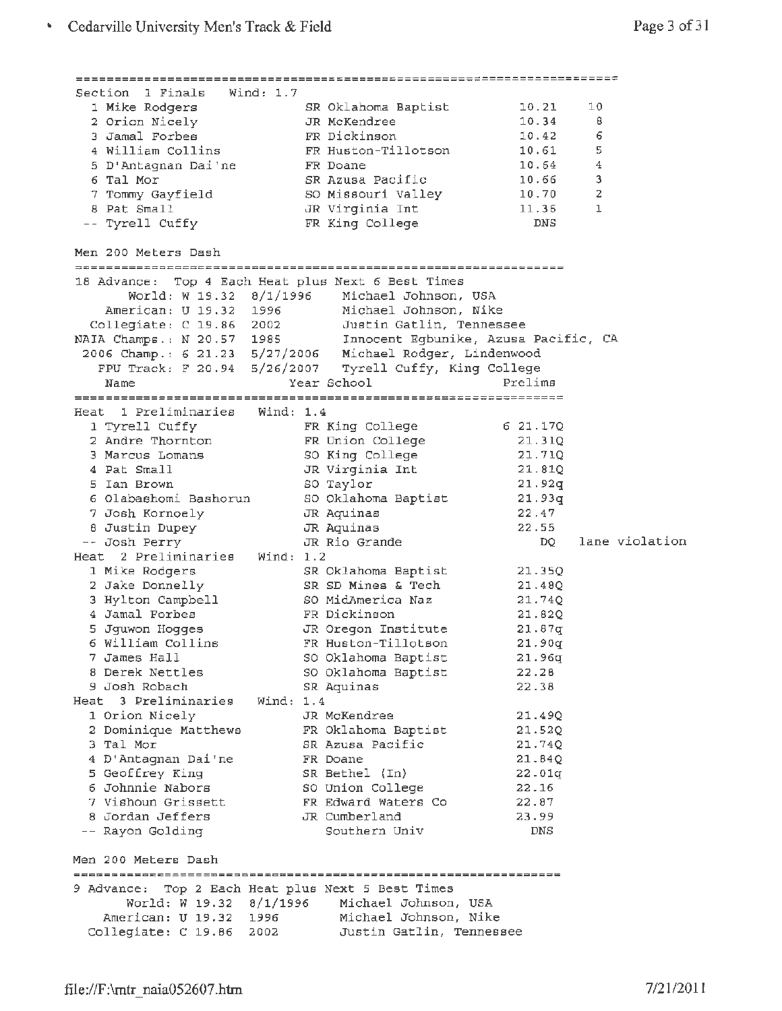Section 1 Finals Wind: 1.7 1 Mike Rodgers SR Oklahoma Baptist 10.21 10 2 Orion Nicely **JR McKendree** 10.34 8 <sup>3</sup>Jamal Forbes FR Dickinson 10.42 <sup>6</sup> 4 William Collins FR Huston-Tillotson 10.61 5 5 D'Antagnan Dai'ne FR Doane 10.64 4 6 Tal Mor  $S$ R Azusa Pacific  $10.66$  3 <sup>7</sup>Tommy Gayfield so Missouri Valley 10.70 2 8 Pat Small **JR** Virginia Int 11.36 1 Tyrell Cuffy **FR** King College **DNS** Men 200 Meters Dash 18 Advance: Top 4 Each Heat plus Next 6 Best Times World: w 19.32 8/1/1996 Michael Johnson, USA American: U 19.32 1996 Michael Johnson, Nike Collegiate: C 19.86 2002 Justin Gatlin, Tennessee AIA Champs.: N 20.57 1985 Innocent Egbunike, Azusa Pacific, CA 2006 Champ.: 6 21. 23 5/27/2006 Michael Rodger, Lindenwood FPU Track: F 20.94 5/26/2007 Tyrell Cuffy, King College Name Year School Prelims ------------------------------------------------------------~-~- Heat 1 Preliminaries Wind: 1. 4 1 Tyrell Cuffy FR King College 6 21.17Q 2 Andre Thornton FR Union College 21. 31Q 3 Marcus Lomans 50 King College 21.71Q 4 Pat Small JR Virginia Int 21. 81Q 5 Ian Brown SO Taylor 21.92q <sup>6</sup>Olabashomi Bashorun so Oklahoma Baptist 21.93g 7 Josh Kornoely JR Aquinas 22.47 8 Justin Dupey **JR Aquinas** 22.55 Josh Perry **Janesen Construction**<br>Josh Perry JR Rio Grande **DQ** lane violation Heat 2 Preliminaries Wind: 1. 2 1 Mike Rodgers SR Oklahoma Baptist 21. 35Q <sup>2</sup>Jake Donnelly SR SD Mines & Tech 21.48Q 3 Hylton Campbell SO MidAmerica Naz 21.74Q 4 Jamal Forbes FR Dickinson 21.82Q 5 Jguwon Hogges JR Oregon Institute 21.87q <sup>6</sup>William Collins FR Huston-Tillotson 21.90g 7 James Hall SO Oklahoma Baptist 21.96q <sup>B</sup>Derek Nettles so Oklahoma Baptist 22.28 <sup>9</sup>Josh Robach SR Aquinas 22.38 Heat 3 Preliminaries wind: 1. 4 1 Orion Nicely JR McKendree 21. 49Q 2 Dominique Matthews FR Oklahoma Baptist 21.52Q <sup>3</sup>Tal Mor SR Azusa Pacific 21.74Q 4 D'Antagnan Dai'ne FR Doane 21.84Q <sup>5</sup>Geoffrey King **SR** Bethel (In} 22.0lq 6 Johnnie Nabors so Union College 22.16

end and the contract of the contract of the contract of the contract of the contract of the contract of the contract of the contract of the contract of the contract of the contract of the contract of the contract of the co Rayon Golding Southern Univ DNS Men 200 Meters Dash 9 Advance: Top 2 Each Heat plus Next 5 Best Times World: w 19.32 8/1/1996 Michael Johnson, USA

<sup>7</sup>Vishoun Grissett **FR** Edward Waters Co 22.87

American: U 19.32 1996 Michael Johnson, Nike Collegiate: C 19.86 2002 Justin Gatlin, Tennessee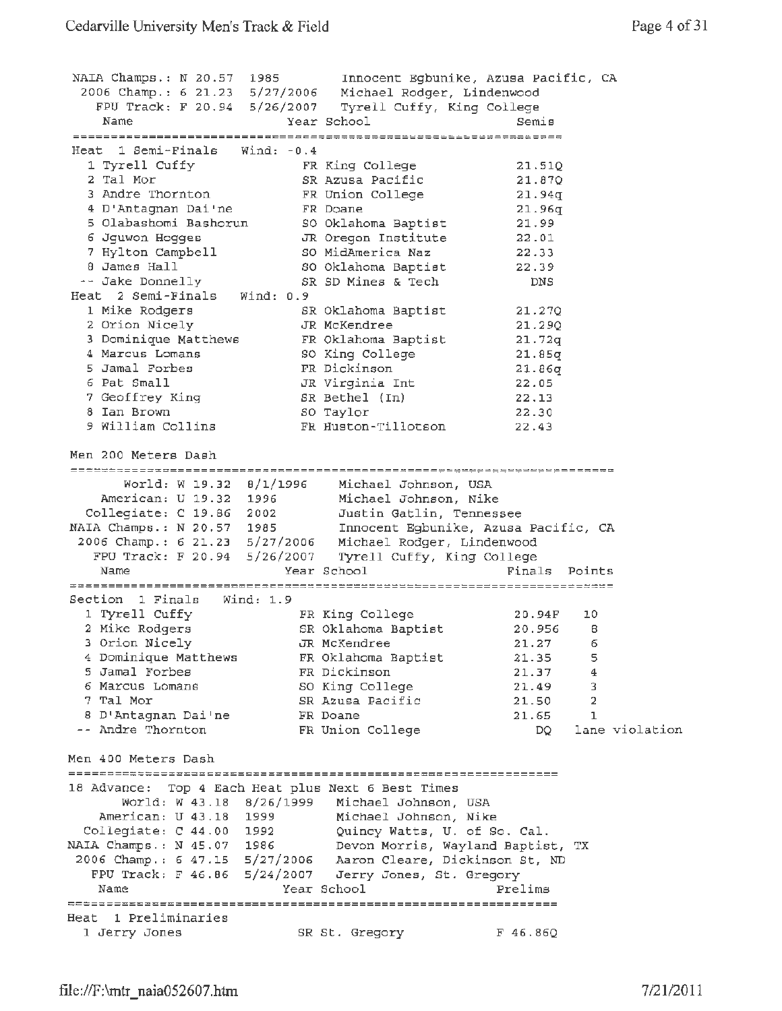NAIA Champs.: N 20.57 1985 Innocent Egbunike, Azusa Pacific, CA 2006 Champ.: 6 21.23 5/27/2006 Michael Rodger, Lindenwood FPU Track: F 20.94 5/26/2007 Tyrell Cuffy, King College Name Year Semis Semis Heat 1 Semi-Finals Wind: -0.4 1 Tyrell Cuffy King College 21.51Q FR Azusa Pacific 21.87Q <sup>2</sup>Tal Mor SR 3 Andre Thornton Union College 21.94q FR 4 D'Antagnan Dai'ne Doane 21. 96g FR <sup>5</sup>Olabashomi Bashorun so Oklahoma Baptist 21. 99 Oregon Institute 22.01 6 Jguwon Hogges JR 7 Hylton Campbell so MidAmerica Naz 22.33 8 James Hall 30 Oklahoma Baptist 22.39 Jake Donnelly SR SD Mines & Tech DNS Heat 2 Semi-Finals Wind: 0.9 Oklahoma Baptist 21. 27Q 1 Mike Rodgers SR 2 Orion Nicely JR McKendree 21.29Q Oklahoma Baptist 21.72g 3 Dominique Matthews FR 4 Marcus Lomans 50 King College 21.85q <sup>5</sup>Jamal Forbes FR Dickinson 21. 86q Virginia Int 22.05 6 Pat Small JR 7 Geoffrey King SR Bethel (In) 22.13 8 Ian Brown 50 Taylor 22.30 9 William Collins FR Huston-Tillotson 22.43 Men 200 Meters Dash World: w 19.32 B/1/1996 Michael Johnson, USA American: u 19.32 1996 Michael Johnson, Nike Collegiate: C 19.86 2002 Justin Gatlin, Tennessee Innocent Egbunike, Azusa Pacific, CA NAIA Champs . : N 20.57 1985 2006 Champ. : 6 21.23 5/27/2006 Michael Rodger, Linden wood FPU Track: F 20.94 5/26/2007 Tyrell Cuffy, King College Name Year School School Finals Points Section 1 Finals Wind: 1.9 1 Tyrell Cuffy FR King College 20.94F 10 Oklahoma Baptist 20.956 <sup>8</sup> 2 Mike Rodgers SR 3 Orion Nicely JR McKendree 21.27 6 Oklahoma Baptist 21.35 5 4 Dominique Matthews FR 5 Jamal Forbes **FR**  Dickinson 21.37 **<sup>4</sup>** 6 Marcus Lomans so King College 21.49 3 Azusa Pacific 21.50 2 7 Tal Mor SR <sup>8</sup>D'Antagnan Dai'ne FR Doane 21.65 1 Andre Thornton FR Union College DQ lane violation Men 400 Meters Dash 18 Advance: Top 4 Each Heat plus Next 6 Best Times World: W 43.18 8/26/1999 Michael Johnson, USA American: U 43.18 1999 Michael Johnson, Nike Collegiate: C  $44.00$  1992 Quincy Watts, U. of So. Cal. NAIA Champs.: N 45.07 1986 Devon Morris, Wayland Baptist, TX 2006 Champ.: 6 47.15 5/27/2006 Aaron Cleare, Dickinson St, ND FPU Track: F 46.86 5/24/2007 Jerry Jones, St. Gregory Name **Year School** Prelims Heat 1 Preliminaries 1 Jerry Jones SR St. Gregory F 46.86Q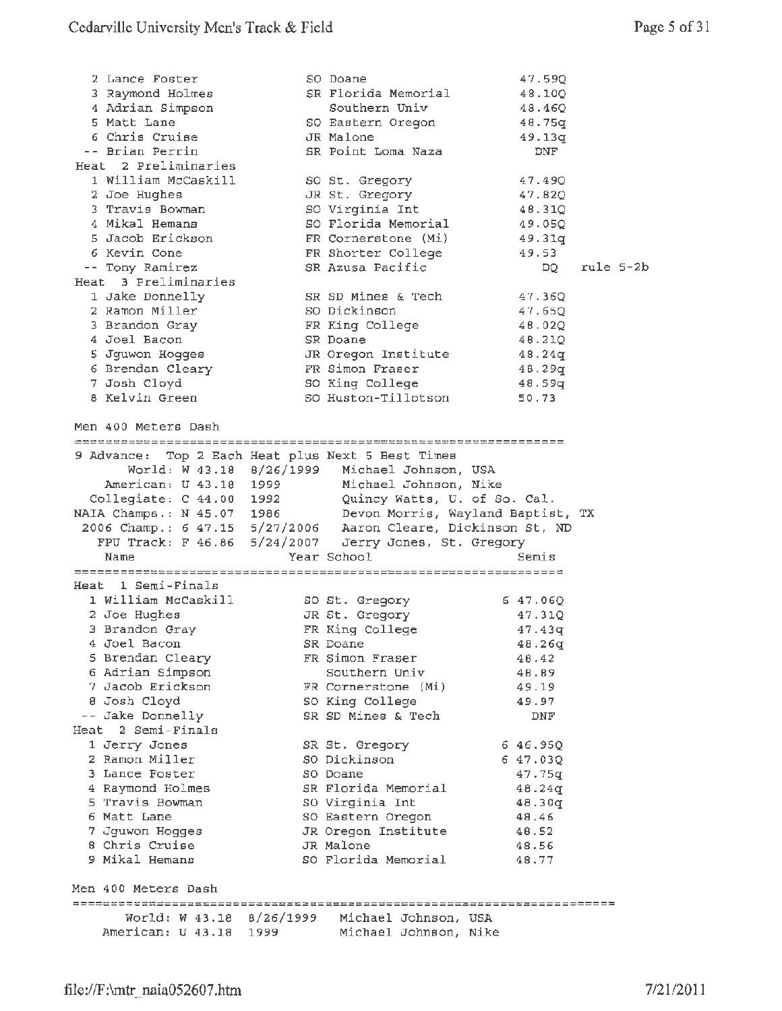| 2 Lance Foster                                                | SO Doane                                                                                                      | 47.590                            |           |
|---------------------------------------------------------------|---------------------------------------------------------------------------------------------------------------|-----------------------------------|-----------|
| 3 Raymond Holmes                                              | SR Florida Memorial                                                                                           | 48.100                            |           |
| 4 Adrian Simpson                                              | Southern Univ                                                                                                 | 48.460                            |           |
| 5 Matt Lane                                                   | SO Eastern Oregon                                                                                             | 48.75q                            |           |
| 6 Chris Cruise                                                | JR Malone                                                                                                     | 49.13q                            |           |
| -- Brian Perrin                                               | SR Point Loma Naza                                                                                            | DNF                               |           |
| Heat 2 Preliminaries                                          |                                                                                                               |                                   |           |
| 1 William McCaskill                                           |                                                                                                               | 47.490                            |           |
| 2 Joe Hughes                                                  | SO St. Gregory<br>JR St. Gregory                                                                              | 47.82Q                            |           |
| 3 Travis Bowman                                               |                                                                                                               |                                   |           |
|                                                               | SO Virginia Int                                                                                               | 48.31Q                            |           |
| 4 Mikal Hemans                                                | SO Florida Memorial                                                                                           | 49.05Q                            |           |
| 5 Jacob Erickson                                              | FR Cornerstone (Mi)                                                                                           | 49.31q                            |           |
| 6 Kevin Cone                                                  | FR Shorter College                                                                                            | 49.53                             |           |
| -- Tony Ramirez                                               | SR Azusa Pacific                                                                                              | DQ.                               | rule 5-2b |
| Heat 3 Preliminaries                                          |                                                                                                               |                                   |           |
| 1 Jake Donnelly                                               | SR SD Mines & Tech                                                                                            | 47.36Q                            |           |
| 2 Ramon Miller                                                | SO Dickinson                                                                                                  | 47.650                            |           |
| 3 Brandon Gray                                                | FR King College                                                                                               | 48.020                            |           |
| 4 Joel Bacon                                                  | SR Doane                                                                                                      | 48.21Q                            |           |
| 5 Jguwon Hogges                                               | JR Oregon Institute                                                                                           | 48.24q                            |           |
| 6 Brendan Cleary                                              | FR Simon Fraser                                                                                               | 48.29q                            |           |
| 7 Josh Cloyd                                                  | SO King College                                                                                               | 48.59q                            |           |
| 8 Kelvin Green                                                | SO Huston-Tillotson                                                                                           | 50.73                             |           |
|                                                               |                                                                                                               |                                   |           |
| Men 400 Meters Dash                                           |                                                                                                               |                                   |           |
|                                                               |                                                                                                               |                                   |           |
| 9 Advance: Top 2 Each Heat plus Next 5 Best Times             |                                                                                                               |                                   |           |
|                                                               | World: W 43.18 8/26/1999 Michael Johnson, USA                                                                 |                                   |           |
| American: U 43.18 1999                                        | Michael Johnson, Nike                                                                                         |                                   |           |
| Collegiate: C 44.00 1992                                      | Quincy Watts, U. of So. Cal.                                                                                  |                                   |           |
|                                                               |                                                                                                               |                                   |           |
|                                                               |                                                                                                               |                                   |           |
| NAIA Champs.: N 45.07 1986                                    |                                                                                                               | Devon Morris, Wayland Baptist, TX |           |
| 2006 Champ.: 6 47.15 5/27/2006 Aaron Cleare, Dickinson St, ND |                                                                                                               |                                   |           |
| FPU Track: F 46.86 5/24/2007                                  | Jerry Jones, St. Gregory                                                                                      |                                   |           |
| Name                                                          | Year School                                                                                                   | Semis                             |           |
|                                                               |                                                                                                               |                                   |           |
| Heat 1 Semi-Finals                                            |                                                                                                               |                                   |           |
| 1 William McCaskill                                           | SO St. Gregory                                                                                                | 6 47.060                          |           |
| 2 Joe Hughes                                                  | JR St. Gregory                                                                                                | 47.310                            |           |
| 3 Brandon Gray                                                | FR King College                                                                                               | 47.43q                            |           |
| 4 Joel Bacon                                                  | SR Doane the state of the state of the state of the state of the state of the state of the state of the state | 48.26q                            |           |
| 5 Brendan Cleary                                              | FR Simon Fraser                                                                                               | 48.42                             |           |
| 6 Adrian Simpson                                              | Southern Univ                                                                                                 | 48.89                             |           |
| 7 Jacob Erickson                                              | FR Cornerstone (Mi)                                                                                           | 49.19                             |           |
| 8 Josh Cloyd                                                  | SO King College                                                                                               | 49.97                             |           |
| -- Jake Donnelly                                              | SR SD Mines & Tech                                                                                            | <b>DNF</b>                        |           |
| Heat 2 Semi-Finals                                            |                                                                                                               |                                   |           |
| 1 Jerry Jones                                                 | SR St. Gregory                                                                                                | 6 46.950                          |           |
| 2 Ramon Miller                                                | SO Dickinson                                                                                                  | 6 47.03Q                          |           |
| 3 Lance Foster                                                | SO Doane                                                                                                      | 47.75q                            |           |
| 4 Raymond Holmes                                              | SR Florida Memorial                                                                                           | 48.24q                            |           |
| 5 Travis Bowman                                               | SO Virginia Int                                                                                               | 48.30q                            |           |
| 6 Matt Lane                                                   | SO Eastern Oregon                                                                                             | 48.46                             |           |
| 7 Jguwon Hogges                                               | JR Oregon Institute                                                                                           | 48.52                             |           |
| 8 Chris Cruise                                                | JR Malone                                                                                                     | 48.56                             |           |
| 9 Mikal Hemans                                                | SO Florida Memorial                                                                                           | 48.77                             |           |
|                                                               |                                                                                                               |                                   |           |
| Men 400 Meters Dash                                           |                                                                                                               |                                   |           |
|                                                               |                                                                                                               |                                   |           |
|                                                               | World: W 43.18 8/26/1999 Michael Johnson, USA                                                                 |                                   |           |
| American: U 43.18 1999                                        | Michael Johnson, Nike                                                                                         |                                   |           |
|                                                               |                                                                                                               |                                   |           |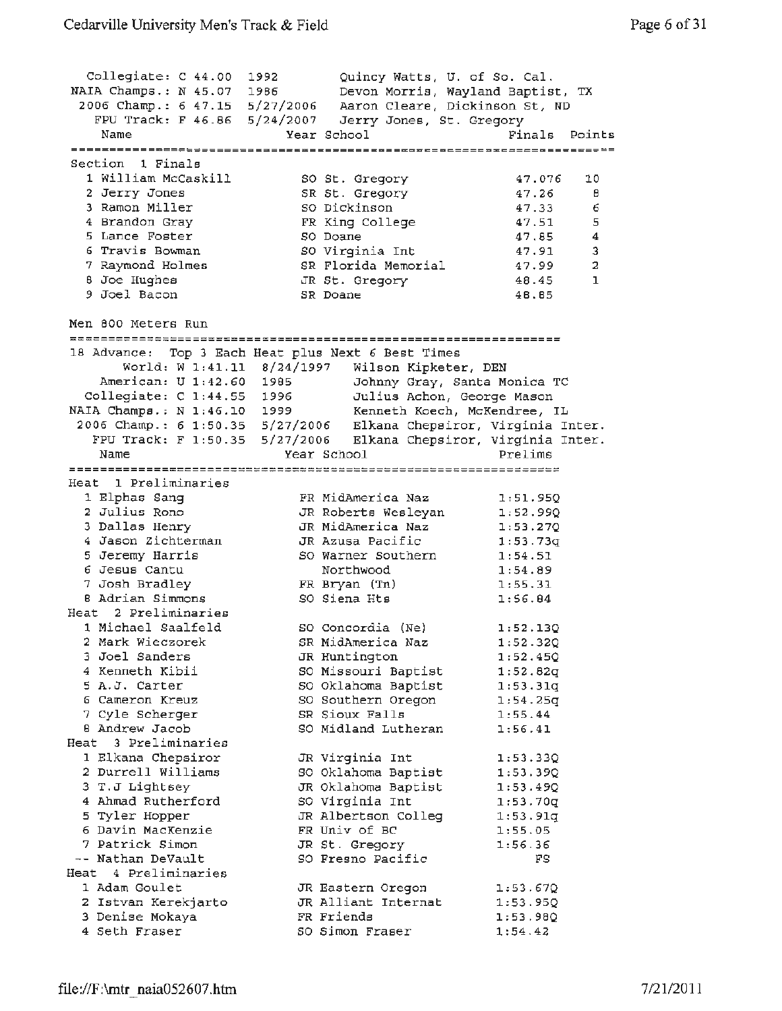Collegiate: C 44.00 Quincy Watts, U. of So. Cal. 1992 **NAIA** Champs . : N 45.07 Devon Morris, Wayland Baptist, TX 1986 Aaron Cleare, Dickinson St, ND 2006 Champ.: 6 47.15 5/27/2006 FPU Track: **F** 46.86 Jerry Jones, St. Gregory 5/24/2007 Name Year School **Finals** Points section 1 Finals<br>Section 1 Finals so St. Gregory 1 William McCaskill 47.076 10 <sup>2</sup>Jerry Jones SR St. Gregory 47.26 B 3 Ramon Miller so Dickinson 47.33 6 4 Brandon Gray **FR** King College 47.51 5 5 Lance Foster so Doane 47.85 4 so Virginia Int <sup>6</sup>Travis Bowman 47.91 3 SR Florida Memorial 7 Raymond Holmes 47.99 2 <sup>B</sup>Joe Hughes JR St. Gregory 48. 45 1 <sup>9</sup>Joel Bacon 48.85 **SR** Doane Men 800 Meters Run 18 Advance: Top 3 Each Heat plus Next 6 Best Times World: W 1:41.11 8/24/1997 Wilson Kipketer, DEN American: U 1:42.60 1985 Johnny Gray, Santa Monica TC Collegiate: C 1:44.55 1996 Julius Achon, George Mason NAIA Champs.: N 1 :46 .10 1999 Kenneth Keech, McKendree, IL 2006 Champ.: 6 1:50.35 5/27/2006 Elkana Chepsiror, Virginia Inter. FPU Track: F 1:50.35 5/27/2006 Elkana Chepsiror, Virginia Inter. Year School **Prelims** Name =======================~======================================== Heat 1 Preliminaries l Elphas Sang FR MidAmerica Naz l;Sl.95Q 2 Julius Rono JR Roberts Wesleyan 1:52.99Q 3 Dallas Henry JR MidAmerica Naz 1:53.27Q 4 Jason Zichterman JR Azusa Pacific 1:53.73q 5 Jeremy Harris so warner southern 1:54.51 <sup>6</sup>Jesus Cantu Northwood 1:54.89 7 Josh Bradley FR Bryan (Tn) 1:55.31 8 Adrian Simmons so Siena Hts 1:56.84 Heat 2 Preliminaries 1 Michael Saalfeld so Concordia (Ne) l:52.13Q 2 Mark Wieczorek SR MidAmerica Naz 1:52.32Q 3 Joel Sanders **JR** Huntington 1:52.45Q <sup>4</sup>Kenneth Kibii so Missouri Baptist l:52.82q 5 A.J. Carter so Oklahoma Baptist 1:53.3lq 6 Cameron Kreuz 50 Southern Oregon 1:54.25q 7 Cyle Scherger SR Sioux Falls 1:55.44 8 Andrew Jacob 30 Midland Lutheran 1:56.41 Heat 3 Preliminaries 1 Elkana Chepsiror JR Virginia Int l:53.33Q 2 Durrell Williams so Oklahoma Baptist l:53.39Q 3 T.J Lightsey JR Oklahoma Baptist 1:53.49Q 4 Ahmad Rutherford so Virginia Int 1:53.70q 5 Tyler Hopper **JR Albertson Colleg** 1:53.91q 6 Davin MacKenzie FR Univ of BC 1:55.05 7 Patrick *Simon* JR St. Gregory 1:56.36 Nathan DeVault So Fresno Pacific FS FS Heat 4 Preliminaries 1 Adam Goulet JR Eastern Oregon l:53.67Q <sup>2</sup>Istvan Kerekjarto JR Alliant Internat l:53.95Q <sup>3</sup>Denise Mokaya FR Friends l:53.98Q 4 Seth Fraser **SO Simon Fraser** 1:54.42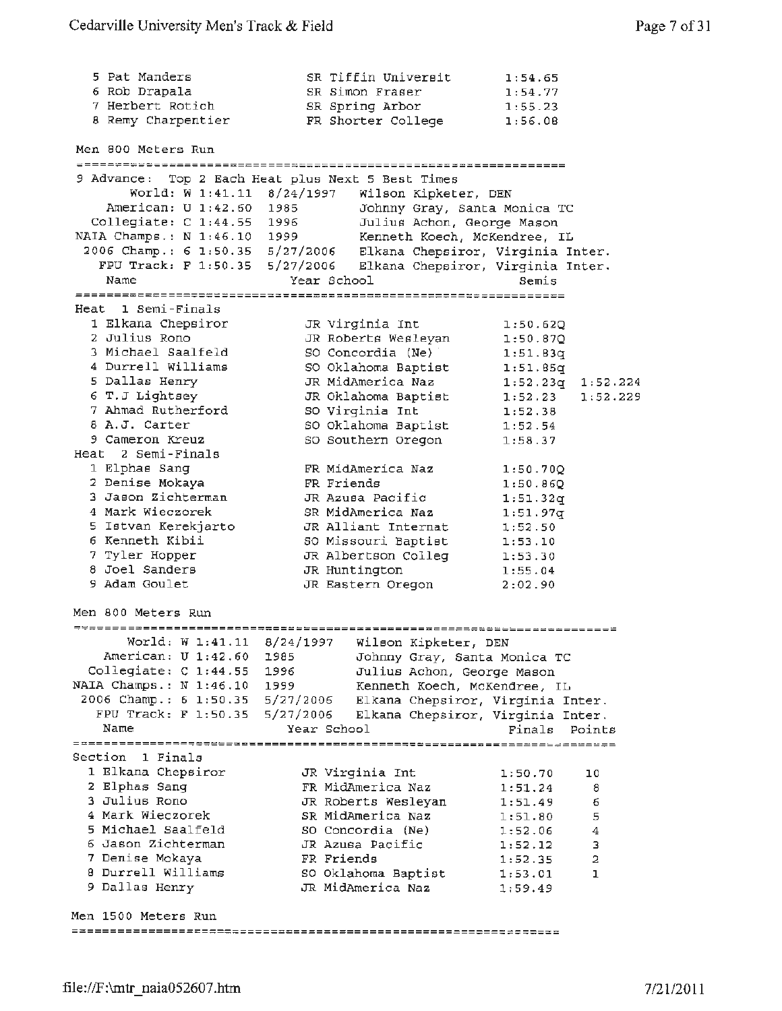| 5 Pat Manders<br>6 Rob Drapala<br>7 Herbert Rotich<br>8 Remy Charpentier                                                                                                                                                                                                                                                                                                                                                     | SR Tiffin Universit<br>SR Simon Fraser<br>SR Spring Arbor<br>FR Shorter College                                                                                                                                                                                                                                                                                                          | 1:54.65<br>1:54.77<br>1:55.23<br>1:56.08                                                                                                                                                                                            |
|------------------------------------------------------------------------------------------------------------------------------------------------------------------------------------------------------------------------------------------------------------------------------------------------------------------------------------------------------------------------------------------------------------------------------|------------------------------------------------------------------------------------------------------------------------------------------------------------------------------------------------------------------------------------------------------------------------------------------------------------------------------------------------------------------------------------------|-------------------------------------------------------------------------------------------------------------------------------------------------------------------------------------------------------------------------------------|
| Men 800 Meters Run                                                                                                                                                                                                                                                                                                                                                                                                           |                                                                                                                                                                                                                                                                                                                                                                                          |                                                                                                                                                                                                                                     |
| American: U 1:42.60 1985<br>Collegiate: C 1:44.55 1996<br>Name                                                                                                                                                                                                                                                                                                                                                               | 9 Advance: Top 2 Each Heat plus Next 5 Best Times<br>World: W 1:41.11 8/24/1997 Wilson Kipketer, DEN<br>Johnny Gray, Santa Monica TC<br>Julius Achon, George Mason<br>NAIA Champs.: N 1:46.10 1999 Kenneth Koech, McKendree, IL<br>2006 Champ.: 6 1:50.35 5/27/2006 Elkana Chepsiror, Virginia Inter.<br>FPU Track: F 1:50.35 5/27/2006 Elkana Chepsiror, Virginia Inter.<br>Year School | Semis                                                                                                                                                                                                                               |
|                                                                                                                                                                                                                                                                                                                                                                                                                              |                                                                                                                                                                                                                                                                                                                                                                                          |                                                                                                                                                                                                                                     |
| Heat 1 Semi-Finals<br>1 Elkana Chepsiror<br>2 Julius Rono<br>3 Michael Saalfeld<br>4 Durrell Williams<br>5 Dallas Henry<br>6 T.J Lightsey<br>7 Ahmad Rutherford<br>8 A.J. Carter<br>9 Cameron Kreuz<br>Heat 2 Semi-Finals<br>1 Elphas Sang<br>2 Denise Mokaya<br>3 Jason Zichterman<br>4 Mark Wieczorek<br>5 Istvan Kerekjarto<br>6 Kenneth Kibii<br>7 Tyler Hopper<br>8 Joel Sanders<br>9 Adam Goulet<br>Men 800 Meters Run | JR Virginia Int<br>JR Roberts Wesleyan<br>SO Concordia (Ne)<br>SO Oklahoma Baptist<br>JR MidAmerica Naz<br>JR Oklahoma Baptist<br>SO Virginia Int<br>SO Oklahoma Baptist<br>SO Southern Oregon<br>FR MidAmerica Naz<br>FR Friends<br>JR Azusa Pacific<br>SR MidAmerica Naz<br>JR Alliant Internat<br>SO Missouri Baptist<br>JR Albertson Colleg<br>JR Huntington<br>JR Eastern Oregon    | 1:50.62Q<br>1:50.870<br>1:51.83q<br>1:51.65q<br>1:52.23q<br>1:52.224<br>1:52.229<br>1:52.23<br>1:52.38<br>1:52.54<br>1:58.37<br>1:50.70Q<br>1:50.86Q<br>1:51.32q<br>1:51.97q<br>1:52.50<br>1:53.10<br>1:53.30<br>1:55.04<br>2:02.90 |
|                                                                                                                                                                                                                                                                                                                                                                                                                              |                                                                                                                                                                                                                                                                                                                                                                                          |                                                                                                                                                                                                                                     |
| World: W 1:41.11<br>American: U 1:42.60<br>Collegiate: C 1:44.55 1996<br>NAIA Champs.: N 1:46.10 1999<br>2006 Champ.: 6 1:50.35 5/27/2006<br>FPU Track: F 1:50.35<br>Name                                                                                                                                                                                                                                                    | 8/24/1997<br>Wilson Kipketer, DEN<br>Johnny Gray, Santa Monica TC<br>1985<br>Julius Achon, George Mason<br>Kenneth Koech, McKendree, IL<br>Elkana Chepsiror, Virginia Inter.<br>Elkana Chepsiror, Virginia Inter.<br>5/27/2006<br>Year School                                                                                                                                            | Finals<br>Points                                                                                                                                                                                                                    |
| Section 1 Finals                                                                                                                                                                                                                                                                                                                                                                                                             |                                                                                                                                                                                                                                                                                                                                                                                          |                                                                                                                                                                                                                                     |
| 1 Elkana Chepsiror<br>2 Elphas Sang<br>3 Julius Rono<br>4 Mark Wieczorek<br>5 Michael Saalfeld<br>6 Jason Zichterman<br>7 Denise Mokaya<br>8 Durrell Williams<br>9 Dallas Henry                                                                                                                                                                                                                                              | JR Virginia Int<br>FR MidAmerica Naz<br>JR Roberts Wesleyan<br>SR MidAmerica Naz<br>SO Concordia (Ne)<br>JR Azusa Pacific<br>FR Friends<br>SO Oklahoma Baptist<br>JR MidAmerica Naz                                                                                                                                                                                                      | 1:50.70<br>10<br>1:51.24<br>8<br>6<br>1:51.49<br>5<br>1:51.80<br>4<br>1:52.06<br>1:52.12<br>3<br>2<br>1:52.35<br>ı<br>1:53.01                                                                                                       |
| Men 1500 Meters Run                                                                                                                                                                                                                                                                                                                                                                                                          |                                                                                                                                                                                                                                                                                                                                                                                          | 1:59.49                                                                                                                                                                                                                             |

*-===========--------~------===========================--------==*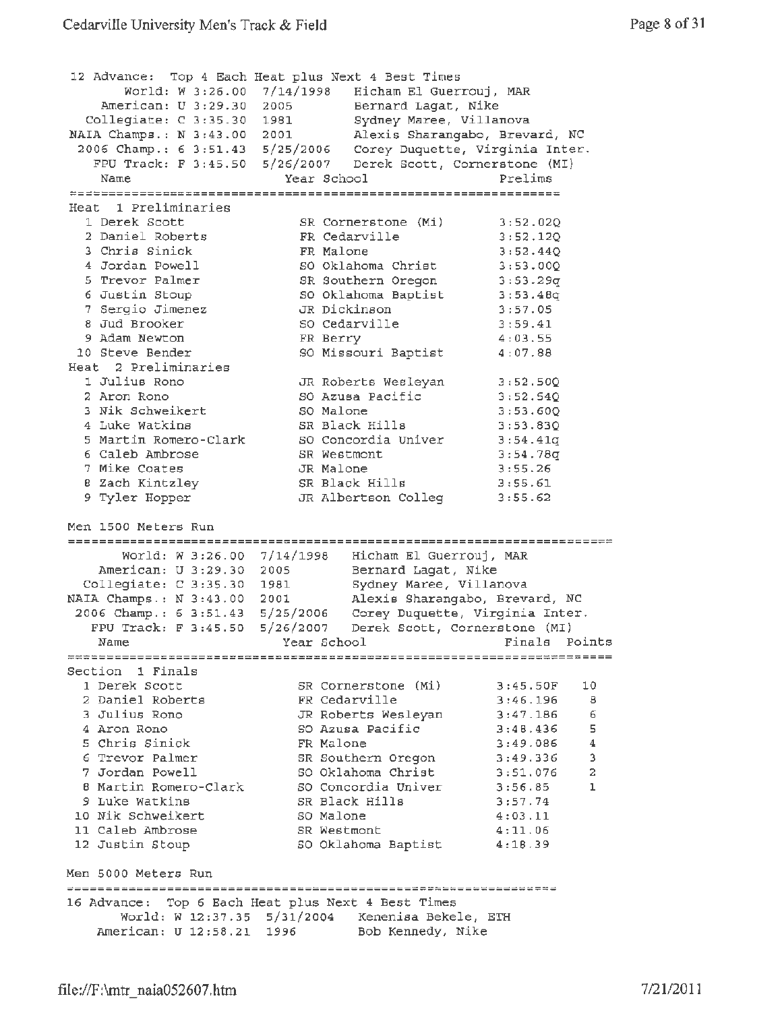```
12 Advance: Top 4 Each 
Heat plus Next 4 Best Times 
      World: W 3:26.00 
7/14/1998 Hicham El Guerrouj, MAR 
   American: U 3:29.30 
                     2005 Bernard Lagat, Nike 
  Collegiate: C 3:35.30 
                     1981 Sydney Maree, Villanova 
NAIA Champs.: N 3 :43. 00 
                     2001 Alexis Sharangabo, Brevard, NC 
                     5/25/2006 Corey Duquette, Virginia Inter. 
 2006 Champ.: 6 3:51.43 
                     5/26/2007 Derek Scott, Cornerstone (MI) 
   FPU Track: F 3:45.50 
   Name The President Contract School Prelims
Heat 1 Preliminaries 
  1 Derek Scott 
                         SR Cornerstone {Mi) 
                                               3:52.02Q 
                         FR Cedarville 
  2 Daniel Roberts
                                               3:52.12Q 
  3Chris sinick 
                                               3:52.44Q 
                         FR Malone 
                         SO Oklahoma Christ 
  4Jordan Powell 
                                               3:53.00Q 
  5 Trevor Palmer
                         SR Southern Oregon 
                                               3:53.29q 
  s siever renner<br>6 Justin Stoup
                         SO Oklahoma Baptist 
                                               3:53.48q 
  7Sergio Jimenez 
                                               3:57.05 
                         JR Dickinson 
  8Jud Brooker 
                         SO Cedarville 
                                               3:59.41 
                         FR Berry 
                                               4:03.55 
  9 Adam Newton 
 10 Steve Bender 
                         so Missouri Baptist 
                                               4:07.88 
Heat 2 Preliminaries 
  1 Julius Rona 
                         JR Roberts Wesleyan 
                                               3:52.50Q 
                         so Azusa Pacific 
  2Aron Rona 
                                               3:52.S4Q 
  3Nik Schweikert 
                                               3:53.60Q 
                         SO Malone 
                         SR Black Hills 
  4 Luke Watkins
                                               3:53.83Q 
  5 Martin Romero-Clark
                         SO Concordia Univer 
                                               3:54.41q 
  6Caleb Ambrose 
                                               3:54.78qSR Westmont 
  7 Mike Coates
                         JR Malone 
                                               3:55.26 
  8 Zach Kintzley 
                         SR Black Hills 
                                               3:55.61 
  9 Tyler Hopper 
                         JR Albertson Colleg 
                                               3:55.62 
Men 1500 Meters Run 
================================================================~====~= 
     World: w 3:26.00 7/14/1998 Hicham El Guerrouj, MAR 
   American: u 3:29.30 2005 Bernard Lagat 1Nike 
  Collegiate: C 3:35.30 1981 Sydney Maree, Villanova
NAIA Champs. : N 3:43.00 2001 Alexis Sharangabo, Brevard, NC 
 2006 champ.: 6 3 :51.43 5/25/2006 Corey Duquette, Virginia Inter. 
  FPU Track: F 3:45.50 5/26/2007 Derek Scott, Cornerstone (MI) 
   Name Year School Finals Points
Section 1 Finals 
  1 Derek Scott SR Cornerstone (Mi) 3:45.SOF 10 
  2 Daniel Roberts FR Cedarville 3:46.196 8
  3 Julius Rona JR Roberts Wesleyan 3:47.186 6 
  4Aron Rono so Azusa Pacific 3:48.436 5 
  5Chris Sinick FR Malone 3:49.086 4 
  6Trevor Palmer SR southern Oregon 3:49.336 3 
 7 Jordan Powell so Oklahoma Christ 3:51.076 2 
  8 Martin Romero-Clark so Concordia Univer 3:56.85 1
  9 Luke Watkins Search SR Black Hills 3:57.74
 10 Nik Schweikert so Malone 4:03.11 
 11 Caleb Ambrose SR Westmont 4:11.06
 12 Justin Stoup so Oklahoma Baptist 4:18.39 
Men 5000 Meters Run 
16 Advance: Top 6 Each Heat plus Next 4 Best Times 
     World: w 12:37.35 5/31/2004 Keneniaa Bekele, ETH 
   American: U 12:58.21 1996 Bob Kennedy, Nike
```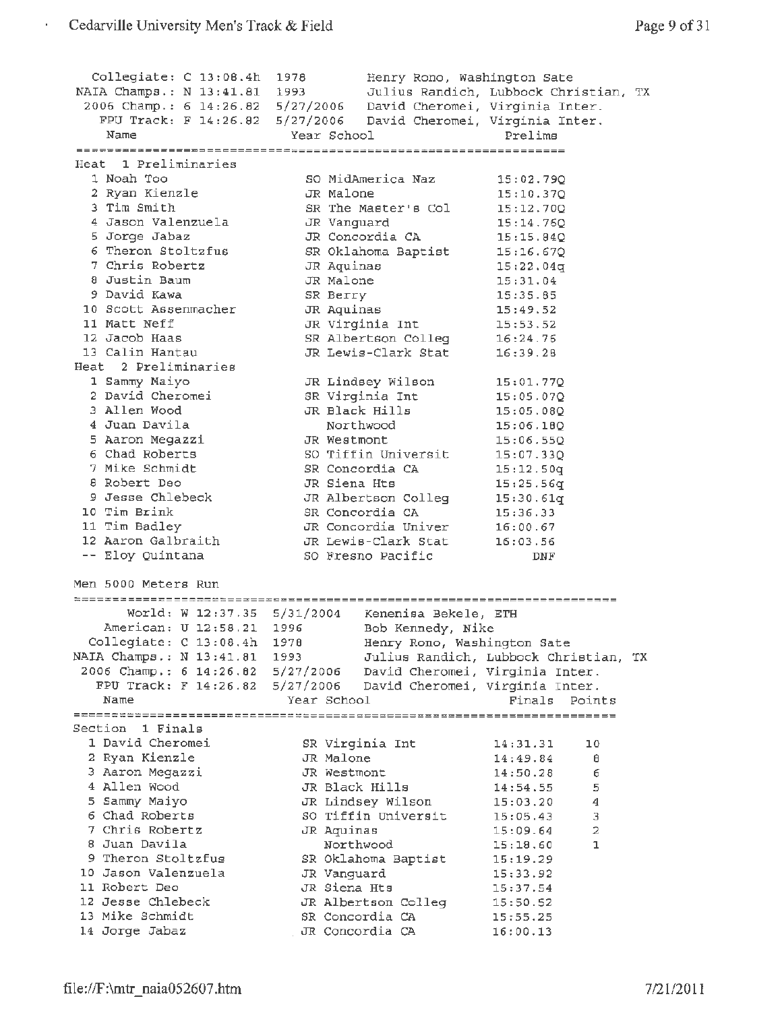Collegiate: C 13:08.4h NAIA Champs.: N 13:41.81 2006 Champ.: 6 14:26.82 FPU Track: F 14:26.82 5/27/2006 David Cheromei, Virginia Inter. Name Heat **1** Preliminaries 1 Noah Too 2 Ryan Kienzle 3 Tim Smith <sup>4</sup>Jason Valenzuela <sup>5</sup>Jorge Jabaz 6 Theron Stoltzfus <sup>7</sup>Chris Robertz 8 Justin Baum 9 David Kawa 10 Scott Assenmacher 11 Matt Neff 12 Jacob Haas 13 Calin Hantau 2 Preliminaries Sammy Maiyo David Cheromei Heat **1**  2 3 Allen Wood 4 Juan Davila 5 Aaron Megazzi <sup>6</sup>Chad Roberts 7 Mike Schmidt 8 Robert Deo 9 Jesse Chlebeck 10 Tim Brink 11 Tim Badley 12 Aaron Galbraith Eloy Quintana Men 5000 Meters Run 1978 Henry Rona, Washington Sate 1993 Julius Randich, 5/27/2006 David Cheromei, **Example 21 Year School** SO MidAmerica Naz JR Malone SR The Master's Col JR Vanguard JR Concordia CA SR Oklahoma Baptist JR Aquinas JR Malone SR Berry JR Aquinas JR Virginia Int SR Albertson Colleg JR Lewis-Clark Stat JR Lindsey Wilson SR Virginia Int JR Black Hills Northwood JR Westmont so Tiffin Universit SR Concordia CA JR Siena Hts JR Albertson Colleg SR Concordia CA JR Concordia Univer JR Lewis-Clark Stat so Fresno Pacific Lubbock Christian, Lubbock Christian, TX<br>Virginia Inter. Prelims 15:02.79Q 15:10.37Q 15:12.70Q 15:14.76Q 15:15.84Q 15:16.67Q l5;22.04q 15: 31. 04 15:35.85 15:49.52 15:53.52 16:24.76 16:39.28 15: 01. 77Q 15:05.0?Q 15:05.0SQ 15:06.lBQ 15:06.SSQ 15:07.33Q 15:12.50q 15:25.56q 15:30.61q 15:36.33 16:00.67 16:03.56 DNF *----========--=~--====================================---=---=---=-----* World: w 12:37.35 5/31/2004 Kenenisa Bekele, ETH American: U 12:58.21 1996 Bob Kennedy, Nike Collegiate: C 13:08.4h 1978 Henry Rono, Washington Sate NAIA Champs.: N 13:41.81 1993 Julius Randich, Lubbock Christian, TX 2006 Champ.: 6 14:26.82 5/27/2006 David Cheromei, Virginia Inter. FPU Track: F 14:26.82 S/27/2006 David Cheromei, Virginia Inter. Name Year School Finals Points *======~~~====================~~;=======================================*  Section 1 Finals 1 David Cheromei SR *Virginia* Int 14:31.31 10 2 Ryan Kienzle **JR Malone** 14:49.84 8 3 Aaron Megazzi JR Westmont 14:50.28 6 4 Allen Wood JR Black **Hills** 14:54.55 <sup>5</sup> <sup>5</sup>Sammy Maiyo JR Lindsey Wilson 15:03.20 <sup>4</sup> 6 Chad Roberts 30 Tiffin Universit 15:05.43 3 7 Chris Robertz JR Aquinas 15:09.64 2 8 Juan Davila Northwood 15:18.60 **<sup>1</sup>** 9 Theron Stoltzfus SR Oklahoma Baptist 15:19.29 10 Jason Valenzuela JR Vanguard 15:33.92 11 Robert Deo JR Siena Hts 15:37.54 12 Jesse Chlebeck JR Albertson Colleg 15:50.52 13 Mike Schmidt SR Concordia CA 15:55.25 14 Jorge Jabaz JR Concordia CA 16:00.13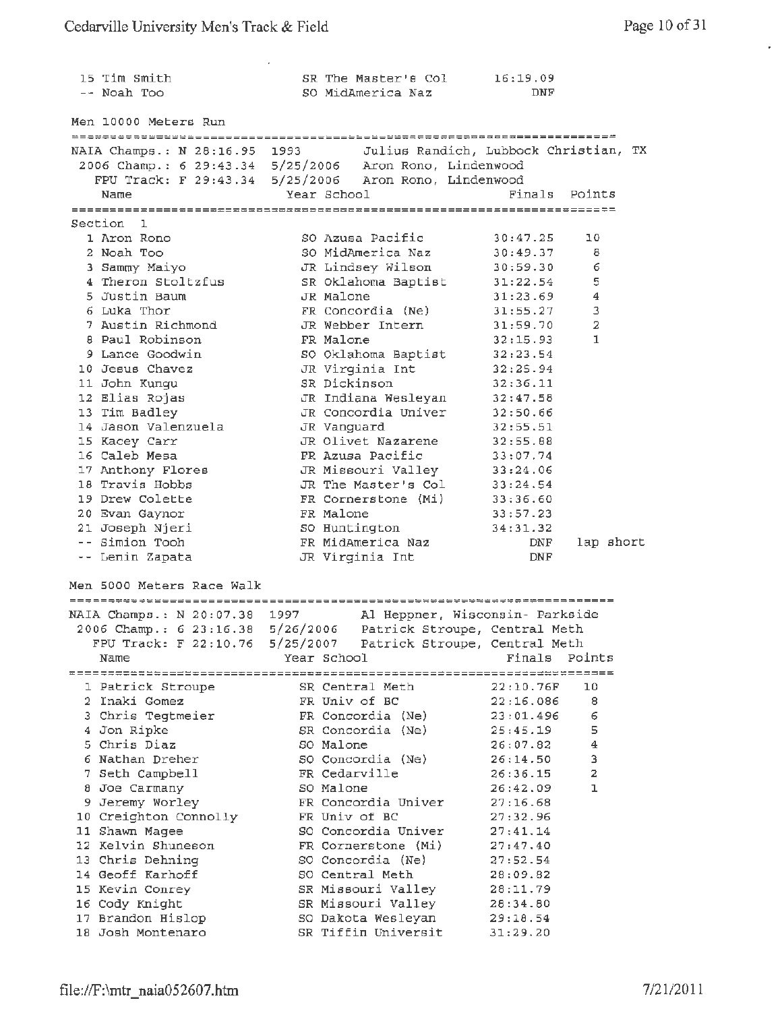$\hat{\mathcal{A}}$ 

 $\epsilon$ 

| 15 Tim Smith<br>-- Noah Too                                                                                                                       | SR The Master's Col<br>SO MidAmerica Naz   | 16:19.09<br>DNF                       |                |
|---------------------------------------------------------------------------------------------------------------------------------------------------|--------------------------------------------|---------------------------------------|----------------|
|                                                                                                                                                   |                                            |                                       |                |
| Men 10000 Meters Run                                                                                                                              |                                            |                                       |                |
| NAIA Champs.: N 28:16.95 1993<br>2006 Champ.: 6 29:43.34 5/25/2006 Aron Rono, Lindenwood<br>FPU Track: F 29:43.34 5/25/2006 Aron Rono, Lindenwood |                                            | Julius Randich, Lubbock Christian, TX |                |
| Name                                                                                                                                              | Year School                                | Finals                                | Points         |
|                                                                                                                                                   |                                            |                                       |                |
| Section 1<br>1 Aron Rono                                                                                                                          | SO Azusa Pacific                           | 30:47.25                              | 10             |
| 2 Noah Too                                                                                                                                        | SO MidAmerica Naz                          | 30:49.37                              | 8              |
| 3 Sammy Maiyo                                                                                                                                     | JR Lindsey Wilson                          | 30:59.30                              | 6              |
| 4 Theron Stoltzfus                                                                                                                                | SR Oklahoma Baptist                        | 31:22.54                              | 5              |
| 5 Justin Baum                                                                                                                                     | JR Malone                                  | 31:23.69                              | $\overline{4}$ |
| 6 Luka Thor                                                                                                                                       | FR Concordia (Ne)                          | 31:55.27                              | 3              |
| 7 Austin Richmond                                                                                                                                 | JR Webber Intern                           | 31:59.70                              | 2              |
| 8 Paul Robinson                                                                                                                                   | FR Malone                                  | 32:15.93                              | 1              |
| 9 Lance Goodwin                                                                                                                                   | SO Oklahoma Baptist                        | 32:23.54                              |                |
| 10 Jesus Chavez                                                                                                                                   | JR Virginia Int                            | 32:25.94                              |                |
| 11 John Kungu                                                                                                                                     | SR Dickinson                               | 32:36.11                              |                |
| 12 Elias Rojas                                                                                                                                    | JR Indiana Wesleyan                        | 32:47.58                              |                |
| 13 Tim Badley<br>14 Jason Valenzuela                                                                                                              | JR Concordia Univer                        | 32:50.66<br>32:55.51                  |                |
| 15 Kacey Carr                                                                                                                                     | JR Vanguard<br>JR Olivet Nazarene          | 32:55.88                              |                |
| 16 Caleb Mesa                                                                                                                                     | FR Azusa Pacific                           | 33:07.74                              |                |
| 17 Anthony Flores                                                                                                                                 | JR Missouri Valley                         | 33:24.06                              |                |
| 18 Travis Hobbs                                                                                                                                   | JR The Master's Col                        | 33:24.54                              |                |
| 19 Drew Colette                                                                                                                                   | FR Cornerstone (Mi)                        | 33:36.60                              |                |
| 20 Evan Gaynor                                                                                                                                    | FR Malone                                  | 33:57.23                              |                |
| 21 Joseph Njeri                                                                                                                                   | SO Huntington                              | 34:31.32                              |                |
| -- Simion Tooh                                                                                                                                    | FR MidAmerica Naz                          | DNF                                   | lap short      |
| -- Lenin Zapata                                                                                                                                   | JR Virginia Int                            | <b>DNF</b>                            |                |
| Men 5000 Meters Race Walk                                                                                                                         |                                            |                                       |                |
|                                                                                                                                                   |                                            |                                       |                |
| NAIA Champs.: N 20:07.38 1997 Al Heppner, Wisconsin- Parkside<br>2006 Champ.: 6 23:16.38 5/26/2006 Patrick Stroupe, Central Meth                  |                                            |                                       |                |
| FPU Track: F 22:10.76 5/25/2007 Patrick Stroupe, Central Meth                                                                                     |                                            |                                       |                |
| Name                                                                                                                                              | Year School                                | Finals                                | Points         |
| 1 Patrick Stroupe                                                                                                                                 | SR Central Meth                            | 22:10.76F                             | 10             |
| 2 Inaki Gomez                                                                                                                                     | FR Univ of BC                              | 22:16.086                             | 8              |
| 3 Chris Tegtmeier                                                                                                                                 | FR Concordia (Ne)                          | 23:01.496                             | 6              |
| 4 Jon Ripke                                                                                                                                       | SR Concordia (Ne)                          | 25:45.19                              | 5              |
| 5 Chris Diaz                                                                                                                                      | SO Malone                                  | 26:07.82                              | 4              |
| 6 Nathan Dreher                                                                                                                                   | SO Concordia (Ne)                          | 26:14.50                              | 3              |
| 7 Seth Campbell                                                                                                                                   | FR Cedarville                              | 26:36.15                              | $\overline{2}$ |
| 8 Joe Carmany                                                                                                                                     | SO Malone                                  | 26:42.09                              | ı              |
| 9 Jeremy Worley                                                                                                                                   | FR Concordia Univer                        | 27:16.68                              |                |
| 10 Creighton Connolly                                                                                                                             | FR Univ of BC                              | 27:32.96                              |                |
| 11 Shawn Magee<br>12 Kelvin Shuneson                                                                                                              | SO Concordia Univer<br>FR Cornerstone (Mi) | 27:41.14<br>27:47.40                  |                |
| 13 Chris Dehning                                                                                                                                  | SO Concordia (Ne)                          | 27:52.54                              |                |
| 14 Geoff Karhoff                                                                                                                                  | SO Central Meth                            | 28:09.82                              |                |
| 15 Kevin Conrey                                                                                                                                   | SR Missouri Valley                         | 28:11.79                              |                |
| 16 Cody Knight                                                                                                                                    | SR Missouri Valley                         | 28:34.80                              |                |
| 17 Brandon Hislop                                                                                                                                 | SO Dakota Wesleyan                         | 29:18.54                              |                |
| 18 Josh Montenaro                                                                                                                                 | SR Tiffin Universit                        | 31:29.20                              |                |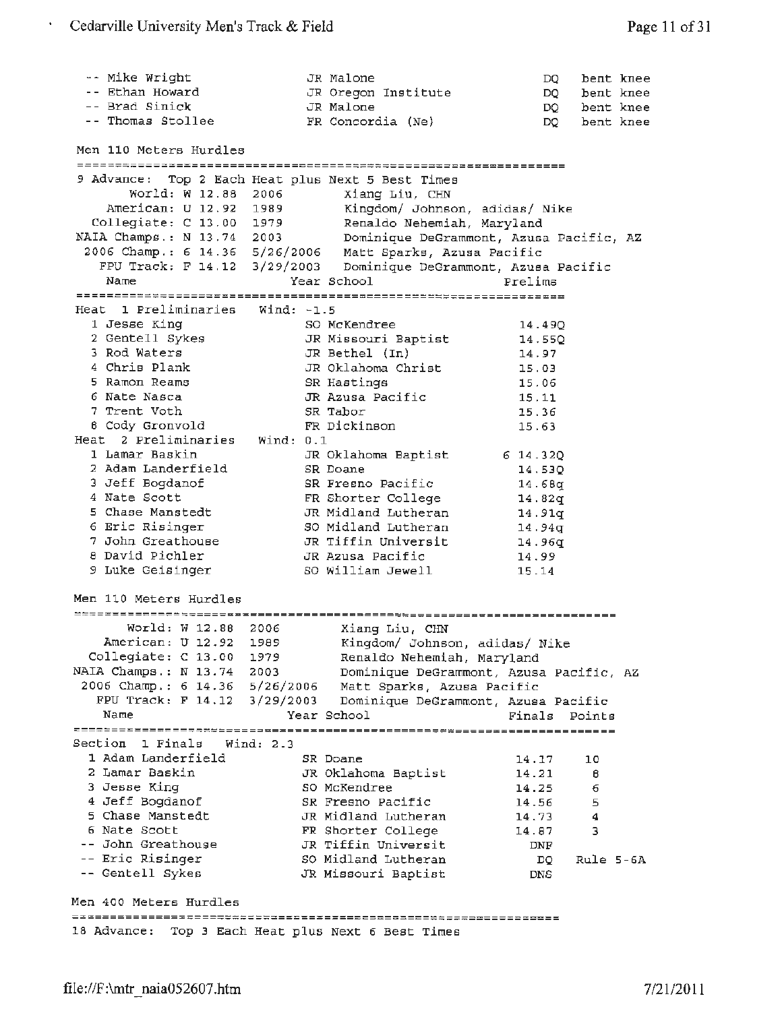Mike Wright bent knee JR Malone DQ JR Oregon Institute Ethan Howard bent knee DQ Brad Sinick bent knee JR Malone DQ Thomas Stollee bent knee FR Concordia (Ne) DQ Men 110 Meters Hurdles =======~===~==================================================== <sup>9</sup>Advance: Top 2 Each Heat plus Next 5 Best Times World: w 12.88 2006 Xiang Liu, CHN American: u 12. 92 1989 Kingdom/ Johnson, adidas/ Nike Collegiate: C 13. 00 1979 Renaldo Nehemiah, Maryland NAIA Champs . : N 13. 74 2003 Dominique DeGrammont, Azusa Pacific, **AZ**  2006 Champ.: 6 14 .36 5/26/2006 Matt Sparks, Azusa Pacific FPU Track: F 14.12 3/29/2003 Dominique DeGrammont, Azusa Pacific Name Year School Prelims Heat 1 Preliminaries Wind: -1.5 1 Jesse King SO McKendree 14.49Q 2 Gentell Sykes JR Missouri Baptist 14.550 3 Rod Waters **JR Bethel (In)** 14.97 4 Chris Plank JR Oklahoma Christ 15.03 5 Ramon Reams **SR Hastings** SR Hastings 15.06 <sup>6</sup>Nate Nasca JR Azusa Pacific 15 .11 7 Trent Voth SR Tabor SR Tabor 15.36 8 Cody Gronvold FR Dickinson 15.63 Heat 2 Preliminaries Wind: 0.1 1 Lamar Baskin JR Oklahoma Baptist 6 14.32Q 2 Adam Landerfield SR Doane 14.53Q 3 Jeff Bogdanof SR Fresno Pacific 14.6Bg 4 Nate Scott FR Shorter College 14.82q 5 Chase Manstedt JR Midland Lutheran 14.91q 6 Eric Risinger 50 Midland Lutheran 14.94q <sup>7</sup>John Greathouse JR Tiffin Universit 14.96g 8 David Pichler JR Azusa Pacific 14.99 <sup>9</sup>Luke Geisinger so William Jewell 15.14 Men 110 Meters Hurdles World: w 12.8B 2006 Xiang Liu, CHN American: u 12.92 1989 Kingdom/ Johnson, adidas/ Nike Collegiate: C 13.00 1979 Renaldo Nehemiah, Maryland NAIA Champs . ; N 13.74 2003 Dominique DeGrammont, Azusa Pacific, AZ 2006 Champ.: 6 14. 36 5/26/2006 Matt Sparks, Azusa Pacific FPU Track: F 14 .12 3/29/2003 Dominique DeGrammont, Azusa Pacific Name Year School Finals Points section 1 Finals Wind: 2.3 1 Adam Landerfield SR Doane 14.17 10 2 Lamar Baskin JR Oklahoma Baptist 14.21 <sup>8</sup> 3 Jesse King SO McKendree 14.25 6 <sup>4</sup>Jeff Bogdanof SR Fresno Pacific 14.56 <sup>5</sup> 5 Chase Manstedt JR Midland Lutheran 14.73 4 6 Nate Scott FR Shorter College 14.87 3 John Greathouse JR Tiffin Universit DNF Eric Risinger 50 SO Midland Lutheran 50 DQ Rule 5-6A Gentell Sykes **JR Missouri Baptist** DNS Men 400 Meters Hurdles 18 Advance: Top 3 Each Heat plus Next 6 Best Times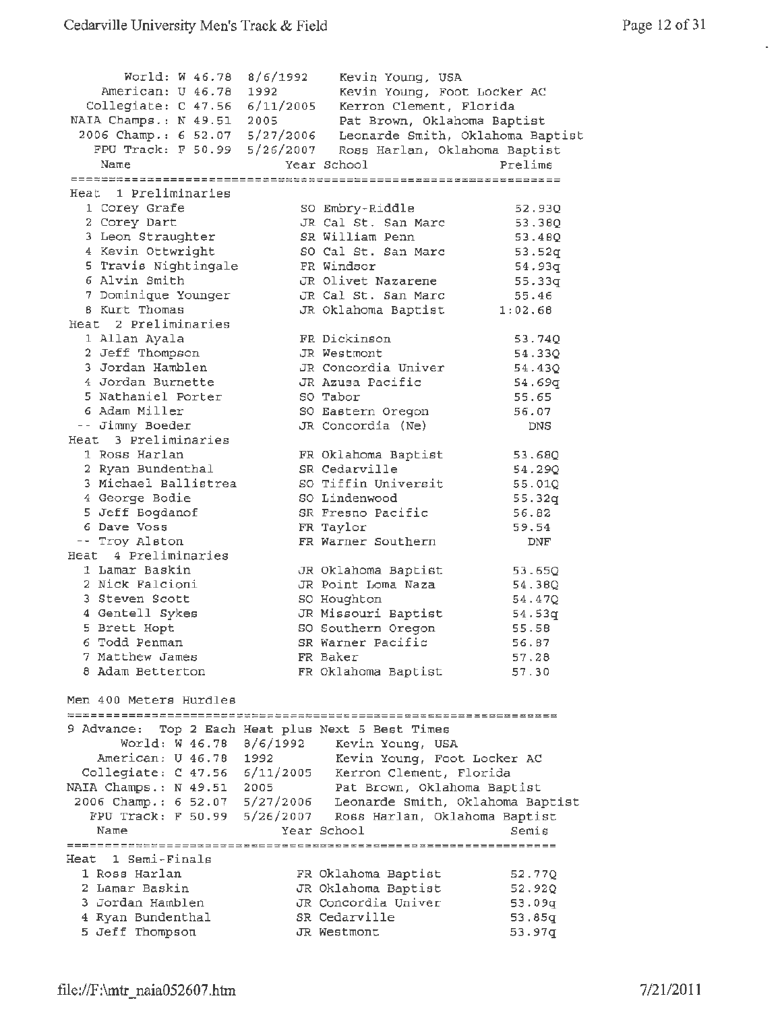World: w 46.78 8/6/1992 Kevin Young, USA American: U 46.78 1992 Kevin Young, Foot Locker AC Collegiate: C 47.56 6/11/2005 Kerron Clement, Florida 2005 Pat Brown, Oklahoma Baptist NAIA Champs.: N 49.51 S/27/2006 Leonarde Smith, Oklahoma Baptist 2006 Champ.; 6 52.07 FPU Track: F 50.99 5/26/2007 Ross Harlan, Oklahoma Baptist Year school Prelims Name Heat 1 Preliminaries 1 Corey Grafe SO Embry-Riddle 52.93Q 2 Corey Dart JR Cal St. San Marc 53.38Q 3 Leon Straughter SR William Penn 53.48Q so Cal St. San Marc 4 Kevin Ottwright 53.52q 5 Travis Nightingale 54.93q FR Windsor <sup>6</sup>Alvin Smith JR Olivet Nazarene 55.33q JR Cal St. San Marc 7 Dominique Younger 55.46 JR Oklahoma Baptist 1:02.68 <sup>8</sup>Kurt Thomas Heat 2 Preliminaries 1 Allan Ayala FR Dickinson 53.74Q 2 Jeff Thompson 54.33Q JR Westmont <sup>3</sup>Jordan Hamblen JR Concordia Univer 54.43Q 4 Jordan Burnette JR Azusa Pacific 54.69g 5 Nathaniel Porter SO Tabor 55.65 <sup>6</sup>Adam Miller so Eastern Oregon 56.07 Jimmy Boeder JR Concordia (Ne) DNS Heat 3 Preliminaries FR Oklahoma Baptist 1 Ross Harlan 53.68Q 2 Ryan Bundenthal SR Cedarville 54.29Q - 11 december - 12 december - 12 december - 12 december - 13 december - 13 december - 13 december - 13 december - 13 december - 13 december - 13 december - 13 december - 13 december - 13 december - 13 december - 13 decembe so Tiffin Universit 55.0lQ <sup>4</sup>George Bodie 55.32q SO Lindenwood 5 Jeff Bogdanof SR Fresno Pacific 56.82 FR Taylor <sup>6</sup>Dave Voss 59.54 Troy Alston FR Warner Southern DNF Heat 4 Preliminaries JR Oklahoma Baptist 1 Lamar Baskin 53.65Q 2 Nick Falcioni JR Point Loma Naza 54.38Q 3 Steven Scott so Houghton 54.47Q 4 Gentell Sykes JR Missouri Baptist 54.53q <sup>5</sup>Brett Hopt SO Southern Oregon 55 .SB SR Warner Pacific 6 Todd Penman 56.87 7 Matthew James FR Baker 57.28 8 Adam Betterton FR Oklahoma Baptist 57. 30 Men 400 Meters Hurdles 9 Advance: Top 2 Each Heat plus Next 5 Best Times World: W 46.78 8/6/1992 Kevin Young, USA American: U 46.78 1992 Kevin Young, Foot Locker AC Collegiate: C 47.56 6/11/2005 Kerron Clement, Florida Pat Brown, Oklahoma Baptist NAIA Champs.; N 49.51 2005 5/27/2006 Leonarde Smith, Oklahoma Baptist 2006 Champ.: 6 52.07 FPU Track: F 50.99 Ross Harlan, Oklahoma Baptist 5/26/2007 Year School School Semis Name Heat 1 Semi-Finals 1 Ross Harlan Oklahoma Baptist 52.77Q FR Oklahoma Baptist 52.92Q 2 Lamar Baskin JR <sup>3</sup>Jordan Hamblen Concordia Univer 53.09q JR

> SR JR

Cedarville 53.85q Westmont 53.97q

4 Ryan Bundenthal 5 Jeff Thompson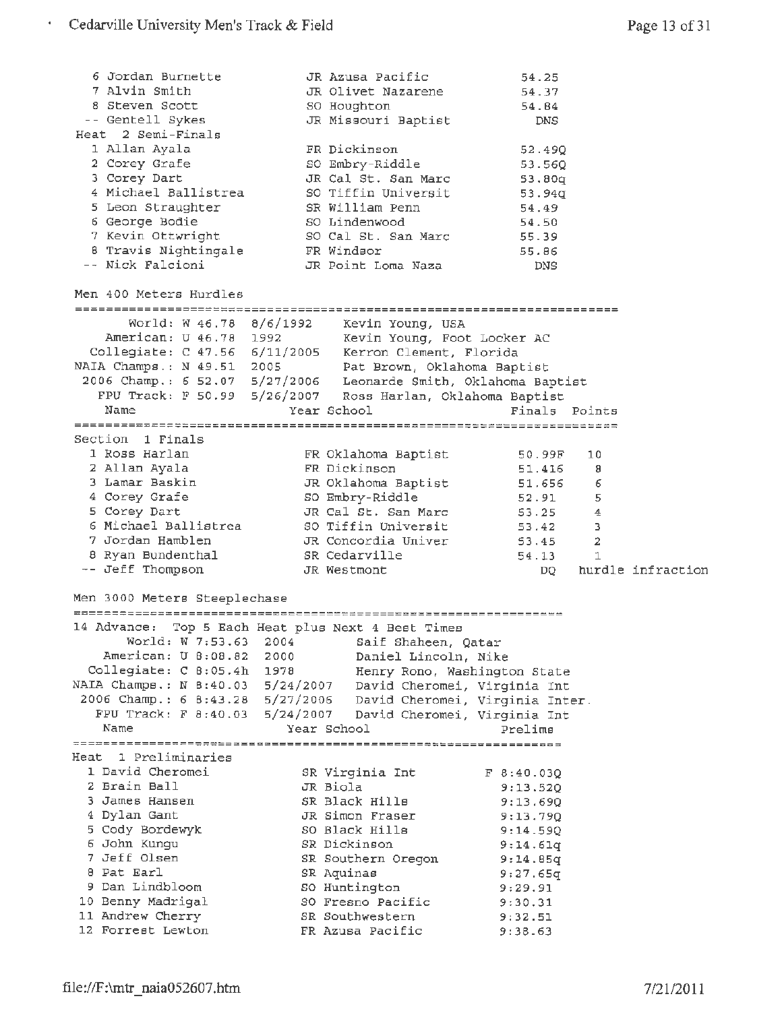| 6 Jordan Burnette<br>7 Alvin Smith<br>8 Steven Scott<br>-- Gentell Sykes<br>Heat 2 Semi-Finals<br>1 Allan Ayala<br>2 Corey Grafe<br>3 Corey Dart<br>4 Michael Ballistrea 60 Tiffin Universit<br>5 Leon Straughter<br>6 George Bodie                                                                              |      | JR Azusa Pacific<br>JR Olivet Nazarene<br>SO Houghton<br>JR Missouri Baptist<br>FR Dickinson<br>SO Embry-Riddle<br>JR Cal St. San Marc<br>SR William Penn<br>SO Lindenwood                      | 54.25<br>54.37<br>54.84<br><b>DNS</b><br>52.49Q<br>53.560<br>53.80q<br>53.94q<br>54.49<br>54.50                                 |                                                       |                   |
|------------------------------------------------------------------------------------------------------------------------------------------------------------------------------------------------------------------------------------------------------------------------------------------------------------------|------|-------------------------------------------------------------------------------------------------------------------------------------------------------------------------------------------------|---------------------------------------------------------------------------------------------------------------------------------|-------------------------------------------------------|-------------------|
| 7 Kevin Ottwright<br>8 Travis Nightingale<br>-- Nick Falcioni                                                                                                                                                                                                                                                    |      | SO Cal St. San Marc<br>FR Windsor<br>JR Point Loma Naza                                                                                                                                         | 55.39<br>55.86<br><b>DNS</b>                                                                                                    |                                                       |                   |
| Men 400 Meters Hurdles                                                                                                                                                                                                                                                                                           |      |                                                                                                                                                                                                 |                                                                                                                                 |                                                       |                   |
| American: U 46.78 1992<br>Collegiate: C 47.56 6/11/2005 Kerron Clement, Florida<br>NAIA Champs.: N 49.51 2005<br>VAIA Champs.: N 49.51 2005 Pat Brown, Oklahoma Baptist<br>2006 Champ.: 6 52.07 5/27/2006 Leonarde Smith, Oklahoma Baptist<br>FPU Track: F 50.99 5/26/2007 Ross Harlan, Oklahoma Baptist<br>Name |      | World: W 46.78 8/6/1992 Kevin Young, USA<br>Kevin Young, Foot Locker AC<br>Year School                                                                                                          | Finals Points                                                                                                                   |                                                       |                   |
| Section 1 Finals<br>1 Ross Harlan<br>2 Allan Ayala<br>3 Lamar Baskin<br>4 Corey Grafe<br>5 Corey Dart<br>6 Michael Ballistrea<br>3 Iordan Hamblen<br>7 Jordan Hamblen<br>8 Ryan Bundenthal<br>-- Jeff Thompson                                                                                                   |      | FR Oklahoma Baptist<br>FR Dickinson<br>JR Oklahoma Baptist<br>SO Embry-Riddle<br>JR Cal St. San Marc<br>SO Tiffin Universit<br>JR Concordia Univer<br>SR Cedarville<br>JR Westmont              | 50.99F<br>51.416<br>51.656<br>52.91<br>53.25 4<br>53.45<br>54.13<br>DQ.                                                         | 10<br>8<br>6<br>5<br>В<br>$\mathbf 2$<br>$\mathbf{1}$ | hurdle infraction |
| Men 3000 Meters Steeplechase                                                                                                                                                                                                                                                                                     |      |                                                                                                                                                                                                 |                                                                                                                                 |                                                       |                   |
| 14 Advance: Top 5 Each Heat plus Next 4 Best Times<br>American: U 8:08.82<br>Collegiate: C 8:05.4h 1978<br>NAIA Champs.: N 8:40.03 5/24/2007 David Cheromei, Virginia Int<br>2006 Champ.: 6 8:43.28 5/27/2006 David Cheromei, Virginia Inter.<br>FPU Track: F 8:40.03 5/24/2007<br>Name                          | 2000 | World: W 7:53.63 2004 Saif Shaheen, Qatar<br>Daniel Lincoln, Nike<br>Henry Rono, Washington State<br>David Cheromei, Virginia Int<br>Year School                                                | Prelime                                                                                                                         |                                                       |                   |
| Heat 1 Preliminaries                                                                                                                                                                                                                                                                                             |      |                                                                                                                                                                                                 |                                                                                                                                 |                                                       |                   |
| 1 David Cheromei<br>2 Brain Ball<br>3 James Hansen<br>4 Dylan Gant<br>5 Cody Bordewyk<br>6 John Kungu<br>7 Jeff Olsen<br>8 Pat Earl<br>9 Dan Lindbloom<br>10 Benny Madrigal<br>11 Andrew Cherry                                                                                                                  |      | SR Virginia Int<br>JR Biola<br>SR Black Hills<br>JR Simon Fraser<br>SO Black Hills<br>SR Dickinson<br>SR Southern Oregon<br>SR Aquinas<br>SO Huntington<br>SO Fresno Pacific<br>SR Southwestern | F 8:40.03Q<br>9:13.52Q<br>9:13.69Q<br>9:13.790<br>9:14.59Q<br>9:14.61q<br>9:14.85q<br>9:27.65q<br>9:29.91<br>9:30.31<br>9:32.51 |                                                       |                   |
| 12 Forrest Lewton                                                                                                                                                                                                                                                                                                |      | FR Azusa Pacific                                                                                                                                                                                | 9:38.63                                                                                                                         |                                                       |                   |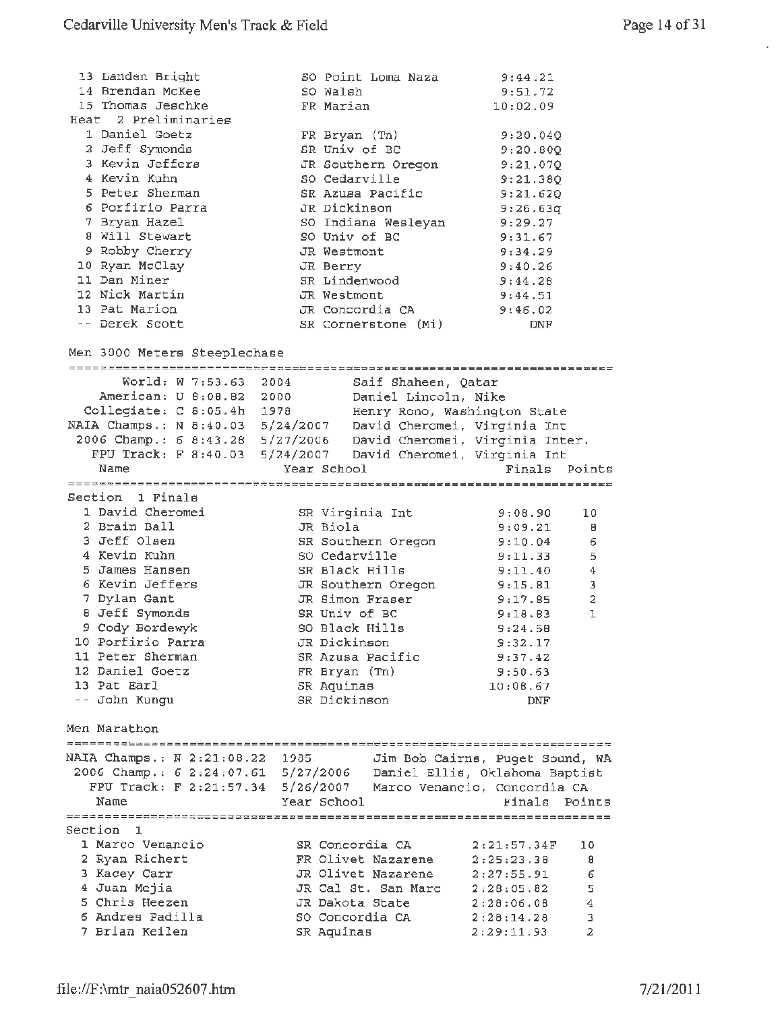$\epsilon$ 

| 13 Landen Bright<br>14 Brendan McKee<br>15 Thomas Jeschke | SO Point Loma Naza<br>SO Walsh<br>FR Marian                                                                                                                                                   | 9:44.21<br>9:51.72<br>10:02.09             |
|-----------------------------------------------------------|-----------------------------------------------------------------------------------------------------------------------------------------------------------------------------------------------|--------------------------------------------|
| Heat 2 Preliminaries<br>1 Daniel Goetz<br>2 Jeff Symonds  | FR Bryan (Tn)<br>SR Univ of BC                                                                                                                                                                | 9:20.04Q<br>9:20.800                       |
| 3 Kevin Jeffers<br>4 Kevin Kuhn                           | JR Southern Oregon<br>SO Cedarville                                                                                                                                                           | 9:21.070<br>9:21.38Q                       |
| 5 Peter Sherman                                           | SR Azusa Pacific                                                                                                                                                                              | 9:21.620                                   |
| 6 Porfirio Parra<br>7 Bryan Hazel                         | JR Dickinson<br>SO Indiana Wesleyan                                                                                                                                                           | 9:26.63q<br>9:29.27                        |
| 8 Will Stewart                                            | SO Univ of BC                                                                                                                                                                                 | 9:31.67                                    |
| 9 Robby Cherry                                            | JR Westmont                                                                                                                                                                                   | 9:34.29                                    |
| 10 Ryan McClay                                            | JR Berry                                                                                                                                                                                      | 9:40.26                                    |
| 11 Dan Miner<br>12 Nick Martin                            | SR Lindenwood<br>JR Westmont                                                                                                                                                                  | 9:44.28<br>9:44.51                         |
| 13 Pat Marion                                             | JR Concordia CA                                                                                                                                                                               | 9:46.02                                    |
| -- Derek Scott                                            | SR Cornerstone (Mi)                                                                                                                                                                           | <b>DNF</b>                                 |
| Men 3000 Meters Steeplechase                              |                                                                                                                                                                                               |                                            |
| World: W 7:53.63 2004                                     | Saif Shaheen, Qatar                                                                                                                                                                           |                                            |
|                                                           | American: U 8:08.82 2000 Daniel Lincoln, Nike                                                                                                                                                 |                                            |
| Collegiate: C 8:05.4h 1978                                | Collegiate: C 8:05.4h 1978 Henry Rono, Washington State<br>NAIA Champs.: N 8:40.03 5/24/2007 David Cheromei, Virginia Int<br>2006 Champ.: 6 8:43.28 5/27/2006 David Cheromei, Virginia Inter. |                                            |
|                                                           |                                                                                                                                                                                               |                                            |
|                                                           | FPU Track: F 8:40.03 5/24/2007 David Cheromei, Virginia Int                                                                                                                                   |                                            |
| Name                                                      | Year School                                                                                                                                                                                   | Finals<br>Points                           |
| Section 1 Finals                                          |                                                                                                                                                                                               |                                            |
| 1 David Cheromei                                          | SR Virginia Int                                                                                                                                                                               | 9:08.90<br>10                              |
| 2 Brain Ball                                              | JR Biola                                                                                                                                                                                      | 9:09.21<br>θ                               |
| 3 Jeff Olsen                                              | SR Southern Oregon                                                                                                                                                                            | 6<br>9:10.04                               |
| 4 Kevin Kuhn                                              | SO Cedarville                                                                                                                                                                                 | 5<br>9:11.33                               |
| 5 James Hansen<br>6 Kevin Jeffers                         | SR Black Hills<br>JR Southern Oregon                                                                                                                                                          | $\bf 4$<br>9:11.40<br>9:15.81<br>3         |
| 7 Dylan Gant                                              | JR Simon Fraser                                                                                                                                                                               | $\overline{a}$<br>9:17.85                  |
| 8 Jeff Symonds                                            | SR Univ of BC                                                                                                                                                                                 | ı<br>9:18.83                               |
| 9 Cody Bordewyk                                           | SO Black Hills                                                                                                                                                                                | 9:24.58                                    |
| 10 Porfirio Parra                                         | JR Dickinson                                                                                                                                                                                  | 9:32.17                                    |
| 11 Peter Sherman                                          | SR Azusa Pacific                                                                                                                                                                              | 9:37.42                                    |
| 12 Daniel Goetz<br>13 Pat Earl                            | FR Bryan (Tn)<br>SR Aquinas                                                                                                                                                                   | 9:50.63<br>10:08.67                        |
| -- John Kungu                                             | SR Dickinson                                                                                                                                                                                  | DNF                                        |
| Men Marathon                                              |                                                                                                                                                                                               |                                            |
| NAIA Champs.: N 2:21:08.22 1985                           |                                                                                                                                                                                               | Jim Bob Cairns, Puget Sound, WA            |
|                                                           | 2006 Champ.: 6 2:24:07.61 5/27/2006  Daniel Ellis, Oklahoma Baptist                                                                                                                           |                                            |
| FPU Track: F 2:21:57.34 5/26/2007                         |                                                                                                                                                                                               | Marco Venancio, Concordia CA               |
| Name                                                      | Year School                                                                                                                                                                                   | Finals<br>Points                           |
| Section 1                                                 |                                                                                                                                                                                               |                                            |
| 1 Marco Venancio                                          | SR Concordia CA                                                                                                                                                                               | 2:21:57.34F<br>10                          |
| 2 Ryan Richert                                            | FR Olivet Nazarene 2:25:23.38                                                                                                                                                                 | 8                                          |
| 3 Kacey Carr                                              | JR Olivet Nazarene 2:27:55.91                                                                                                                                                                 | 6                                          |
| 4 Juan Mejia                                              | JR Cal St. San Marc 2:28:05.82                                                                                                                                                                | 5                                          |
| 5 Chris Heezen<br>6 Andres Padilla                        | JR Dakota State<br>SO Concordia CA                                                                                                                                                            | $\overline{4}$<br>2:28:06.08<br>3          |
| 7 Brian Keilen                                            | SR Aquinas                                                                                                                                                                                    | 2:28:14.28<br>$\overline{a}$<br>2:29:11.93 |
|                                                           |                                                                                                                                                                                               |                                            |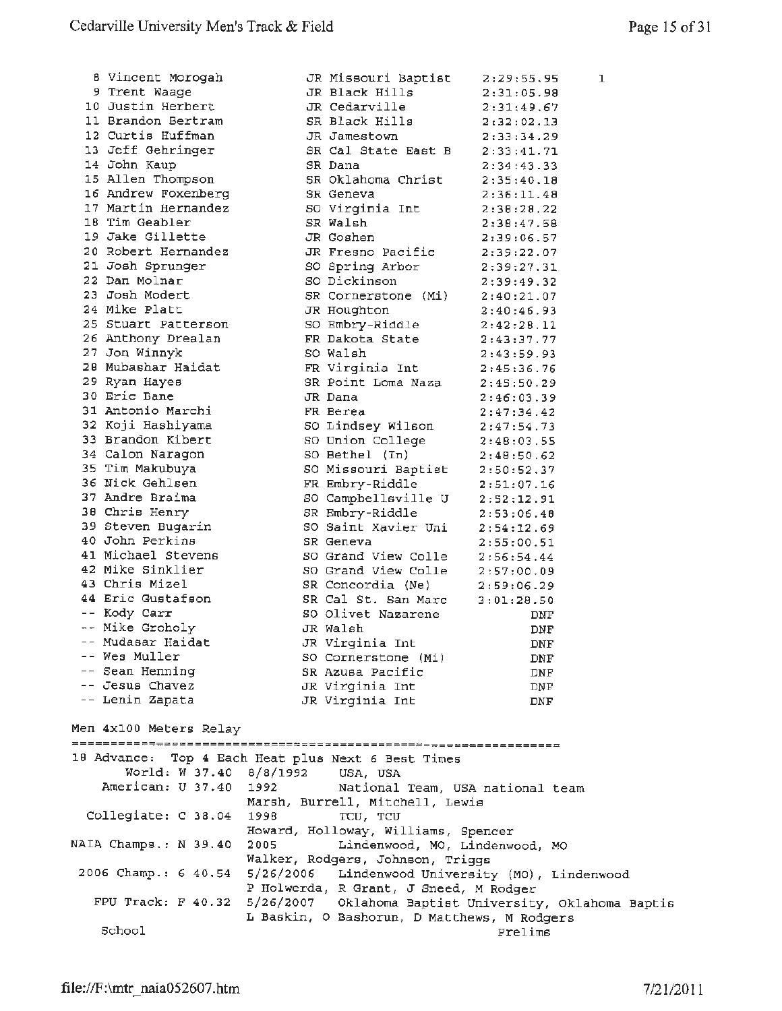| 8 Vincent Morogah                                                         |      | JR Missouri Baptist                                       | 2:29:55.95                                       | ı |
|---------------------------------------------------------------------------|------|-----------------------------------------------------------|--------------------------------------------------|---|
| 9 Trent Waage                                                             |      | JR Black Hills                                            | 2:31:05.98                                       |   |
| 10 Justin Herbert                                                         |      | JR Cedarville                                             | 2:31:49.67                                       |   |
| 11 Brandon Bertram                                                        |      | SR Black Hills <b>SR</b>                                  | 2:32:02.13                                       |   |
| 12 Curtis Huffman                                                         |      | JR Jamestown                                              | 2:33:34.29                                       |   |
| 13 Jeff Gehringer                                                         |      | SR Cal State East B                                       | 2:33:41.71                                       |   |
| 14 John Kaup                                                              |      | SR Dana                                                   | 2:34:43.33                                       |   |
| 15 Allen Thompson                                                         |      | SR Oklahoma Christ 2:35:40.18                             |                                                  |   |
| 16 Andrew Foxenberg                                                       |      | SR Geneva                                                 | 2:36:11.48                                       |   |
| 17 Martin Hernandez                                                       |      | SO Virginia Int                                           | 2:38:28.22                                       |   |
| 18 Tim Geabler                                                            |      | SR Walsh                                                  | 2:38:47.58                                       |   |
| 19 Jake Gillette                                                          |      | JR Goshen                                                 | 2:39:06.57                                       |   |
| 20 Robert Hernandez                                                       |      | JR Fresno Pacific 2:39:22.07                              |                                                  |   |
| 21 Josh Sprunger                                                          |      | SO Spring Arbor                                           | 2:39:27.31                                       |   |
| 22 Dan Molnar                                                             |      | SO Dickinson                                              | 2:39:49.32                                       |   |
| 23 Josh Modert                                                            |      | SR Cornerstone (Mi) 2:40:21.07                            |                                                  |   |
| 24 Mike Platt                                                             |      | JR Houghton                                               | 2:40:46.93                                       |   |
| 25 Stuart Patterson                                                       |      | SO Embry-Riddle                                           | 2:42:28.11                                       |   |
| 26 Anthony Drealan                                                        |      | FR Dakota State                                           | 2:43:37.77                                       |   |
| 27 Jon Winnyk<br>28 Mubashar Haidat                                       |      | SO Walsh                                                  | 2:43:59.93                                       |   |
|                                                                           |      | FR Virginia Int                                           | 2:45:36.76                                       |   |
| 29 Ryan Hayes<br>30 Eric Bane                                             |      | SR Point Loma Naza                                        | 2:45:50.29                                       |   |
| 31 Antonio Marchi                                                         |      | JR Dana                                                   | 2:46:03.39                                       |   |
| 32 Koji Hashiyama                                                         |      | FR Berea                                                  | 2:47:34.42                                       |   |
| 33 Brandon Kibert                                                         |      | SO Lindsey Wilson<br>SO Union College                     | 2:47:54.73                                       |   |
| 34 Calon Naragon                                                          |      | SO Bethel (In)                                            | 2:48:03.55                                       |   |
| 35 Tim Makubuya                                                           |      |                                                           | 2:48:50.62<br>2:50:52.37                         |   |
| 36 Nick Gehlsen                                                           |      | SO Missouri Baptist<br>FR Embry-Riddle<br>FR Embry-Riddle | 2:51:07.16                                       |   |
| 37 Andre Braima                                                           |      | SO Campbellsville U                                       | 2:52:12.91                                       |   |
| 38 Chris Henry                                                            |      | SR Embry-Riddle                                           | 2:53:06.48                                       |   |
| 39 Steven Bugarin                                                         |      | SO Saint Xavier Uni                                       | 2:54:12.69                                       |   |
| 40 John Perkins                                                           |      | SR Geneva                                                 | 2:55:00.51                                       |   |
| 41 Michael Stevens                                                        |      | SO Grand View Colle                                       | 2:56:54.44                                       |   |
| 42 Mike Sinklier                                                          |      | SO Grand View Colle                                       | 2:57:00.09                                       |   |
| 43 Chris Mizel                                                            |      | SR Concordia (Ne)                                         | 2:59:06.29                                       |   |
| 44 Eric Gustafson                                                         |      | SR Cal St. San Marc                                       | 3:01:28.50                                       |   |
| -- Kody Carr                                                              |      | SO Olivet Nazarene                                        | DNF                                              |   |
| -- Mike Groholy                                                           |      | JR Walsh                                                  | DNF                                              |   |
| -- Mudasar Haidat                                                         |      | JR Virginia Int                                           | DNF                                              |   |
| -- Wes Muller                                                             |      | SO Cornerstone (Mi)                                       | DNF                                              |   |
| -- Sean Henning                                                           |      | SR Azusa Pacific                                          | DNF                                              |   |
| -- Jesus Chavez                                                           |      | JR Virginia Int                                           | DNF                                              |   |
| -- Lenin Zapata                                                           |      | JR Virginia Int                                           | DNF                                              |   |
|                                                                           |      |                                                           |                                                  |   |
| Men 4x100 Meters Relay                                                    |      |                                                           |                                                  |   |
|                                                                           |      |                                                           |                                                  |   |
| 18 Advance: Top 4 Each Heat plus Next 6 Best Times                        |      |                                                           |                                                  |   |
| World: W 37.40 8/8/1992                                                   |      | USA, USA                                                  |                                                  |   |
| American: U 37.40                                                         | 1992 |                                                           | National Team, USA national team                 |   |
|                                                                           |      | Marsh, Burrell, Mitchell, Lewis                           |                                                  |   |
| Collegiate: C 38.04                                                       | 1998 | TCU, TCU                                                  |                                                  |   |
|                                                                           |      | Howard, Holloway, Williams, Spencer                       |                                                  |   |
| NAIA Champs.: N 39.40                                                     | 2005 |                                                           | Lindenwood, MO, Lindenwood, MO                   |   |
|                                                                           |      | Walker, Rodgers, Johnson, Triggs                          |                                                  |   |
| 2006 Champ.: 6 40.54                                                      |      |                                                           | 5/26/2006 Lindenwood University (MO), Lindenwood |   |
|                                                                           |      | P Holwerda, R Grant, J Sneed, M Rodger                    |                                                  |   |
| FPU Track: F 40.32 5/26/2007 Oklahoma Baptist University, Oklahoma Baptis |      | L Baskin, O Bashorun, D Matthews, M Rodgers               |                                                  |   |
| School                                                                    |      |                                                           | Prelims                                          |   |
|                                                                           |      |                                                           |                                                  |   |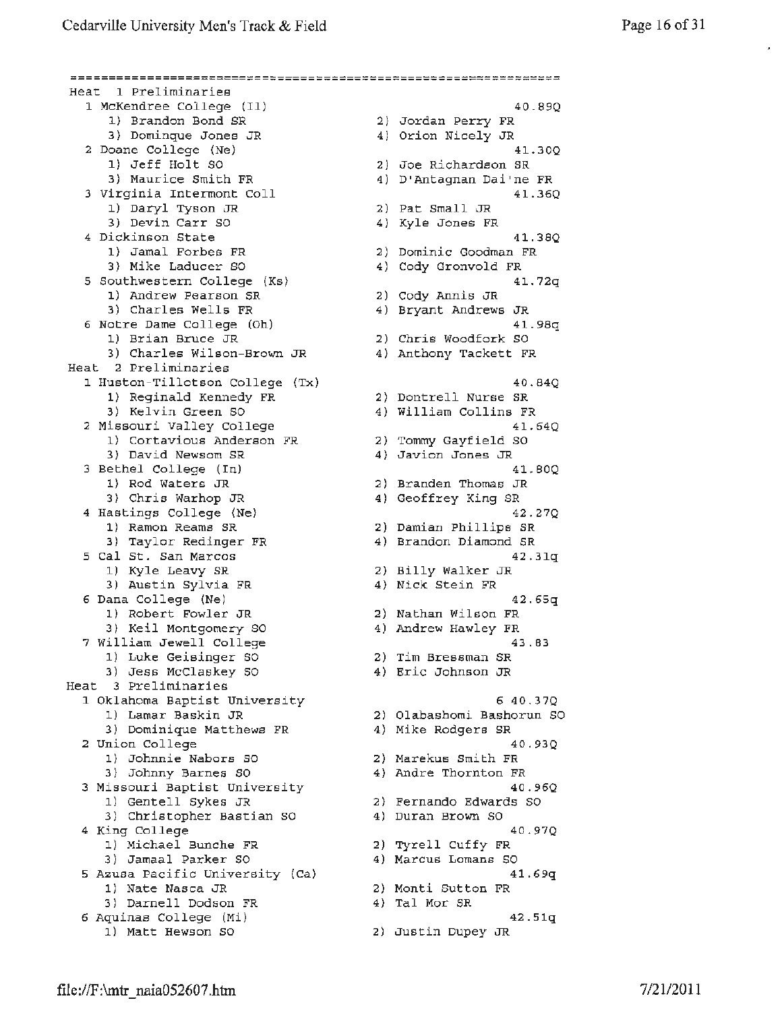$\lambda$ 

```
Heat 1 Preliminaries 
  1 McKendree College (Ill 
                                                         40.89Q 
                                        2) Jordan Perry FR 
     1) Brandon Bond SR 
     3) Dominque Jones JR 
                                        4) Orion Nicely JR 
  2 Doane College (Ne) 
                                                         41.30Q 
                                        2) Joe Richardson SR 
     1) Jeff Holt SO 
                                        4) D'Antagnan Dai'ne FR 
     3) Maurice Smith FR 
  3Virginia Interment Coll 
                                                         41. 36Q 
                                   2) Pat Small JR
     1) Daryl Tyson JR 
     3) Devin Carr so 
                                       4) Kyle Jones FR 
  4Dickinson State 
                                                         41. 38Q 
                                      2) Dominic Goodman FR 
     1) Jamal Forbes FR 
     3) Mike Laducer SO 
                                      4) Cody Gronvold FR
  5 Southwestern College (Ks) 
                                                         41. 72q 
                                      2) Cody Annis JR 
     1) Andrew Pearson SR 
     3) Charles Wells FR 
                                       4) Bryant Andrews JR 
  6 Notre Dame College (Oh) 
                                                         41.98q 
     1) Brian Bruce JR 
                                      2) Chris Woodfork so 
     3) Charles Wilson-Brown JR 
4) Anthony Tackett FR 
Heat 2 Preliminaries 
  1 Huston-Tillotson College (Tx) 
                                                         40.84Q 
     1) Reginald Kennedy FR 
                                      2) Dontrell Nurse SR 
                                     4) William Collins FR 
     3) Kelvin Green SO 
  2Missouri Valley College 
                                                         41.64Q 
     1) Cortavious Anderson FR 
2) Tommy Gayfield SO 
     3) David Newsom SR 
                                      4) Javion Jones JR 
  3 Bethel College (In) 
                                                         41. BOQ 
                                      2) Branden Thomas JR 
     1) Rod Waters JR 
                                       4) Geoffrey King SR 
     3) Chris Warhop JR 
  4 Hastings College (Ne) 
                                                         42.27Q 
                                        2) Damian Phillips SR 
     1) Ramon Reams SR 
                                        4) Brandon Diamond SR 
     3) Taylor Redinger FR 
  5Cal St. San Marcos 
                                                         42. 31q 
                                        2) Billy Walker JR 
     1) Kyle Leavy SR 
                                        4) Nick Stein FR 
     3) Austin Sylvia FR 
  6Dana College (Ne) 
                                                         42.6Sq 
                                        2) Nathan Wilson FR 
     1) Robert Fowler JR 
    3) Keil Montgomery so 
                                        4) Andrew Hawley FR 
 7William Jewell College 
                                                         43.83 
                                     2) Tim Bressman SR 
    1) Luke Geisinger so 
                                      4) Eric Johnson JR 
    3) Jess Mcclaskey so 
Heat 3 Preliminaries 
 at 3 ricinalistic<br>1 Oklahoma Baptist University
                                                      6 40.37Q 
                                    2) Olabashomi Bashorun SO 
    1) Lamar Baskin JR 
    3) Dominique Matthews FR 
                                     4) Mike Rodgers SR 
 2 Union College 
                                                         40.93Q 
                                    2) Marekus Smith FR 
    1) Johnnie Nabors SO 
    3) Johnny Barnes SO 
                                     4) Andre Thornton FR 
 3 Missouri Baptist University 
                                                         40.96Q 
     1) Gentell Sykes JR
                                       2) Fernando Edwards SO 
     3) Christopher Bastian SO 
                                       4) Duran Brown SO 
 4 King College
                                                         40.97Q 
                                     2) Tyrell Cuffy FR 
    1) Michael Bunche FR 
    3) Jamaal Parker so 
                                     4) Marcus Lomans SO
 s Azusa Pacific University (Ca) 
                                                         41. 69q 
                                     2) Monti Sutton FR 
    1) Nate Nasca JR 
    3) Darnell Dodson FR 
                                      4) Tal Mor SR 
                                                         42.Slq 
 6Aquinas College (Mi) 
                                     2) Justin Dupey JR 
    1) Matt Hewson SO
```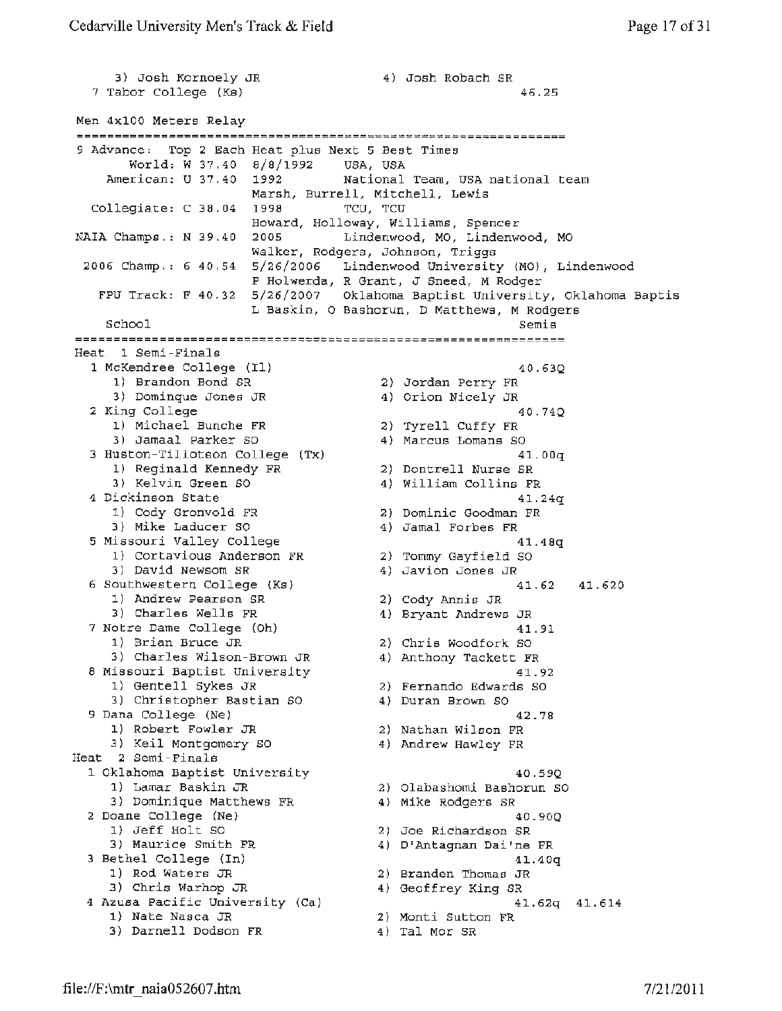3) Josh Kornoely JR 4) Josh Robach SR <sup>7</sup>Tabor College (Ks) 46.25 Men 4x100 Meters Relay 9 Advance: Top 2 Each Heat plus Next 5 Best Times World: W 37.40 8/8/1992 USA, USA American: U 37.40 1992 National Team, USA national team Marsh, Burrell, Mitchell, Lewis Collegiate: C 38.04 1998 TCU, TCU Howard, Holloway, Williams, Spencer NAIA Champs.: N 39.40 2005 Lindenwood, MO, Lindenwood, MO Walker, Rodgers, Johnson, Triggs 2006 Champ.: 6 40.54 5/26/2006 Lindenwood University (MO), Lindenwood P Holwerda, R Grant, J Sneed, M Rodger FPU Track: F 40.32 5/26/2007 Oklahoma Baptist University, Oklahoma Baptis L Baskin, 0 Bashorun, D Matthews, M Rodgers School Semis =================================----------=-=-================= Heat 1 Semi-Finals 1 McKendree College (Il) 40.63Q 2) Jordan Perry FR 1) Brandon Bond SR 3) Dominque Jones JR 4) Orion Nicely JR <sup>2</sup>King College 40.74Q 2) Tyrell Cuffy FR 1) Michael Bunche FR 3) Jamaal Parker so 4) Marcus Lomans SO 3 Huston-Tillotson College (Tx) 41.00q 1) Reginald Kennedy FR 2) Dontrell Nurse SR 3) Kelvin Green SO 4) William Collins FR 3) Kelvin Green SO<br>4 Dickinson State 41. 24q 1) Cody Gronvold FR 2) Dominic Goodman FR 4) Jamal Forbes FR 3) **Mike** Laducer SO <sup>5</sup>Missouri Valley College 41. 48g 1) cortavious Anderson FR 2) Tommy Gayfield SO 3) David Newsom SR 4) Javion Jones JR <sup>6</sup>Southwestern College (Ks) 41.62 41.620 2) Cody Annis JR 1) Andrew Pearson SR 4) Bryant Andrews JR 3) Charles Wells FR <sup>7</sup>Notre Dame College (Oh) 41.91 1) Brian Bruce JR 2) Chris Woodfork so 3) Charles Wilson-Brown JR 4) Anthony Tackett FR <sup>8</sup>Missouri Baptist University 41. 92 1) Gentell Sykes JR 2) Fernando Edwards so 3) Christopher Bastian SO 4) Duran Brown SO 9 Dana College (Ne) 42.78 **1)** Robert Fowler JR 1) Robert Fowler JR<br>3) Keil Montgomery SO 2) Nathan Wilson FR 4) Andrew Hawley FR Heat <sup>2</sup>Semi-Finals 1 Oklahoma Baptist University 40.59Q 1) Lamar Baskin JR 2) Olabashomi Bashorun SO 3) Dominique Matthews FR 4) Mike Rodgers SR <sup>2</sup>Doane College **(Ne}**  40.90Q 1) Jeff Holt so 2) Joe Richardson SR 3) Maurice Smith FR 4) D'Antagnan Dai'ne FR <sup>3</sup>Bethel College **(In)**  41. 40q 1) Rod Waters JR 2) Branden Thomas JR 3) Chris Warhop JR 4) Geoffrey King SR <sup>4</sup>Azusa Pacific University (Ca) 41.62q 41.614 1) Nate Nasca JR 3) Darnell Dodson FR 2) Monti Sutton FR 4) Tal Mor SR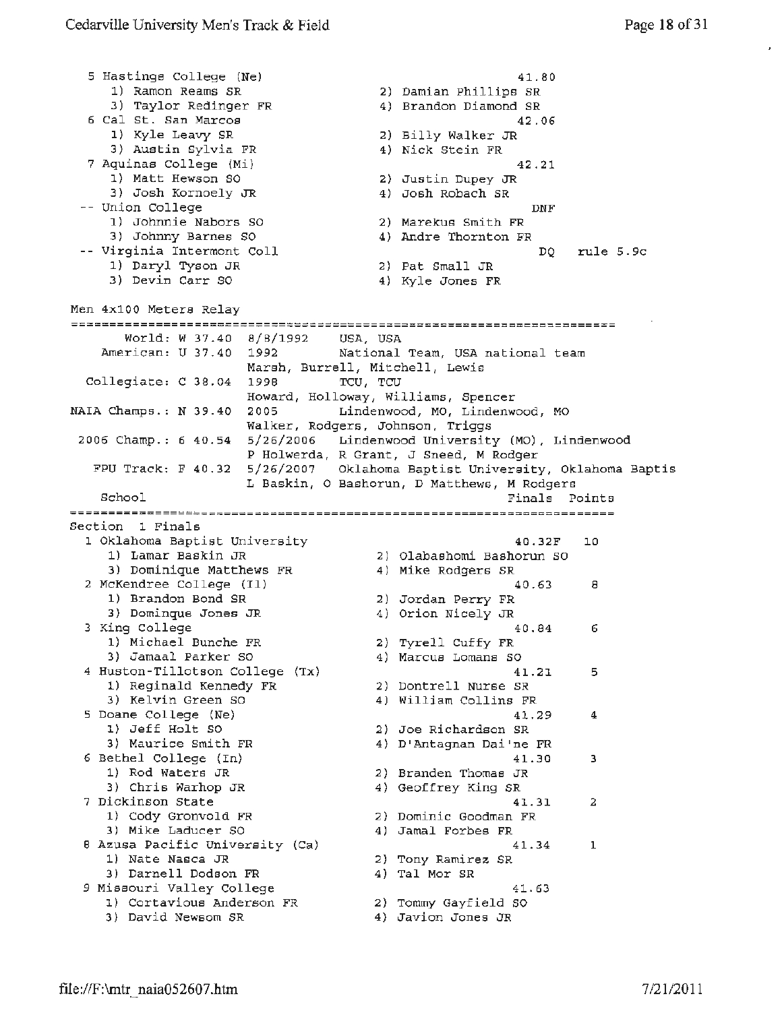$\mathbf{r}$ 

5 Hastings College (Ne) 41.80 1) Ramon Reams SR 2) Damian Phillips SR 3) Taylor Redinger FR 4) Brandon Diamond SR 6Cal St. San Marcos (2008) 2012.000 12.000 42.06 1) *Kyle* Leavy SR 2) Billy Walker JR 3) Austin Sylvia FR 4) Nick Stein FR 3) Austin Sylvia FR 4) Nick Stein FR 42.21 1) Matt Hewson SO 2) Justin Dupey JR 3) Josh Kornoely JR 4) Josh Robach SR -- Union College DNF 1) Johnnie Nabors SO 2) Marekus Smith FR 3) Johnny Barnes so 4) Andre Thornton FR Virginia Interment Coll DQ rule 5 . 9c 1) Daryl Tyson JR 2) Pat Small JR 4) Kyle Jones FR Men 4x100 Meters Relay World: w 37 .40 8/B/1992 USA, USA American: u 37.40 1992 National Team, USA national team Marsh, Burrell, Mitchell, Lewis Collegiate: C 38.04 1998 TCU, TCU Howard, Holloway, Williams, Spencer **NAIA** Champs . : N 39.40 2005 Lindenwood, MO, Lindenwood, MO Walker, Rodgers, Johnson, Triggs 2006 Champ.: 6 40.54 5/26/2006 Lindenwood University **(MO),** Linden wood P Holwerda, R Grant, J Sneed, M Rodger FPU Track: F 40.32 5/26/2007 Oklahoma Baptist University, Oklahoma Baptis L Baskin, 0 Bashorun, D Matthews, M Rodgers School section 1 Finals<br>Section 1 Finals 1 Oklahoma Baptist University 1) Lamar Baskin JR 3) Dominique Matthews FR <sup>2</sup>McKendree College (Il) 1) Brandon Bond SR 3) Dominque Jones JR <sup>3</sup>King College 1) Michael Bunche FR 3) Jamaal Parker so 4 Huston-Tillotson College (Tx) 1) Reginald Kennedy FR 3) Kelvin Green so <sup>5</sup>Doane College (Ne) 1) Jeff Holt so 3) Maurice Smith FR <sup>6</sup>Bethel College (In) 1) Rod Waters JR 3) Chris Warhop JR <sup>7</sup>Dickinson State 1) Cody Gronvold FR 3) Mike Laducer SO 8 Azusa Pacific University (Ca) nasa rasiire shi.<br>1) Nate Na<mark>sca</mark> JR 3) Darnell Dodson FR 9 Missouri Valley College 1) Cortavious Anderson FR 3) David Newsom SR Finals Points 40.32F 10 2) Olabashomi Bashorun so 4) Mike Rodgers SR 40.63 8 2) Jordan Perry FR 4) Orion Nicely JR 40.84 6 2) Tyrell Cuffy **FR**  4) Marcus Lomans so 41.21 <sup>5</sup> 2) Dontrell Nurse SR **4)** William Collins **FR**  41. 29 **<sup>4</sup>** 2) Joe Richardson SR **4)** D'Antagnan Dai'ne FR 41.30 <sup>3</sup> 2) Branden Thomas JR 4) Geoffrey *King* SR 41. 31 2 2) Dominic Goodman FR 4) Jamal Forbes FR 41. 34 1 2) Tony Ramirez SR 4) Tal Mor SR 41.63 2) Tommy Gayfield SO 4) Javion Jones JR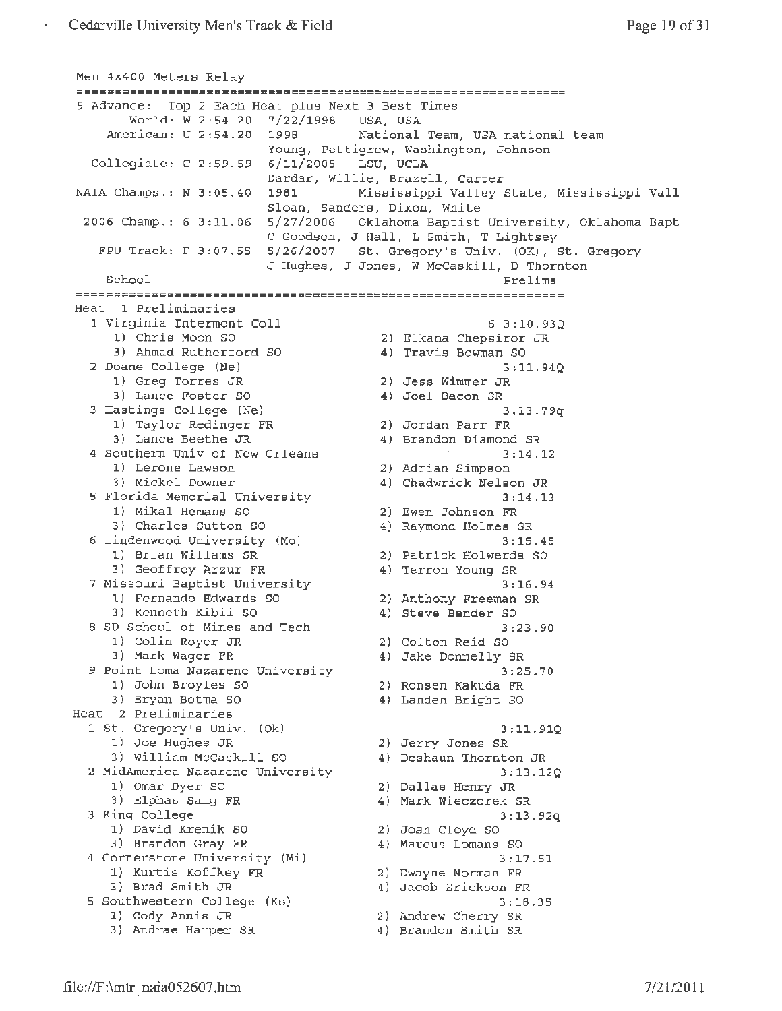```
Men 4x400 Meters Relay 
9 Advance: Top 
2 Each Heat plus Next 3 Best Times 
       World: W 2:54.20 7/22/1998 USA, USA
                                   National Team, USA national team
    American: U 2:54.20 1998
                         Young, Pettigrew, Washington, Johnson 
  Collegiate: C 2:59.59 6/11/2005 LSU, UCLA
                         Dardar, Willie, Brazell, Carter 
NAIA Champs .: N 3:05.40 1981 Mississippi Valley State, Mississippi Vall
                         Sloan, Sanders, Dixon, White 
 2006 Champ.: 6 3:11.06 5/27/2006 Oklahoma Baptist University, Oklahoma Bapt 
                         C Goodson, J Hall, L Smith, T Lightsey 
   FPU Track: 
F 3:07.55 5/26/2007 St. Gregory's Univ. (OK), St. Gregory 
                        J Hughes, J Jones, W McCaskill, D Thornton 
    School 
                                                       Prelims 
Heat 1 Preliminaries
  1 Virginia Interment Coll 
                                                     63:10.93Q 
     1) Chris Moon SO 
                                       2) Elkana Chepsiror JR 
     3) Ahmad Rutherford SO 
                                        4) Travis Bowman SO 
  2Doane College (Ne) 
                                                       3: 11. 94Q 
                                       2) Jess Wimmer JR 
     1) Greg Torres JR 
                                        4) Joel Bacon SR 
     3) Lance Foster so 
  3 Hastings College {Ne) 
                                                       3:13.79q 
                                  2) Jordan Parr FR 
     1) Taylor Redinger FR 
     3) Lance Beethe JR 
                                      4) Brandon Diamond SR 
  4Southern Univ of New Orleans 
                                                       3: 14 .12 
     1) Lerone Lawson 
                                      2) Adrian Simpson 
     3) Mickel Downer 
                                      4) Chadwrick Nelson JR 
  5Florida Memorial University 
                                                       3:14.13 
                                     2) Ewen Johnson FR 
     1) Mikal Hemans SO 
     3) Charles Sutton so 
                                      4) Raymond Holmes SR
  6Lindenwood University (Mo) 
                                                       3:15.45 
                                     2) Patrick Holwerda so 
     1) Brian Willams SR 
     3) Geoffroy Arzur FR 
                                     4) Terron Young SR 
  7Missouri Baptist University 
                                                       3:16.94 
     1) Fernando Edwards SO 
                                     2) Anthony Freeman SR 
     3) Kenneth Kibii SO 
                                       4) Steve Bender SO 
  8 SD School of Mines and Tech 
                                                       3:23.90 
     1) Colin Royer JR 
                                       2) Colton Reid SO 
     3) Mark Wager FR 
                                       4) Jake Donnelly SR 
  9 Point Loma Nazarene University
                                                       3:25.70 
     1) John Broyles SO 
                                       2) Ronsen Kakuda FR 
     3) Bryan Botma so 
                                       4) Landen Bright SO 
Heat 2 Preliminaries 
  1 St. Gregory's Univ. (Ok) 
                                                      3:ll.91Q 
     1) Joe Hughes JR 
                                       2) Jerry Jones SR 
     3) William McCaskill SO 
                                       4) Deshaun Thornton JR 
  2 MidAmerica Nazarene University
                                                       3:13.12Q 
     1) Omar Dyer SO 
                                      2) Dallas Henry JR 
     3) Elphas Sang FR 
                                      4) Mark Wieczorek SR 
  3 King College 
                                                       3:13.92q 
     1) David Krenik SO 
                                      2) Josh Cloyd SO 
     3) Brandon Gray FR 
                                      4) Marcus Lomans SO
  4 Cornerstone University (Mi) 
                                                      3:17.51 
                                     2) Dwayne Norman FR 
    1) Kurtis Koffkey FR 
    3) Brad Smith JR 
                                     4) Jacob Erickson FR 
  5 Southwestern College (Ks) 
                                                      3;18.35 
                                     2) Andrew Cherry SR 
     1) Cody Annis JR 
     3) Andrae Harper SR 
                                      4) Brandon Smith SR
```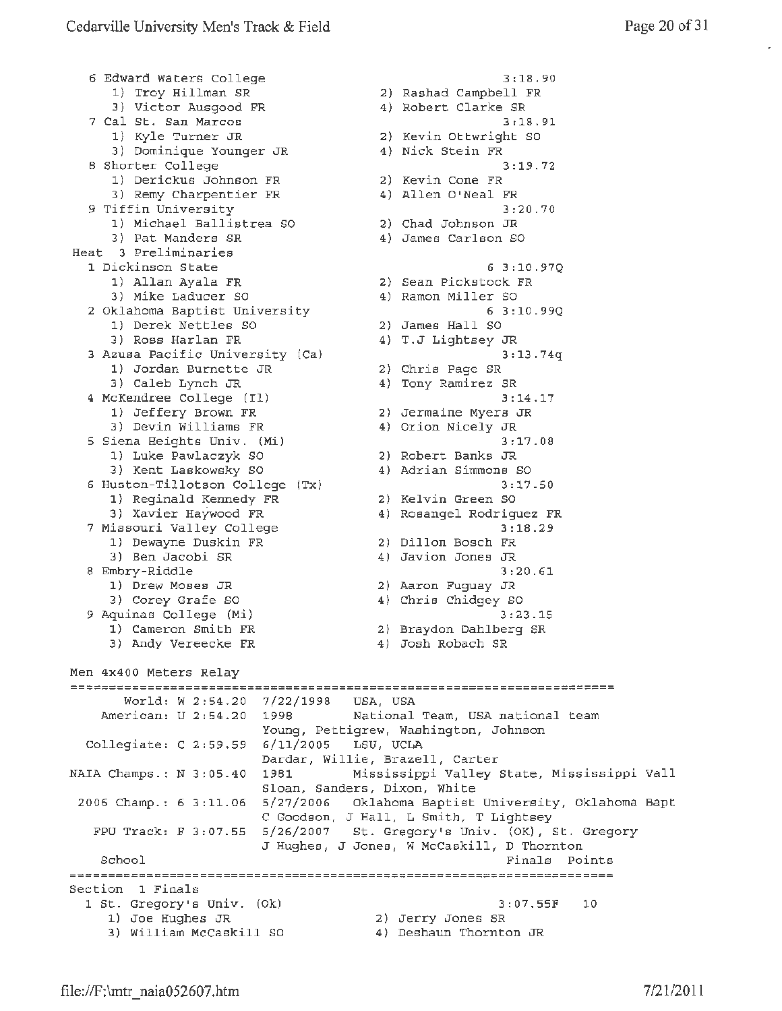6 Edward Waters College

1) Troy Hillman SR 3) Victor Ausgood FR 7 Cal St. San Marcos 1) Kyle Turner JR 3) Dominique Younger JR <sup>8</sup>Shorter College 1) Derickus Johnson FR 3) Remy Charpentier FR 9 Tiffin University 1) Michael Ballistrea so 2) Chad Johnson JR 3) Pat Manders SR Heat 3 Preliminaries 1 Dickinson State 1) Allan Ayala **FR**  3) Mike Laducer SO 2 Oklahoma Baptist University 1) Derek Nettles so 3) Ross Harlan FR 3 Azusa Pacific University (Ca) 1) Jordan Burnette JR 3) Caleb Lynch JR <sup>4</sup>McKendree College (Il) 1) Jeffery Brown FR 3) Devin Williams FR <sup>5</sup>Siena Heights Univ. (Mi) 1) Luke Pawlaczyk SO 3) Kent Laskowsky so 6 Huston-Tillotson College (Tx) 1} Reginald Kennedy FR 3) Xavier Haywood FR <sup>7</sup>Missouri Valley College 7 Missouri Valley College<br>1) Dewayne Duskin FR<br>3) Bas Jacobi SP 3) Ben Jacobi SR <sup>8</sup>Embry-Riddle 1) Drew Moses JR 3) Corey Grafe so *9* Aquinas College (Mi) 1) Cameron Smith FR 3) Andy Vereecke FR Men 4x400 Meters Relay 2) Rashad Campbell FR 4) Robert Clarke SR 3:18.91 2) Kevin Ottwright SO 4) Nick Stein FR 3:19.72 2) Kevin Cone FR 4) Allen O'Neal FR 3:20.70 4) James Carlson SO 6 3:10.97Q 2) Sean Pickstock FR 4) Ramon Miller so 6 3:10.99Q 2) James Hall SO 2) James Hall SO<br>4) T.J Lightsey JR 3:13.74q 2) Chris Page SR 4) Tony Ramirez SR 3: 14 .17 2) Jermaine Myers JR 4) Orion Nicely JR 3:17.08 2) Robert Banks JR 4) Adrian Simmons so 4) Adrian Simmons SO<br>3:17.50 2) Kelvin Green SO 4) Rosangel Rodriguez FR 3:18.29 2) Dillon Bosch FR 4) Javion Jones JR 3:20.61 2) Aaron Fuguay JR 4) Chris Chidgey SO 3:23.15 2) Braydon Dahlberg SR 4) Josh Robach SR World: w 2:54.20 7/22/1998 USA, USA American: u 2:54.20 1998 National Team, USA national team Collegiate: <sup>C</sup> 2:59.59 6/11/2005 LSU, UCLA Young, Pettigrew, Washington, Johnson Dardar, Willie, Brazell, carter NAIA Champs .: N 3:05.40 1981 Mississippi Valley State, Mississippi Vall Sloan, Sanders, Dixon, White 2006 Champ.: 6 3: 11. 06 5/27/2006 Oklahoma Baptist University, Oklahoma Bapt C Goodson, J Hall, L Smith, T Lightsey FPU Track: F 3:07.55 5/26/2007 St. Gregory's Univ. (OK), St. Gregory J Hughes, J Jones, W McCaskill, D Thornton School Section l Finals 1 St. Gregory's univ. (Ok) 1) Joe Hughes JR Finals Points 3:07.SSF 2) Jerry Jones SR 10

4) Deshaun Thornton JR

3:18.90

William McCaskill SO

3)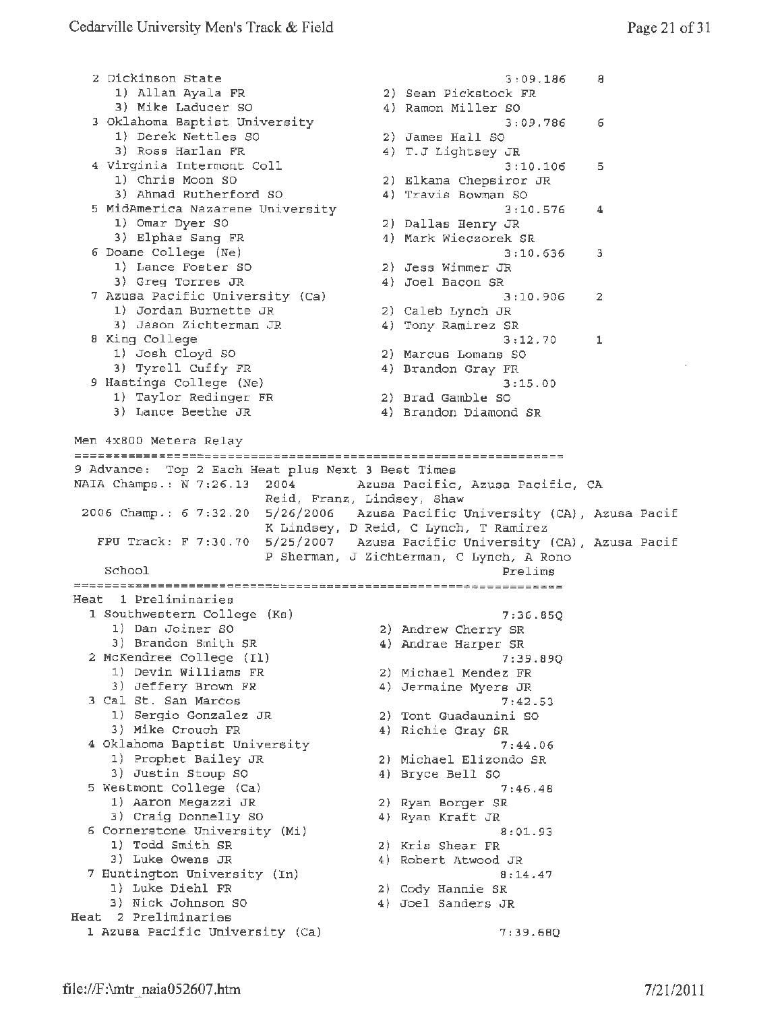2 Dickinson State 1) Allan Ayala FR 3) Mike Laducer SO <sup>3</sup>Oklahoma Baptist University 1) Derek Nettles SO 3) Ross Harlan FR 4 Virginia Intermont Coll<br>1) Chris Moon SO 1) Chris Moon so 3) Ahmad Rutherford SO <sup>5</sup>MidAmerica Nazarene University **1)** Omar Dyer SO 3) Elphas Sang **FR**  <sup>6</sup>Doane College (Ne) 1) Lance Foster so 3) Greg Torres JR <sup>7</sup>Azusa Pacific University (Ca) 1) Jordan Burnette JR 3) Jason Zichterman JR 8 King College 1) Josh Cloyd SO 3) Tyrell Cuffy FR <sup>9</sup>Hastings College (Ne) 1) Taylor Redinger FR 3) Lance Beethe JR Men 4x800 Meters Relay 3:09.186 8 2) Sean Pickstock FR 4) Ramon Miller SO 3:09,786 6 2) James Hall SO s:、<br>2) James Hall SO<br>4) T.J Lightsey JR 3:10.106 5 2) Elkana Chepsiror JR 4) Travis Bowman SO 3:10.576 2) Dallas Henry JR 4) Mark Wieczorek SR 3:10.636 2) Jess Wimmer JR 4) Joel Bacon SR 3:10.906 2) Caleb Lynch JR 4) Tony Ramirez SR 3:12.70 1 2) Marcus Lomans SO **4)** Brandon Gray FR 3:15.00 2) Brad Gamble so 4) Brandon Diamond SR 9 Advance: Top 2 Each Heat plus Next 3 Best Times 3:10.576 4 2 **NAIA** Champs.: N 7:26.13 2004 Azusa Pacific, Azusa Pacific, CA Reid, Franz, Lindsey, shaw 2006 Champ.: 6 7:32.20 5/26/2006 Azusa Pacific University (CA), Azusa Pacif K Lindsey, D Reid, C Lynch, T Ramirez FPU Track: **F** 7:30.70 5/25/2007 Azusa Pacific University (CA), Azusa Pacif P Sherman, J Zichterman, C Lynch, A Rono School Prelims (2003) Prelims (2004) Prelims Heat 1 Preliminaries 1 Southwestern College (Ks) 1) Dan Joiner SO 3) Brandon Smith SR 2 McKendree College (Ill 1) Devin Williams FR 3) Jeffery Brown FR 3 Cal St. San Marcos 1) Sergio Gonzalez JR 3) Mike crouch FR 4 Oklahoma Baptist University 1) Prophet Bailey JR 3) Justin Stoup SO <sup>5</sup>Westmont College (Ca} 1) Aaron Megazzi JR 3) Craig Donnelly SO <sup>6</sup>Cornerstone University (Mi) 6 Cornerstone University (Mi)<br>1) Todd Smith SR 3) Luke Owens JR 7 Huntington University (In) 1) Luke Diehl FR 3) Nick Johnson so Heat 2 Preliminaries 1 Azusa Pacific University (Ca) 7:36.BSQ 2) Andrew Cherry SR 4) Andrae Harper SR 7: 39. 89Q 2) Michael Mendez FR 4) Jermaine Myers JR 7:42.53 2) Tont Guadaunini SO 4) Richie Gray SR 7:44.06 2) Michael Elizondo SR 4) Bryce Bell SO 7:46.48 2) Ryan Borger SR<br>4) Bian Kraft JR 4) Ryan Kraft JR 8:01.93 2) Kris Shear FR 4) Robert Atwood JR 8:14.47 2) Cody Hannie SR 4) Joel Sanders JR 7:39.68Q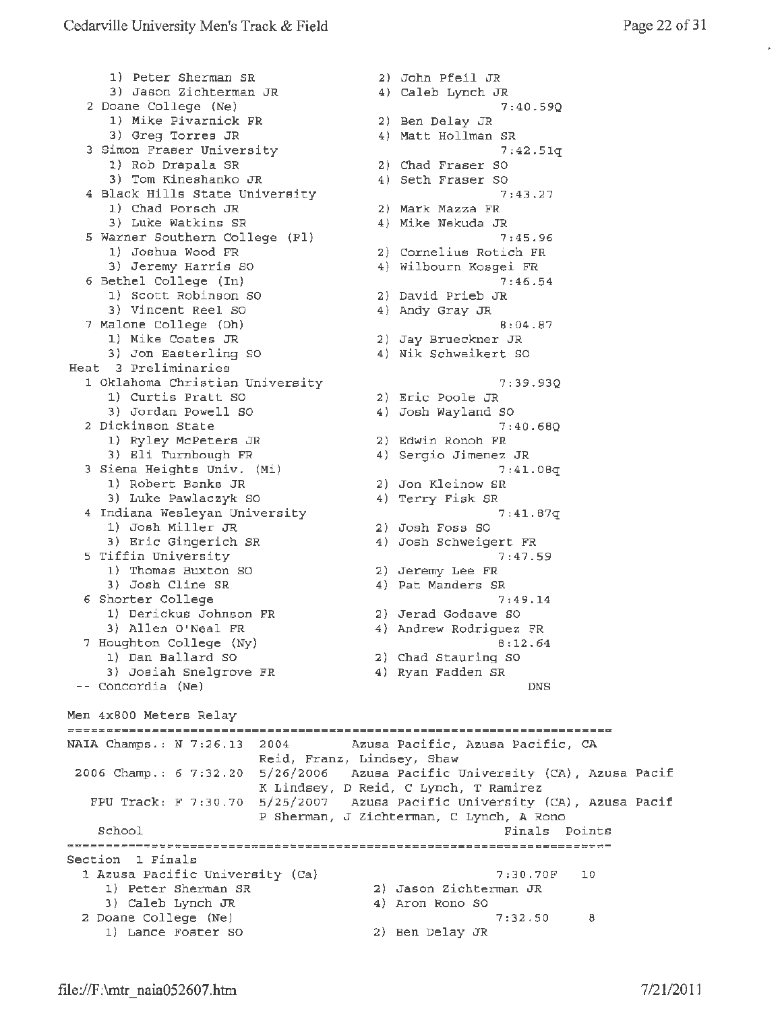1) Peter Sherman SR 3) Jason Zichterman JR 2 Doane College (Ne) 1) **Mike** Pivarnick FR 3) Greg Torres JR 3) Greg rommes on<br>3 Simon Fraser University 1) Rob Drapala SR 3) Tom Kineshanko JR 4 Black Hills State University 1) Chad Porsch JR 3) Luke Watkins SR s Warner Southern College (Fl) 1) Joshua Wood FR 3) Jeremy Harris so 6 Bethel College (In) 1) Scott Robinson SO Bethel College (In)<br>1) Scott Robinson SO<br>3) Vincent Reel SO 7 Malone College {Oh) 1) Mike Coates JR 3) Jon Easterling SO Heat 3 Preliminaries 1 Oklahoma Christian University 1) Curtis Pratt so 3) Jordan Powell SO 2 Dickinson state 1) Ryley McPeters JR 3) Eli Turnbough FR 3 Siena Heights univ. (Mi) 1) Robert Banks JR 3) Luke Pawlaczyk so 4 Indiana Wesleyan University 1) Josh Miller JR 3) Eric Gingerich SR 5 Tiffin University 1) Thomas Buxton so 3) Josh Cline SR 6 Shorter College 1) Derickus Johnson FR 3) Allen O'Neal FR 7 Houghton College (Ny) 1) Dan Ballard SO 3) Josiah Snelgrove FR Concordia (Ne) Men 4x800 Meters Relay **NAIA** Champs.: **N** 7:26.13 2004 Azusa Pacific, Azusa Pacific, CA 2) John Pfeil JR 4) Caleb Lynch JR 7:40.59Q 2) Ben Delay JR 4) Matt Hollman SR 7:42.Slq 2) Chad Fraser so 4) Seth Fraser so 7:43.27 2) Mark Mazza FR 4) Mike Nekuda JR 7:45.96 2) Cornelius Rotich **FR**  4) Wilbourn Kosgei FR 7:46.54 2) David Prieb JR 7:<br>
2) David Prieb JR<br>
4) Andy Gray JR 8:04.87 2) Jay Brueckner JR 4) Nik Schweikert SO 7;39.93Q 2) Eric Poole JR 4) Josh Wayland SO 7:40.68Q 2) Edwin Ronoh FR 4) Sergio Jimenez JR 7 :41. 08q 2) Jon Kleinow SR 4) Terry Fisk SR 7:41.87q 2) Josh Foss so 4) Josh Schweigert FR 7:47.59 2) Jeremy Lee **FR**  4) Pat Manders SR 7:49.14 2) Jerad Godsave so 4) Andrew Rodriguez FR 8:12.64 2) Chad Stauring SO 4) Ryan Fadden SR DNS Reid, Franz, Lindsey, Shaw 2006 Champ.: 6 7:32.20 5/26/2006 Azusa Pacific University (CA), Azusa Pacif K Lindsey, D Reid, C Lynch, T Ramirez FPU Track: F 7:30.70 5/25/2007 Azusa Pacific University (CA), Azusa Pacif P Sherman, J Zichterman, *C* Lynch, A Rona school extensive and the set of the set of the set of the set of the set of the set of the set of the set of the set of the set of the set of the set of the set of the set of the set of the set of the set of the set of the Section 1 Finals 1 Azusa Pacific University 1) Peter Sherman SR 3) Caleb Lynch JR 2 Doane College (Ne) 1) Lance Foster so (Ca) 2) 4) 2) 7:30.70F 10 Jason Zichterman JR Aron Rono so 7:32.50 <sup>8</sup> Ben Delay JR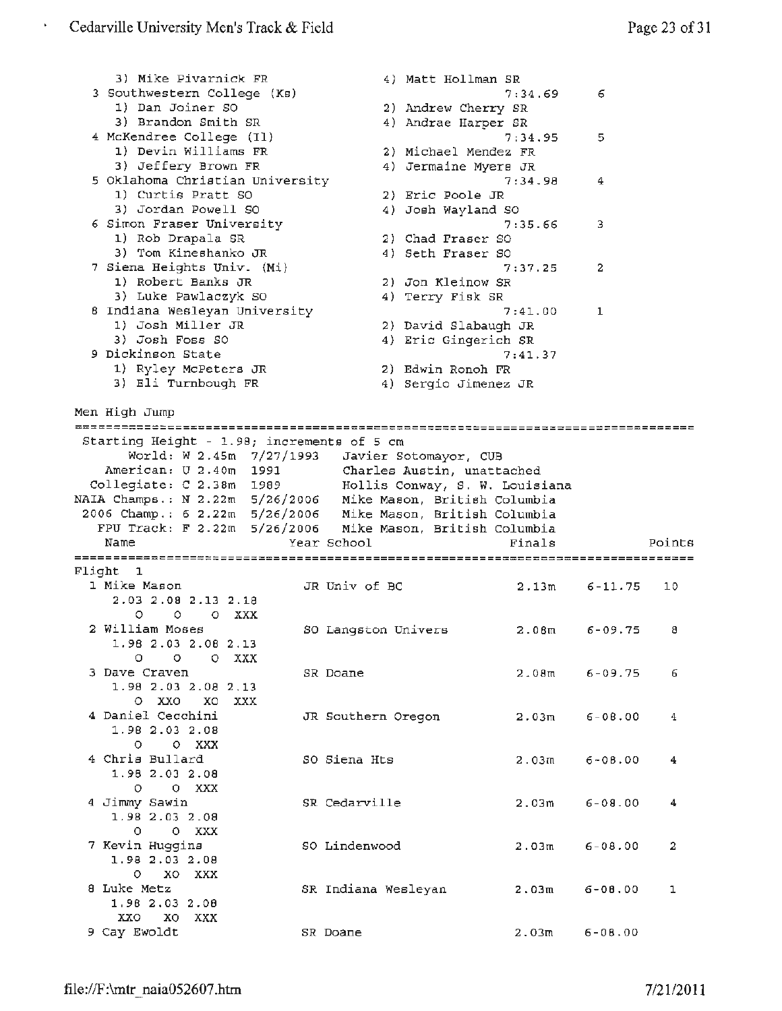3) Mike Pivarnick FR 3 Southwestern College (Ks) 1) Dan Joiner SO 3) Brandon Smith SR 4 McKendree College (Il) 1) Devin Williams FR 3) Jeffery Brown FR <sup>5</sup>Oklahoma Christian University 1) Curtis Pratt SO 3) Jordan Powell SO 6 Simon Fraser University 1) Rob Drapala SR 3) Tom Kineshanko JR 7 Siena Heights Univ. (Mi) 1) Robert Banks JR ---- Dans JR<br>3) Luke Pawlaczyk SO<br>ndiana Will 8 Indiana Wesleyan University 1) Josh Miller JR 3) Josh Foss SO 9 Dickinson State 1) Ryley McPeters JR 3) Eli Turnbough FR Men High Jump 4) Matt Hollman SR 7;34.69 2) Andrew Cherry SR 4) Andrae Harper SR 7:34.95 2) Michael Mendez FR 4) Jermaine Myers JR 7:34.98 2) Eric Poole JR 4) Josh Wayland so 7:35.66 2) Chad Fraser SO 4) Seth Fraser SO 7;37.25 2) Jon Kleinow SR 4) Terry Fisk SR 7;41.00 2) David Slabaugh JR 4) Eric Gingerich SR 7:41.37 2) Edwin Ronoh FR 4) Sergio Jimenez JR ARISISES STARTING HEIGHT STARTING THE START STARTING HEIGHT - 1.98; increments of 5 cm World: W 2.45m 7/27/1993 Javier Sotomayor, CUB American: U 2.40m 1991 Charles Austin, unattached Collegiate: C 2.38m 1989 Hollis Conway, S. W. Louisiana NAIA Champs.: N 2.22m 5/26/2006 Mike Mason, British Columbia 2006 Champ.: 6 2.22m 5/26/2006 Mike Mason, British Columbia FPU Track: F 2.22m S/26/2006 Mike Mason, British Columbia Name Year School Finals 6 5 4 3 2 1 Points *================~~~~=;==~===============================~========================*  Flight 1 1 Mike Mason JR Univ of BC 2.13m 6-11.75 10 2.03 2.08 2 .13 2.18 0 0 0 XXX 2 William Moses so Langston Univers 2.0Bm 6-09.75 <sup>8</sup> 1.9B 2.03 2.08 2.13 0 0 0 XXX <sup>3</sup>Dave Craven SR Doane 2.08m 6-09.75 6 1. 98 2.03 2.08 2.13 <sup>0</sup>xxo XO XXX 4 Daniel Cecchini JR Southern Oregon 2.03m 6-08.00 <sup>4</sup> 1. 98 2.03 2.08 0 0 XXX <sup>4</sup>Chris Bullard so Siena Hts 2.03m 6-08.00 4 1.98 2.03 2.08 0 0 XXX <sup>4</sup>Jimmy Sawin SR Cedarville 2. 03m 6-08.00 <sup>4</sup> 1. 98 2.03 2.08 0 0 XXX <sup>7</sup>Kevin Huggins so Lindenwood 2.03m 6-08.00 2 1. 98 2.03 2.08 0 XO XXX 8 Luke Metz SR Indiana Wesleyan 2.03m 6-08.00 1 1. 98 2.03 2.08 xxo XO XXX 9 Cay Ewoldt SR Doane 2.03m 6-08.00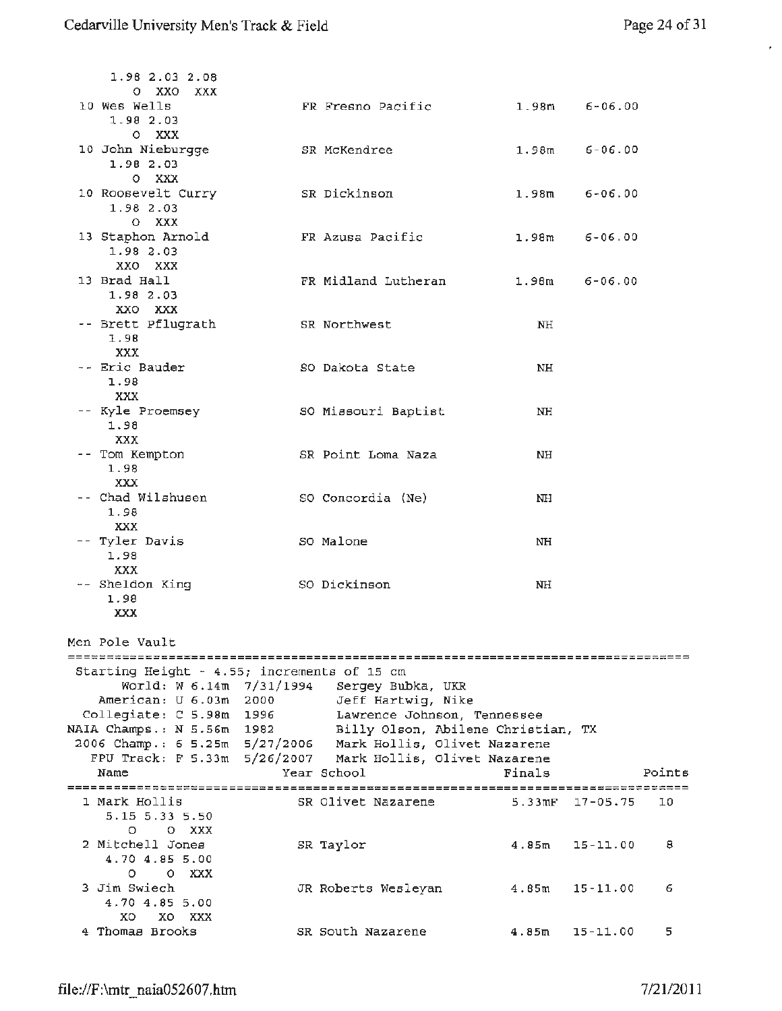$\epsilon$ 

| 1.98 2.03 2.08                                     |                                                           |                   |                 |        |
|----------------------------------------------------|-----------------------------------------------------------|-------------------|-----------------|--------|
| O XXO XXX                                          |                                                           |                   |                 |        |
| 10 Wes Wells<br>1.98 2.03                          | FR Fresno Pacific                                         |                   | $1.98m$ 6-06.00 |        |
| O XXX                                              |                                                           |                   |                 |        |
| 10 John Nieburgge                                  | SR McKendree                                              | 1.98 <sub>m</sub> | $6 - 06.00$     |        |
| 1.98 2.03                                          |                                                           |                   |                 |        |
| O XXX                                              |                                                           |                   |                 |        |
| 10 Roosevelt Curry                                 | SR Dickinson                                              |                   | $1.98m$ 6-06.00 |        |
| 1.98 2.03                                          |                                                           |                   |                 |        |
| $O$ XXX<br>13 Staphon Arnold                       | FR Azusa Pacific                                          |                   | $1.98m$ 6-06.00 |        |
| 1.98 2.03                                          |                                                           |                   |                 |        |
| XXO XXX                                            |                                                           |                   |                 |        |
| 13 Brad Hall                                       | FR Midland Lutheran                                       |                   | $1.98m$ 6-06.00 |        |
| 1.98 2.03                                          |                                                           |                   |                 |        |
| XXO XXX                                            |                                                           |                   |                 |        |
| -- Brett Pflugrath                                 | SR Northwest                                              | NH                |                 |        |
| 1.98<br><b>XXX</b>                                 |                                                           |                   |                 |        |
| -- Eric Bauder                                     | SO Dakota State                                           | NH.               |                 |        |
| 1.98                                               |                                                           |                   |                 |        |
| XXX                                                |                                                           |                   |                 |        |
| -- Kyle Proemsey                                   | SO Missouri Baptist                                       | NH                |                 |        |
| 1.98                                               |                                                           |                   |                 |        |
| XXX                                                |                                                           |                   |                 |        |
| -- Tom Kempton                                     | SR Point Loma Naza                                        | NН                |                 |        |
| 1.98<br>xxx                                        |                                                           |                   |                 |        |
| -- Chad Wilshusen                                  | SO Concordia (Ne)                                         | NH                |                 |        |
| 1.98                                               |                                                           |                   |                 |        |
| XXX                                                |                                                           |                   |                 |        |
| -- Tyler Davis                                     | SO Malone                                                 | NH.               |                 |        |
| 1.98                                               |                                                           |                   |                 |        |
| xxx<br>-- Sheldon King                             | SO Dickinson                                              | NH.               |                 |        |
| 1.98                                               |                                                           |                   |                 |        |
| XXX                                                |                                                           |                   |                 |        |
|                                                    |                                                           |                   |                 |        |
| Men Pole Vault                                     |                                                           |                   |                 |        |
|                                                    |                                                           |                   |                 |        |
| Starting Height $-4.55$ ; increments of 15 cm      |                                                           |                   |                 |        |
| World: W 6.14m 7/31/1994<br>American: U 6.03m 2000 | Sergey Bubka, UKR<br>Jeff Hartwig, Nike                   |                   |                 |        |
| Collegiate: C 5.98m 1996                           | Lawrence Johnson, Tennessee                               |                   |                 |        |
| NAIA Champs.: N 5.56m 1982                         | Billy Olson, Abilene Christian, TX                        |                   |                 |        |
| 2006 Champ.: 6 5.25m $5/27/2006$                   | Mark Hollis, Olivet Nazarene                              |                   |                 |        |
|                                                    | FPU Track: F 5.33m 5/26/2007 Mark Hollis, Olivet Nazarene |                   |                 |        |
| Name                                               | Year School                                               | Finals            |                 | Points |
| 1 Mark Hollis                                      | SR Olivet Nazarene                                        | 5.33mF            | $17 - 05.75$    | 10     |
| 5.15 5.33 5.50                                     |                                                           |                   |                 |        |
| $\circ$<br>O XXX                                   |                                                           |                   |                 |        |
| 2 Mitchell Jones                                   | SR Taylor                                                 | 4.85m             | 15-11.00        | 8      |
| 4.70 4.85 5.00                                     |                                                           |                   |                 |        |
| $\circ$<br>0 XXX                                   |                                                           |                   |                 |        |
| 3 Jim Swiech                                       | JR Roberts Wesleyan                                       | 4.85m             | $15 - 11.00$    | 6      |
| 4.70 4.85 5.00<br>XO.<br>XO XXX                    |                                                           |                   |                 |        |
| 4 Thomas Brooks                                    | SR South Nazarene                                         | 4.85 <sub>m</sub> | $15 - 11.00$    | 5      |
|                                                    |                                                           |                   |                 |        |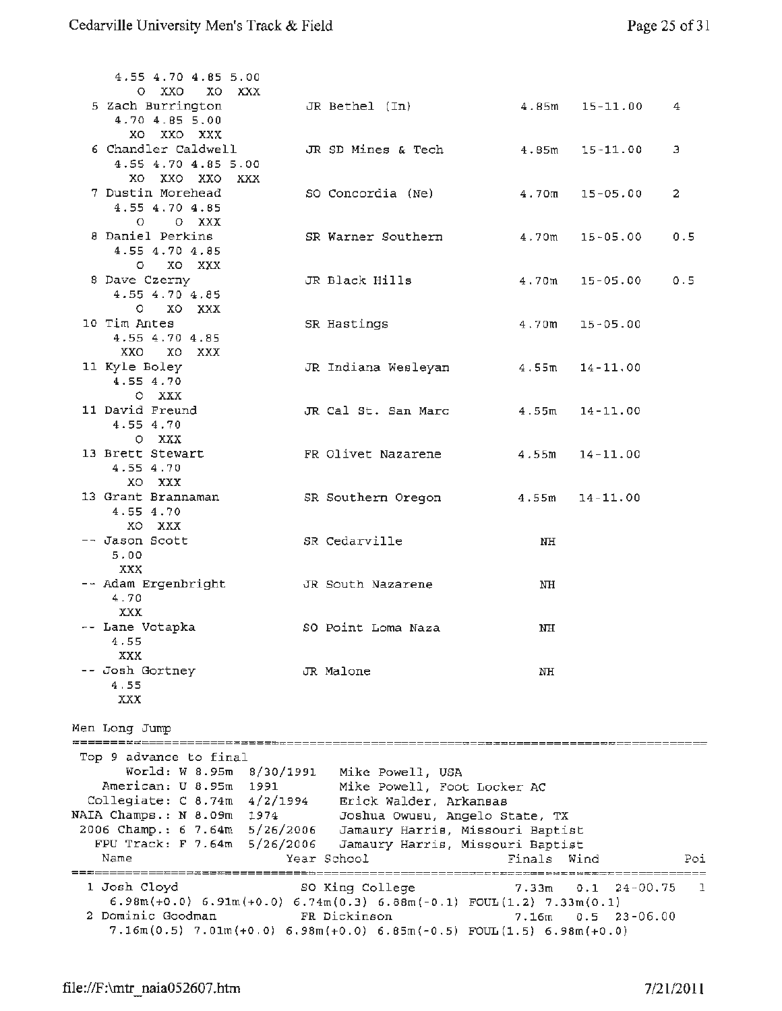| 4.55 4.70 4.85 5.00<br>OXXO XOXXX<br>5 Zach Burrington<br>4.70 4.85 5.00                                                                                                                                       |            | JR Bethel (In)                                                                                                                                                                                     | 4.85m          | $15 - 11.00$                               | 4   |
|----------------------------------------------------------------------------------------------------------------------------------------------------------------------------------------------------------------|------------|----------------------------------------------------------------------------------------------------------------------------------------------------------------------------------------------------|----------------|--------------------------------------------|-----|
| XO XXO XXX<br>6 Chandler Caldwell<br>4.55 4.70 4.85 5.00                                                                                                                                                       |            | JR SD Mines & Tech                                                                                                                                                                                 | 4.85m          | 15-11.00                                   | Э   |
| XO XXO XXO XXX<br>7 Dustin Morehead<br>4.55 4.70 4.85                                                                                                                                                          |            | SO Concordia (Ne)                                                                                                                                                                                  | 4.70m          | $15 - 05.00$                               | 2.  |
| $O$ $O$ XXX<br>8 Daniel Perkins<br>4.55 4.70 4.85<br>O XO XXX                                                                                                                                                  |            | SR Warner Southern                                                                                                                                                                                 | 4.70m          | $15 - 05.00$                               | 0.5 |
| 8 Dave Czerny<br>4.55 4.70 4.85<br>$\circ$<br>XO XXX                                                                                                                                                           |            | JR Black Hills                                                                                                                                                                                     | 4,70m          | 15-05.00                                   | 0.5 |
| 10 Tim Antes<br>4.55 4.70 4.85<br>XXO XO XXX                                                                                                                                                                   |            | SR Hastings                                                                                                                                                                                        | 4.70m          | $15 - 05.00$                               |     |
| 11 Kyle Boley<br>4.55 4.70<br>O XXX                                                                                                                                                                            |            | JR Indiana Wesleyan                                                                                                                                                                                | 4.55m          | $14 - 11.00$                               |     |
| 11 David Freund<br>4.55 4.70<br>O XXX                                                                                                                                                                          |            | JR Cal St. San Marc                                                                                                                                                                                | $4.55$ m       | $14 - 11.00$                               |     |
| 13 Brett Stewart<br>4.55 4.70<br>XO XXX                                                                                                                                                                        |            | FR Olivet Nazarene                                                                                                                                                                                 | 4.55m          | $14 - 11.00$                               |     |
| 13 Grant Brannaman<br>4.55 4.70<br>XO XXX                                                                                                                                                                      |            | SR Southern Oregon                                                                                                                                                                                 | 4.55m          | $14 - 11.00$                               |     |
| -- Jason Scott<br>5.00<br><b>XXX</b>                                                                                                                                                                           |            | SR Cedarville                                                                                                                                                                                      | NH.            |                                            |     |
| -- Adam Ergenbright<br>4.70<br>XXX                                                                                                                                                                             |            | JR South Nazarene                                                                                                                                                                                  | NH             |                                            |     |
| -- Lane Votapka<br>4.55<br>xxx                                                                                                                                                                                 |            | SO Point Loma Naza                                                                                                                                                                                 | NH             |                                            |     |
| -- Josh Gortney<br>4.55<br>XXX                                                                                                                                                                                 |            | JR Malone                                                                                                                                                                                          | NH             |                                            |     |
| Men Long Jump                                                                                                                                                                                                  |            |                                                                                                                                                                                                    |                |                                            |     |
| Top 9 advance to final                                                                                                                                                                                         |            |                                                                                                                                                                                                    |                |                                            |     |
| World: W 8.95m 8/30/1991<br>American: U 8.95m 1991<br>Collegiate: C 8.74m 4/2/1994<br>NAIA Champs.: N 8.09m 1974<br>2006 Champ.: 6 7.64m 5/26/2006<br>FPU Track: F 7.64m 5/26/2006<br>Name                     | ---------- | Mike Powell, USA<br>Mike Powell, Foot Locker AC<br>Erick Walder, Arkansas<br>Joshua Owusu, Angelo State, TX<br>Jamaury Harris, Missouri Baptist<br>Jamaury Harris, Missouri Baptist<br>Year School | Finals         | Wind                                       | Poi |
| 1 Josh Cloyd<br>6.98 $m(+0.0)$ 6.9 $1m(+0.0)$ 6.7 $4m(0.3)$ 6.88 $m(-0.1)$ FOUL $(1.2)$ 7.33 $m(0.1)$<br>2 Dominic Goodman<br>$7.16m(0.5)$ $7.01m(+0.0)$ $6.98m(+0.0)$ $6.85m(-0.5)$ $FOUT(1.5)$ $6.98m(+0.0)$ |            | SO King College<br>FR Dickinson                                                                                                                                                                    | 7.33m<br>7.16m | 24-00.75<br>0.1<br>$0.5 -$<br>$23 - 06.00$ | ı   |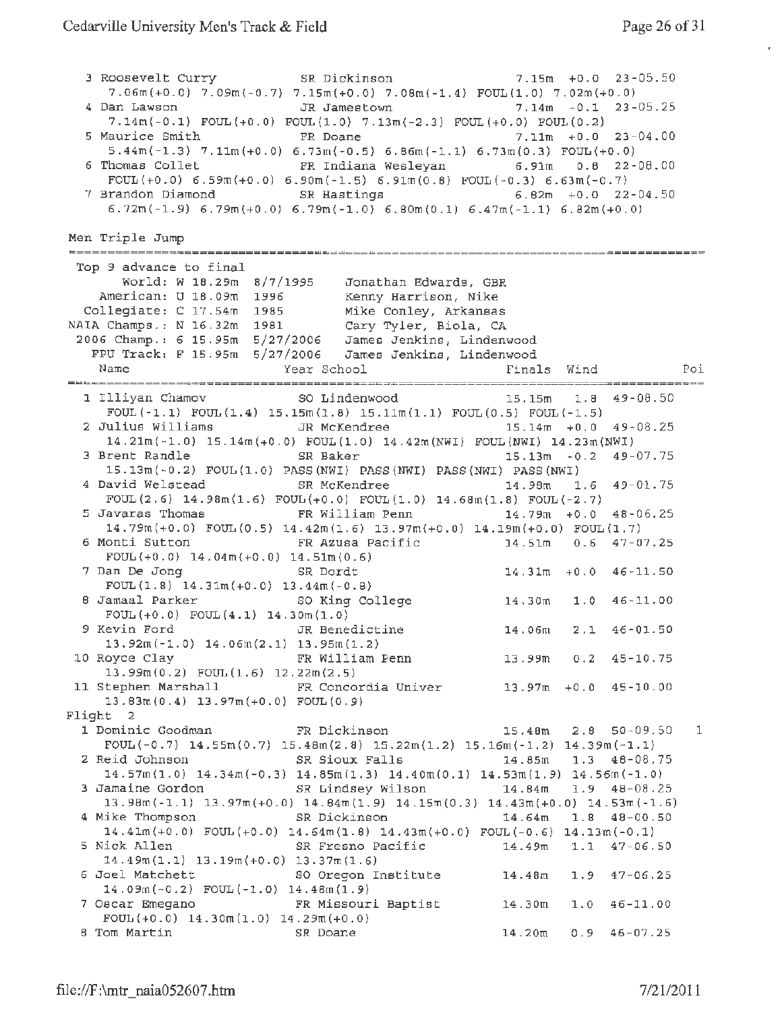$\epsilon$ 

| 3 Roosevelt Curry SR Dickinson<br>4 Dan Lawson Manuel JR Jamestown<br>5 Maurice Smith | $7.06m(+0.0)$ $7.09m(-0.7)$ $7.15m(+0.0)$ $7.08m(-1.4)$ $FOUL(1.0)$ $7.02m(+0.0)$<br>7.14m(-0.1) FOUL(+0.0) FOUL(1.0) 7.13m(-2.3) FOUL(+0.0) FOUL(0.2)<br>FR Doane 7.11m +0.0 23-04.00<br>$5.44m(-1.3)$ 7.11m(+0.0) 6.73m(-0.5) 6.86m(-1.1) 6.73m(0.3) FOUL(+0.0)<br>6 Thomas Collet <b>Execution</b> FR Indiana Wesleyan 6.91m<br>FOUL(+0.0) $6.59\pi(+0.0)$ $6.90\pi(-1.5)$ $6.91\pi(0.8)$ FOUL(-0.3) $6.63\pi(-0.7)$<br>7 Brandon Diamond SR Hastings 6.82m +0.0 22-04.50<br>$6.72m(-1.9)$ $6.79m(+0.0)$ $6.79m(-1.0)$ $6.80m(0.1)$ $6.47m(-1.1)$ $6.82m(+0.0)$ | $7.15m + 0.0$ 23-05.50<br>$7.14m - 0.1$ 23-05.25 | $0.8$ 22-08.00         |
|---------------------------------------------------------------------------------------|--------------------------------------------------------------------------------------------------------------------------------------------------------------------------------------------------------------------------------------------------------------------------------------------------------------------------------------------------------------------------------------------------------------------------------------------------------------------------------------------------------------------------------------------------------------------|--------------------------------------------------|------------------------|
| Men Triple Jump                                                                       |                                                                                                                                                                                                                                                                                                                                                                                                                                                                                                                                                                    |                                                  |                        |
| Top 9 advance to final<br>Name                                                        | World: W 18.29m 8/7/1995 Jonathan Edwards, GBR<br>American: U 18.09m 1996 Kenny Harrison, Nike<br>Collegiate: C 17.54m 1985 Mike Conley, Arkansas<br>NAIA Champs.: N 16.32m 1981 Cary Tyler, Biola, CA<br>2006 Champ.: 6 15.95m 5/27/2006 James Jenkins, Lindenwood<br>FPU Track: F 15.95m 5/27/2006 James Jenkins, Lindenwood<br>Year School                                                                                                                                                                                                                      | Finals Wind                                      | Poi                    |
| 1 Illiyan Chamov SO Lindenwood                                                        |                                                                                                                                                                                                                                                                                                                                                                                                                                                                                                                                                                    | $15.15m$ 1.8 $49-08.50$                          |                        |
|                                                                                       | FOUL(-1.1) FOUL(1.4) $15.15m(1.8) 15.11m(1.1)$ FOUL(0.5) FOUL(-1.5)<br>2 Julius Williams $\qquad$ JR McKendree $\qquad$ 15.14m +0.0 49-08.25                                                                                                                                                                                                                                                                                                                                                                                                                       |                                                  |                        |
|                                                                                       | 14.21m(-1.0) 15.14m(+0.0) FOUL(1.0) 14.42m(NWI) FOUL(NWI) 14.23m(NWI)                                                                                                                                                                                                                                                                                                                                                                                                                                                                                              |                                                  |                        |
| 3 Brent Randle                                                                        | SR Baker                                                                                                                                                                                                                                                                                                                                                                                                                                                                                                                                                           | $15.13m - 0.2$                                   | $49 - 07.75$           |
|                                                                                       | 15.13m(-0.2) FOUL(1.0) PASS(NWI) PASS(NWI) PASS(NWI) PASS(NWI)                                                                                                                                                                                                                                                                                                                                                                                                                                                                                                     |                                                  |                        |
| 4 David Welstead                                                                      | SR McKendree<br>FOUL(2.6) $14.98m(1.6)$ FOUL(+0.0) FOUL(1.0) $14.68m(1.8)$ FOUL(-2.7)                                                                                                                                                                                                                                                                                                                                                                                                                                                                              | $14.98m$ $1.6$                                   | $49 - 01.75$           |
|                                                                                       | 5 Javaras Thomas 6 1 1 FR William Penn                                                                                                                                                                                                                                                                                                                                                                                                                                                                                                                             | $14.79m + 0.0 48 - 06.25$                        |                        |
|                                                                                       | $14.79m(+0.0)$ FOUL(0.5) $14.42m(1.6)$ $13.97m(+0.0)$ $14.19m(+0.0)$ FOUL(1.7)                                                                                                                                                                                                                                                                                                                                                                                                                                                                                     |                                                  |                        |
| 6 Monti Sutton                                                                        | FR Azusa Pacific                                                                                                                                                                                                                                                                                                                                                                                                                                                                                                                                                   | $14.51m$ 0.6 $47-07.25$                          |                        |
| $FOUL(+0.0)$ 14.04m(+0.0) 14.51m(0.6)<br>7 Dan De Jong Nordt SR Dordt                 |                                                                                                                                                                                                                                                                                                                                                                                                                                                                                                                                                                    | $14.31m + 0.0 46 - 11.50$                        |                        |
| FOUL $(1.8)$ 14.31m $(+0.0)$ 13.44m $(-0.8)$                                          |                                                                                                                                                                                                                                                                                                                                                                                                                                                                                                                                                                    |                                                  |                        |
| 8 Jamaal Parker                                                                       | SO King College 14.30m 1.0 46-11.00                                                                                                                                                                                                                                                                                                                                                                                                                                                                                                                                |                                                  |                        |
| FOUL $(+0.0)$ FOUL $(4.1)$ 14.30m $(1.0)$                                             |                                                                                                                                                                                                                                                                                                                                                                                                                                                                                                                                                                    |                                                  |                        |
| 9 Kevin Ford                                                                          | JR Benedictine                                                                                                                                                                                                                                                                                                                                                                                                                                                                                                                                                     | $14.06m$ 2.1 $46-01.50$                          |                        |
| $13.92m(-1.0) 14.06m(2.1) 13.95m(1.2)$<br>10 Royce Clay                               | FR William Penn                                                                                                                                                                                                                                                                                                                                                                                                                                                                                                                                                    | 13.99m  0.2  45-10.75                            |                        |
| $13.99m(0.2)$ FOUL $(1.6)$ 12.22m $(2.5)$                                             |                                                                                                                                                                                                                                                                                                                                                                                                                                                                                                                                                                    |                                                  |                        |
| 11 Stephen Marshall                                                                   | FR Concordia Univer 13.97m +0.0 45-10.00                                                                                                                                                                                                                                                                                                                                                                                                                                                                                                                           |                                                  |                        |
| $13.83m(0.4)$ 13.97m(+0.0) FOUL(0.9)                                                  |                                                                                                                                                                                                                                                                                                                                                                                                                                                                                                                                                                    |                                                  |                        |
| Flight 2<br>1 Dominic Goodman                                                         | FR Dickinson                                                                                                                                                                                                                                                                                                                                                                                                                                                                                                                                                       | $15.48m$ 2.8 $50-09.50$                          | <sup>1</sup>           |
|                                                                                       | $FOUL (-0.7)$ 14.55m $(0.7)$ 15.48m $(2.8)$ 15.22m $(1.2)$ 15.16m $(-1.2)$ 14.39m $(-1.1)$                                                                                                                                                                                                                                                                                                                                                                                                                                                                         |                                                  |                        |
| 2 Reid Johnson                                                                        | SR Sioux Falls                                                                                                                                                                                                                                                                                                                                                                                                                                                                                                                                                     | 14.85m  1.3  48-08.75                            |                        |
|                                                                                       | $14.57m(1.0)$ $14.34m(-0.3)$ $14.85m(1.3)$ $14.40m(0.1)$ $14.53m(1.9)$ $14.56m(-1.0)$                                                                                                                                                                                                                                                                                                                                                                                                                                                                              |                                                  |                        |
| 3 Jamaine Gordon                                                                      | SR Lindsey Wilson                                                                                                                                                                                                                                                                                                                                                                                                                                                                                                                                                  | $14.84m$ 1.9 $48-08.25$                          |                        |
| 4 Mike Thompson                                                                       | $13.98$ m (-1.1) $13.97$ m (+0.0) $14.84$ m (1.9) $14.15$ m (0.3) $14.43$ m (+0.0) $14.53$ m (-1.6)<br>SR Dickinson                                                                                                                                                                                                                                                                                                                                                                                                                                                | $14.64m$ 1.8 $48-00.50$                          |                        |
|                                                                                       | $14.41m (+0.0)$ FOUL $(+0.0)$ $14.64m(1.8)$ $14.43m (+0.0)$ FOUL $(-0.6)$ $14.13m(-0.1)$                                                                                                                                                                                                                                                                                                                                                                                                                                                                           |                                                  |                        |
| 5 Nick Allen                                                                          | SR Fresno Pacific                                                                                                                                                                                                                                                                                                                                                                                                                                                                                                                                                  | 14.49m                                           | $1.1$ $47-06.50$       |
| $14.49$ m $(1.1)$ $13.19$ m $(+0.0)$ $13.37$ m $(1.6)$                                |                                                                                                                                                                                                                                                                                                                                                                                                                                                                                                                                                                    |                                                  |                        |
| 6 Joel Matchett<br>$14.09$ m $(-0.2)$ FOUL $(-1.0)$ 14.48m $(1.9)$                    | SO Oregon Institute                                                                                                                                                                                                                                                                                                                                                                                                                                                                                                                                                | 14.48m                                           | 1.9 47-06.25           |
| 7 Oscar Emegano                                                                       | FR Missouri Baptist                                                                                                                                                                                                                                                                                                                                                                                                                                                                                                                                                | 14.30m                                           | $1.0 \quad 46 - 11.00$ |
| FOUL $(+0.0)$ 14.30m $(1.0)$ 14.29m $(+0.0)$                                          |                                                                                                                                                                                                                                                                                                                                                                                                                                                                                                                                                                    |                                                  |                        |
| 8 Tom Martin                                                                          | SR Doane                                                                                                                                                                                                                                                                                                                                                                                                                                                                                                                                                           | 14.20 <sub>m</sub>                               | $0.9$ 46-07.25         |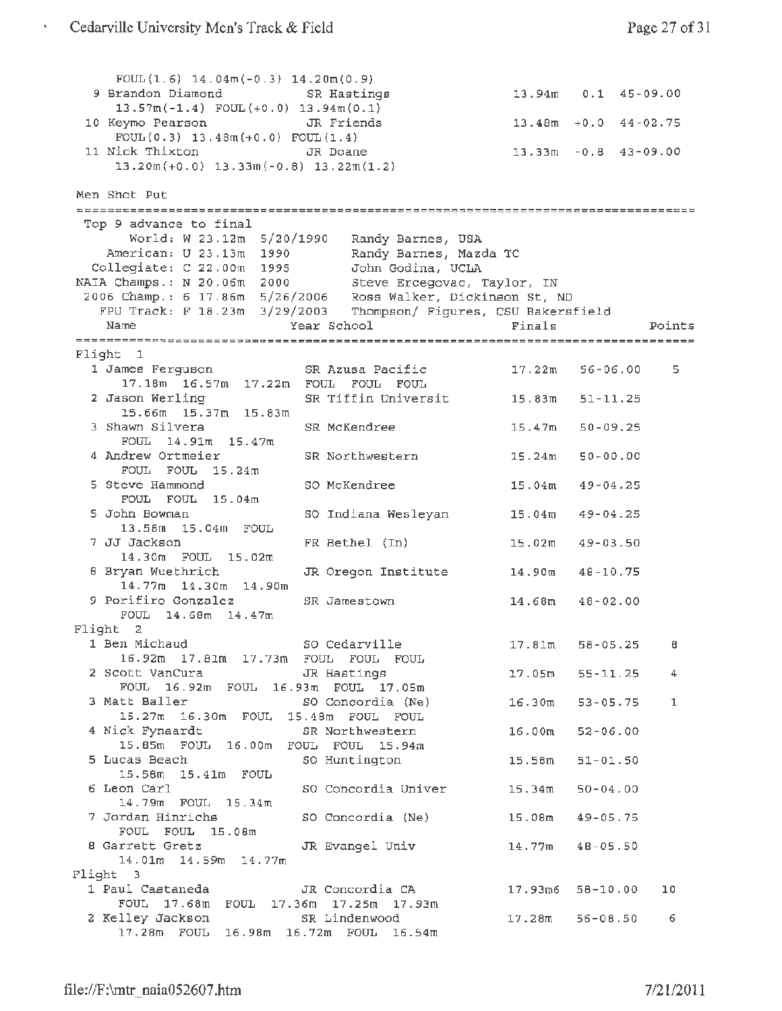FOUL(l.6) 14.04m(-0.3) 14.20m(0.9) 9 Brandon Diamond SR Hastings 13.S?m(-1.4) FOUL(+0.0) 13.94m{0.1) 10 Keymo Pearson JR Friends  $FOUL(0.3)$  13,  $48m (+0.0)$   $FOUL(1.4)$ 11 Nick Thixton JR Doane 13.94m 0.1 45-09.00 13.48m +o.o 44-02.75 13.33m -0.8 43-09.00 13.20m(+0.0) 13.33m(-0.8) 13.22m(l.2) Men Shot Put 5/20/1990 Randy Barnes, USA World: W 23.12m 1990 Randy Barnes, Mazda TC 1995 John Godina, UCLA 2000 Steve Ercegovac, Taylor, IN Top 9 advance to final American: U 23.13m Collegiate: c 22.oom **NAIA** Champs.: N 20.06m 2006 Champ.: 6 17.86m FPU Track: F 18.23m Name 5/26/2006 Ross Walker, Dickinson St, ND 3/29/2003 Thompson/ Figures, CSU Bakersfield Year School in the Sear School of the Search School in the Search School of the Search School of Times and Search School of the Search School of Times and Search School of Times and Search School of Times and Search School Flight 1 1 James Ferguson 17.18m 16.57m 17.22m FOUL FOUL FOUL SR Azusa Pacific 2 Jason Werling SR Tiffin Universit 15.83m 15.66m 15.37m 15.83m 3 Shawn Silvera SR McKendree FOUL 14.91m 15.47m <sup>4</sup>Andrew Ortmeier SR Northwestern FOUL FOUL 15.24m 5 Steve Hammond SO McKendree FOUL FOUL 15.04m 5 John Bowman SO Indiana Wesleyan 15.04m 49-04.25 13.58m 15.04m FOUL 7 JJ Jackson FR Bethel (In) 14.30m FOUL 15.02m 8 Bryan Wuethrich 14.77m 14.30m 14.90m 9 Porifiro Gonzalez SR Jamestown FOUL 14.68m 14.47m Flight <sup>2</sup> 1 Ben Michaud 16.92m 17.81m 17.73m FOUL FOUL FOUL SO Cedarville 2 Scott Vancura JR Hastings FOUL 16.92m FOUL 16.93m FOUL 17.0Sm <sup>3</sup>Matt Baller 15.27m 16.30m FOUL 15.48m FOUL FOUL 4 Nick Fynaardt SR Northwestern 15.BSm FOUL 16.00m FOUL FOUL 15.94m 5 Lucas Beach 15.58m 15.41m FOUL <sup>6</sup>Leon Carl 14.79m FOUL 15.34m 7 Jordan Hinrichs FOUL FOUL 15.08m so Concordia (Ne) SO Huntington SO Concordia Univer 15.34m 50 - 04.00 SO Concordia (Ne) 8 Garrett Gretz JR Evangel Univ 14.0lm 14.59m 14.77m Flight 3 1 Paul Castaneda FOUL 17.68m FOUL 17.36m 17.25m 17.93m <sup>2</sup>Kelley Jackson SR Lindenwood 17 .28m FOUL 16,98m 16.72m FOUL 16.54m JR Concordia CA 17.22m 15.47m 50 - 09.25 15.24m 50-00.00 15.04m 49-04.25 15.02m 49-03.50 14.90m 48-10.75 14. 68m 17.81m 58-05.25 17.0Sm 55-11.25 16.30m 53-05.75 16.00m 52 - 06.00 15.58m 51-01.50 15. DBm 49-05.75 14. 77m 17.93m6 58-10.00 17.28m 56-08.50 6 56-06.00 51-11.25 48 - 02.00 48-05.50 Points 5 8 4 1 10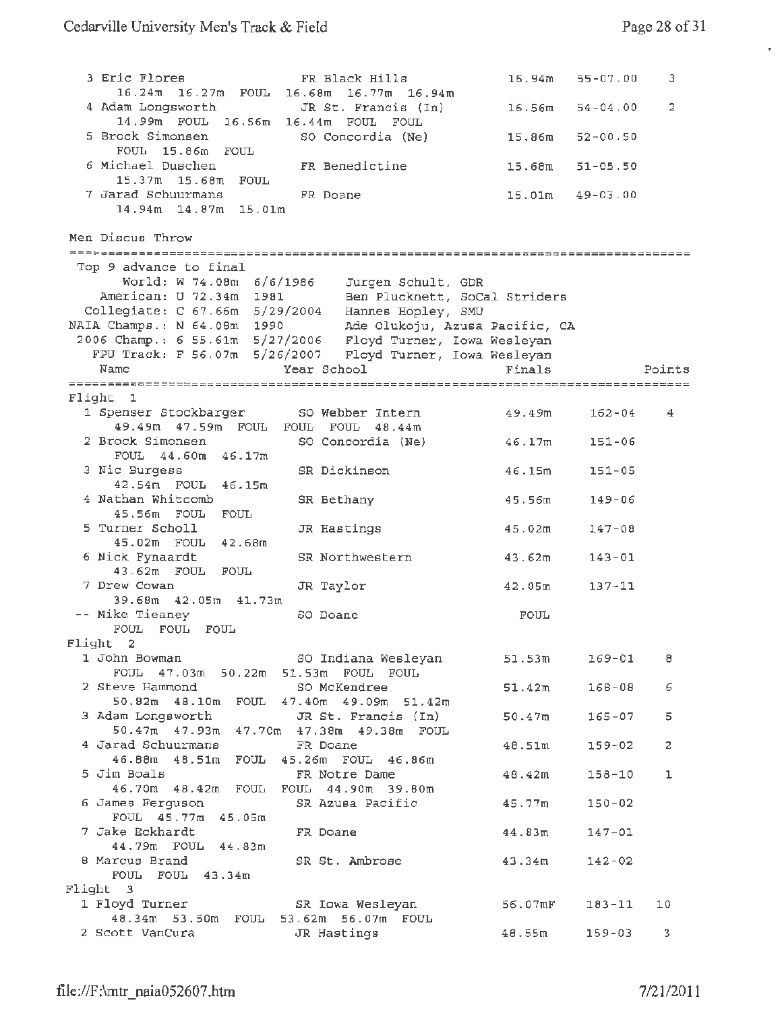Page 28 of 31

3 Eric Flores FR Black Hills 16. 24m 16. 27m FOUL 16.68m 16.77m 16.94m 4 Adam Longsworth JR St. Francis (In) 14.99m FOUL 16, 56m 16. 44m FOUL FOUL <sup>5</sup>Brock Simonsen so Concordia (Ne) FOUL 15.86m FOUL 6 Michael Duschen FR Benedictine 15.37m 15.68m FOUL 19.97 and 19.000 ----<br>7 Jarad Schuurmans FR Doane 14.94m 14.87m 15.0lm Men Discus Throw Top 9 advance to final World; W 74.0Bm 6/6/1986 Jurgen Schult, GDR 16.94m 55-07 . 00 16.56m 54-04.00 15.86m 52-00.50 15.68m 51-05.50 15.0lm 49 - 03.00 American: U 72.34m 1981 Ben Plucknett, SoCal Striders Collegiate: C 67.66m 5/29/2004 Hannes Hopley, SMU NAIA Champs. : N 64.0Bm 1990 Ade Olukoju, Azusa Pacific, CA 2006 Champ.: 6 55.61m 5/27/2006 Floyd Turner, Iowa Wesleyan FPU Track: F 56.07m 5/26/2007 Floyd Turner, Iowa Wesleyan Name Flight 1 1 Spenser Stockbarger SO Webber Intern 49.49m 47.59m FOUL FOUL FOUL 48.44m 2 Brock Simonsen FOUL 44.60m 46.l?m Year School SO Concordia {Ne) 46.17m 3 Nie Burgess SR Dickinson 42.54m FOUL 46.lSm 4 Nathan Whitcomb SR Bethany 45.56m FOUL FOUL 5 Turner Scholl JR Hastings 45.02m FOUL 42.68m <sup>6</sup>Nick Fynaardt SR Northwestern 43.62m FOUL FOUL <sup>7</sup>Drew Cowan JR Taylor 39.68m 42.0Sm 41.73m -- Mike Tieaney FOUL FOUL FOUL Flight 2 1 John Bowman SO Indiana Wesleyan FOUL 47.03m 50,22m 51.53m FOUL FOUL SO Doane 2 Steve Hammond 50.82m 48.lOm FOUL 47.40m 49.09m 51.42m 3 Adam Longsworth JR St. Francis (In) 50.47m 47.93m 47.70m 47.38m 49.38m FOUL so McKendree 4 Jarad Schuurmans FR Doane 46.BBrn 46.Slm FOUL 45.26m FOUL 46.86m 5 Jim Boals 46.70m 48.42m FOUL FOUL 44.90m 39.BOm 6 James Ferguson FOUL 45.77m 45.0Srn 7 Jake Eckhardt 44.79m FOUL 44.83m B Marcus Brand FOUL FOUL 43.34m Flight 3 1 Floyd Turner 48.34m 53.SOm FOUL 53.62m 56.07m FOUL 2 Scott Vancura FR Notre Dame SR Azusa Pacific FR Doane SR St. Ambrose SR Iowa Wesleyan JR Hastings Finals 49. 49m 162-04 46.15m 45. 56m 45.02m 43.62m 143-01 42.0Sm FOUL 51. 53m 51.42m 50.47m 48.Slm 48.42m 45.77m 44.83m 43.34m 56.07mF 48.SSm 151-06 151-05 149-06 147-08 137-11 169-01 168-08 165-07 159-02 158-10 150-02 147-01 142-02 183-11 159-03 3 2 Points 4 8 *6*  5 2 1 10 3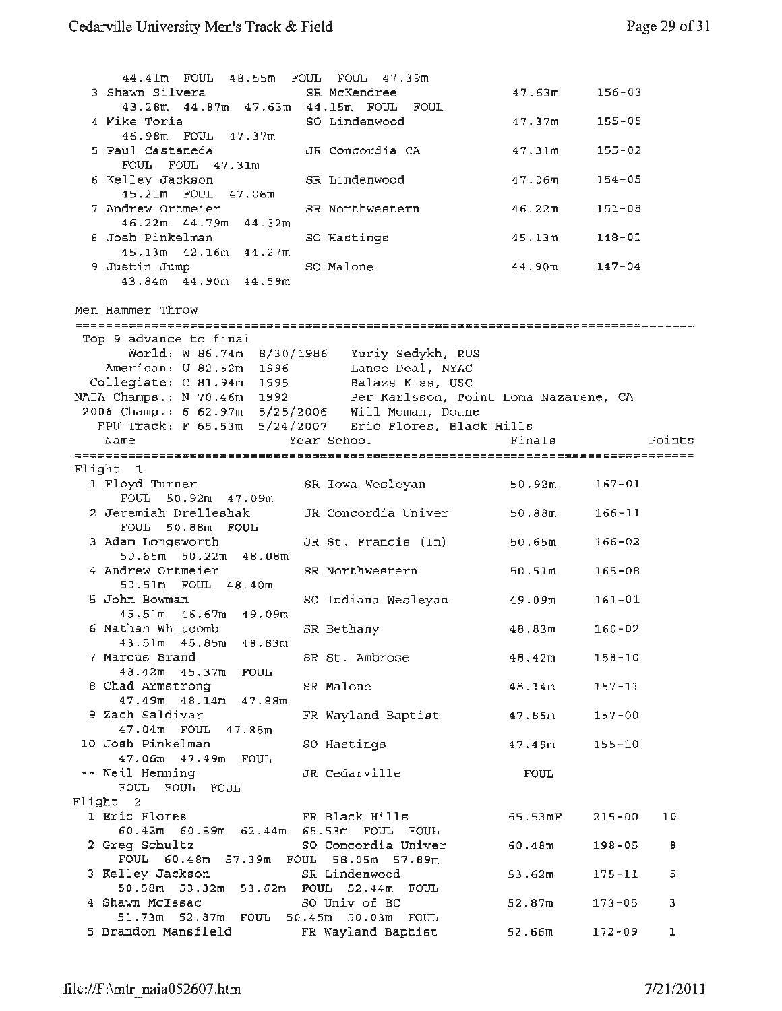| 44.41m FOUL 48.55m FOUL FOUL 47.39m                       |                                                                                                                                                                      |                    |                  |
|-----------------------------------------------------------|----------------------------------------------------------------------------------------------------------------------------------------------------------------------|--------------------|------------------|
| 3 Shawn Silvera                                           | SR McKendree                                                                                                                                                         | $47.63m$ $156-03$  |                  |
| 43.28m 44.87m 47.63m 44.15m FOUL                          | FOUL                                                                                                                                                                 |                    |                  |
| 4 Mike Torie                                              | SO Lindenwood                                                                                                                                                        | 47.37m             | $155 - 05$       |
| 46.98m FOUL 47.37m                                        |                                                                                                                                                                      |                    |                  |
| 5 Paul Castaneda                                          | JR Concordia CA                                                                                                                                                      | 47.31m             | $155 - 02$       |
| FOUL FOUL 47.31m                                          |                                                                                                                                                                      |                    |                  |
| 6 Kelley Jackson                                          | SR Lindenwood                                                                                                                                                        | 47.06 <sub>m</sub> | $154 - 05$       |
| 45.21m FOUL 47.06m                                        |                                                                                                                                                                      |                    |                  |
| 7 Andrew Ortmeier                                         | SR Northwestern                                                                                                                                                      | 46.22m             | $151 - 08$       |
| $46.22m$ $44.79m$ $44.32m$                                |                                                                                                                                                                      |                    |                  |
| 8 Josh Pinkelman                                          | SO Hastings                                                                                                                                                          | 45.13m             | $148 - 01$       |
| $45.13m$ $42.16m$ $44.27m$                                |                                                                                                                                                                      |                    |                  |
| 9 Justin Jump                                             | SO Malone                                                                                                                                                            | 44.90m             | $147 - 04$       |
| 43.84m  44.90m  44.59m                                    |                                                                                                                                                                      |                    |                  |
|                                                           |                                                                                                                                                                      |                    |                  |
| Men Hammer Throw                                          |                                                                                                                                                                      |                    |                  |
|                                                           |                                                                                                                                                                      |                    |                  |
| Top 9 advance to final                                    |                                                                                                                                                                      |                    |                  |
|                                                           | World: W 86.74m 8/30/1986 Yuriy Sedykh, RUS                                                                                                                          |                    |                  |
| American: U 82.52m 1996 Lance Deal, NYAC                  |                                                                                                                                                                      |                    |                  |
|                                                           |                                                                                                                                                                      |                    |                  |
|                                                           | Collegiate: C 81.94m 1995 Balazs Kiss, USC<br>NAIA Champs.: N 70.46m 1992 Per Karlsson, Point Loma Nazarene, CA<br>2006 Champ.: 6 62.97m 5/25/2006 Will Moman, Doane |                    |                  |
|                                                           |                                                                                                                                                                      |                    |                  |
|                                                           | FPU Track: F 65.53m 5/24/2007 Eric Flores, Black Hills                                                                                                               |                    |                  |
| Name                                                      | Year School                                                                                                                                                          | Finals             | Points           |
|                                                           |                                                                                                                                                                      |                    |                  |
| Flight 1                                                  |                                                                                                                                                                      |                    |                  |
| 1 Floyd Turner                                            | SR Iowa Wesleyan                                                                                                                                                     | 50.92m             | $167 - 01$       |
| FOUL 50.92m 47.09m                                        |                                                                                                                                                                      |                    |                  |
| 2 Jeremiah Drelleshak                                     | JR Concordia Univer                                                                                                                                                  | 50.88m             | $166 - 11$       |
| FOUL 50.88m FOUL                                          |                                                                                                                                                                      |                    |                  |
| 3 Adam Longsworth                                         | JR St. Francis (In)                                                                                                                                                  | 50.65m             | $166 - 02$       |
| 50.65m 50.22m 48.08m                                      |                                                                                                                                                                      |                    |                  |
| 4 Andrew Ortmeier                                         | SR Northwestern                                                                                                                                                      | 50.51m             | $165 - 08$       |
| 50.51m FOUL 48.40m                                        |                                                                                                                                                                      |                    |                  |
| 5 John Bowman                                             | SO Indiana Wesleyan                                                                                                                                                  | 49.09m             | $161 - 01$       |
| 45.51m 46.67m 49.09m                                      |                                                                                                                                                                      |                    |                  |
| 6 Nathan Whitcomb                                         | SR Bethany                                                                                                                                                           | 48.83m             | $160 - 02$       |
| 43.51m  45.85m  48.83m                                    |                                                                                                                                                                      |                    |                  |
| 7 Marcus Brand                                            | SR St. Ambrose                                                                                                                                                       | 48.42m             | $158 - 10$       |
| 48.42m  45.37m  FOUL                                      |                                                                                                                                                                      |                    |                  |
| 8 Chad Armstrong                                          | SR Malone                                                                                                                                                            | 48.14m             | $157 - 11$       |
| 47.49m 48.14m 47.88m                                      |                                                                                                                                                                      |                    |                  |
| 9 Zach Saldivar                                           | FR Wayland Baptist                                                                                                                                                   | 47.85m             | $157 - 00$       |
| 47.04m FOUL 47.85m                                        |                                                                                                                                                                      |                    |                  |
| 10 Josh Pinkelman                                         | SO Hastings                                                                                                                                                          | 47.49m             | $155 - 10$       |
| 47.06m 47.49m FOUL                                        |                                                                                                                                                                      |                    |                  |
| -- Neil Henning                                           | JR Cedarville                                                                                                                                                        | <b>FOUL</b>        |                  |
| FOUL FOUL FOUL                                            |                                                                                                                                                                      |                    |                  |
| Flight 2                                                  |                                                                                                                                                                      |                    |                  |
| 1 Eric Flores                                             | FR Black Hills                                                                                                                                                       | 65.53mF            | 10<br>$215 - 00$ |
| 60.42m 60.89m 62.44m 65.53m FOUL FOUL                     |                                                                                                                                                                      |                    |                  |
| 2 Greg Schultz                                            | SO Concordia Univer                                                                                                                                                  | 60.48m             | в<br>$198 - 05$  |
| FOUL 60.48m 57.39m FOUL 58.05m 57.89m                     |                                                                                                                                                                      |                    |                  |
| 3 Kelley Jackson                                          | SR Lindenwood                                                                                                                                                        | 53.62m             | 5<br>$175 - 11$  |
| 50.58m 53.32m 53.62m FOUL 52.44m FOUL                     |                                                                                                                                                                      |                    |                  |
| 4 Shawn McIssac                                           | SO Univ of BC                                                                                                                                                        | 52.87 <sub>m</sub> | $173 - 05$<br>з  |
| 51.73m     52.87m     FOUL     50.45m     50.03m     FOUL |                                                                                                                                                                      |                    |                  |
| 5 Brandon Mansfield FR Wayland Baptist                    |                                                                                                                                                                      | 52.66m             | $172 - 09$<br>ı  |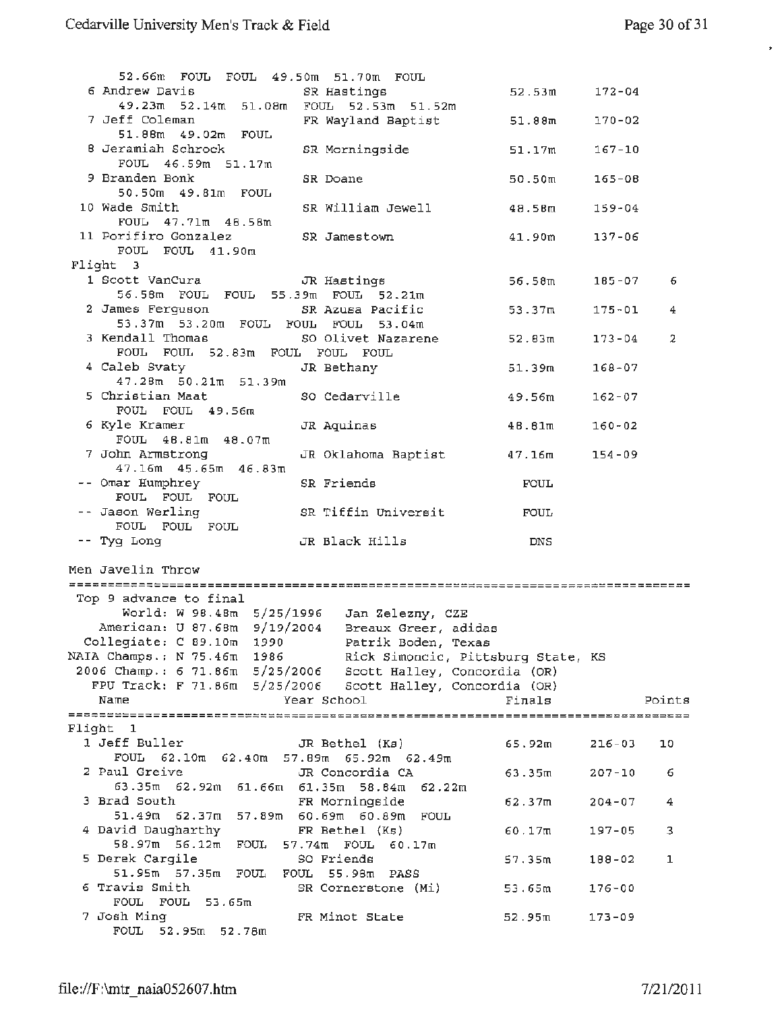$\star$ 

|                  | 52.66m FOUL FOUL 49.50m 51.70m FOUL       |                                                                                                 |                    |            |        |  |  |  |  |  |  |
|------------------|-------------------------------------------|-------------------------------------------------------------------------------------------------|--------------------|------------|--------|--|--|--|--|--|--|
|                  | 6 Andrew Davis                            | SR Hastings                                                                                     | $52.53m$ $172-04$  |            |        |  |  |  |  |  |  |
|                  | 49.23m 52.14m 51.08m FOUL 52.53m 51.52m   |                                                                                                 |                    |            |        |  |  |  |  |  |  |
|                  | 7 Jeff Coleman                            | FR Wayland Baptist                                                                              | 51.88m             | 170-02     |        |  |  |  |  |  |  |
|                  | 51.88m 49.02m FOUL                        |                                                                                                 |                    |            |        |  |  |  |  |  |  |
|                  | 8 Jeramiah Schrock                        | SR Morningside                                                                                  | 51.17m             | $167 - 10$ |        |  |  |  |  |  |  |
|                  | FOUL 46.59m 51.17m                        |                                                                                                 |                    |            |        |  |  |  |  |  |  |
|                  | 9 Branden Bonk                            | SR Doane                                                                                        | 50.50 <sub>m</sub> | $165 - 08$ |        |  |  |  |  |  |  |
|                  | 50.50m 49.81m FOUL                        |                                                                                                 |                    |            |        |  |  |  |  |  |  |
|                  | 10 Wade Smith                             | SR William Jewell                                                                               | 48.58m             | $159 - 04$ |        |  |  |  |  |  |  |
|                  | FOUL 47.71m 48.58m                        |                                                                                                 |                    |            |        |  |  |  |  |  |  |
|                  | 11 Porifiro Gonzalez                      |                                                                                                 |                    |            |        |  |  |  |  |  |  |
|                  |                                           | SR Jamestown                                                                                    | 41.90m             | 137-06     |        |  |  |  |  |  |  |
| FOUL FOUL 41.90m |                                           |                                                                                                 |                    |            |        |  |  |  |  |  |  |
|                  | Flight 3                                  |                                                                                                 |                    |            |        |  |  |  |  |  |  |
|                  | 1 Scott VanCura                           | JR Hastings                                                                                     | 56.58m             | $185 - 07$ | 6      |  |  |  |  |  |  |
|                  | 56.58m FOUL FOUL 55.39m FOUL 52.21m       |                                                                                                 |                    |            |        |  |  |  |  |  |  |
|                  | 2 James Ferguson                          | SR Azusa Pacific                                                                                | 53.37m             | $175 - 01$ | 4      |  |  |  |  |  |  |
|                  | 53.37m 53.20m FOUL FOUL FOUL 53.04m       |                                                                                                 |                    |            |        |  |  |  |  |  |  |
|                  | 3 Kendall Thomas                          | SO Olivet Nazarene                                                                              | 52.83m             | 173-04     | 2      |  |  |  |  |  |  |
|                  | FOUL FOUL 52.83m FOUL FOUL FOUL           |                                                                                                 |                    |            |        |  |  |  |  |  |  |
|                  | 4 Caleb Svaty                             | JR Bethany                                                                                      | 51.39m             | $168 - 07$ |        |  |  |  |  |  |  |
|                  | 47.28m 50.21m 51.39m                      |                                                                                                 |                    |            |        |  |  |  |  |  |  |
|                  | 5 Christian Maat                          | SO Cedarville                                                                                   | 49.56m             | $162 - 07$ |        |  |  |  |  |  |  |
|                  | FOUL FOUL 49.56m                          |                                                                                                 |                    |            |        |  |  |  |  |  |  |
|                  | 6 Kyle Kramer                             | JR Aquinas                                                                                      | 48.81m             | $160 - 02$ |        |  |  |  |  |  |  |
|                  | FOUL 48.81m 48.07m                        |                                                                                                 |                    |            |        |  |  |  |  |  |  |
|                  | 7 John Armstrong                          | JR Oklahoma Baptist                                                                             | 47.16m             | 154-09     |        |  |  |  |  |  |  |
|                  | 47.16m  45.65m  46.83m                    |                                                                                                 |                    |            |        |  |  |  |  |  |  |
|                  | -- Omar Humphrey                          | SR Friends                                                                                      |                    |            |        |  |  |  |  |  |  |
|                  | FOUL FOUL FOUL                            |                                                                                                 | <b>FOUL</b>        |            |        |  |  |  |  |  |  |
|                  |                                           |                                                                                                 |                    |            |        |  |  |  |  |  |  |
|                  | -- Jason Werling<br>FOUL FOUL FOUL        | SR Tiffin Universit                                                                             | FOUL               |            |        |  |  |  |  |  |  |
|                  |                                           |                                                                                                 |                    |            |        |  |  |  |  |  |  |
|                  | -- Tyg Long                               | JR Black Hills                                                                                  | DNS                |            |        |  |  |  |  |  |  |
|                  |                                           |                                                                                                 |                    |            |        |  |  |  |  |  |  |
|                  | Men Javelin Throw                         |                                                                                                 |                    |            |        |  |  |  |  |  |  |
|                  |                                           |                                                                                                 |                    |            |        |  |  |  |  |  |  |
|                  | Top 9 advance to final                    |                                                                                                 |                    |            |        |  |  |  |  |  |  |
|                  |                                           | World: W 98.48m 5/25/1996 Jan Zelezny, CZE<br>American: U 87.68m 9/19/2004 Breaux Greer, adidas |                    |            |        |  |  |  |  |  |  |
|                  |                                           |                                                                                                 |                    |            |        |  |  |  |  |  |  |
|                  |                                           | Collegiate: C 89.10m 1990 Patrik Boden, Texas                                                   |                    |            |        |  |  |  |  |  |  |
|                  |                                           | NAIA Champs.: N 75.46m 1986 Rick Simoncic, Pittsburg State, KS                                  |                    |            |        |  |  |  |  |  |  |
|                  |                                           | 2006 Champ.: 6 71.86m 5/25/2006 Scott Halley, Concordia (OR)                                    |                    |            |        |  |  |  |  |  |  |
|                  |                                           | FPU Track: F 71.86m 5/25/2006 Scott Halley, Concordia (OR)                                      |                    |            |        |  |  |  |  |  |  |
|                  | Name                                      | Year School                                                                                     | Finals             |            | Points |  |  |  |  |  |  |
|                  |                                           |                                                                                                 |                    |            |        |  |  |  |  |  |  |
|                  | Flight 1                                  |                                                                                                 |                    |            |        |  |  |  |  |  |  |
|                  | 1 Jeff Buller                             | JR Bethel (Ks)                                                                                  | 65.92m             | 216-03     | 10     |  |  |  |  |  |  |
|                  | FOUL 62.10m 62.40m 57.89m 65.92m 62.49m   |                                                                                                 |                    |            |        |  |  |  |  |  |  |
|                  | 2 Paul Greive                             | JR Concordia CA                                                                                 | 63.35m             | $207 - 10$ | 6      |  |  |  |  |  |  |
|                  | 63.35m 62.92m 61.66m 61.35m 58.84m 62.22m |                                                                                                 |                    |            |        |  |  |  |  |  |  |
|                  | 3 Brad South                              | FR Morningside                                                                                  | 62.37m             | $204 - 07$ | 4      |  |  |  |  |  |  |
|                  | 51.49m 62.37m 57.89m 60.69m 60.89m FOUL   |                                                                                                 |                    |            |        |  |  |  |  |  |  |
|                  | 4 David Daugharthy                        | $FR$ Bethel $(Ks)$                                                                              | 60.17m             | $197 - 05$ | 3      |  |  |  |  |  |  |
|                  | 58.97m 56.12m FOUL 57.74m FOUL 60.17m     |                                                                                                 |                    |            |        |  |  |  |  |  |  |
|                  | 5 Derek Cargile                           |                                                                                                 |                    |            |        |  |  |  |  |  |  |
|                  |                                           | SO Friends                                                                                      | 57.35m             | 188-02     | 1      |  |  |  |  |  |  |
|                  | 51.95m 57.35m FOUL FOUL 55.98m PASS       |                                                                                                 |                    |            |        |  |  |  |  |  |  |
|                  | 6 Travis Smith                            | SR Cornerstone (Mi)                                                                             | 53.65m             | 176-00     |        |  |  |  |  |  |  |
|                  | FOUL FOUL 53.65m                          |                                                                                                 |                    |            |        |  |  |  |  |  |  |
|                  | 7 Josh Ming                               | FR Minot State                                                                                  | 52.95m             | $173 - 09$ |        |  |  |  |  |  |  |
|                  | FOUL 52.95m 52.78m                        |                                                                                                 |                    |            |        |  |  |  |  |  |  |